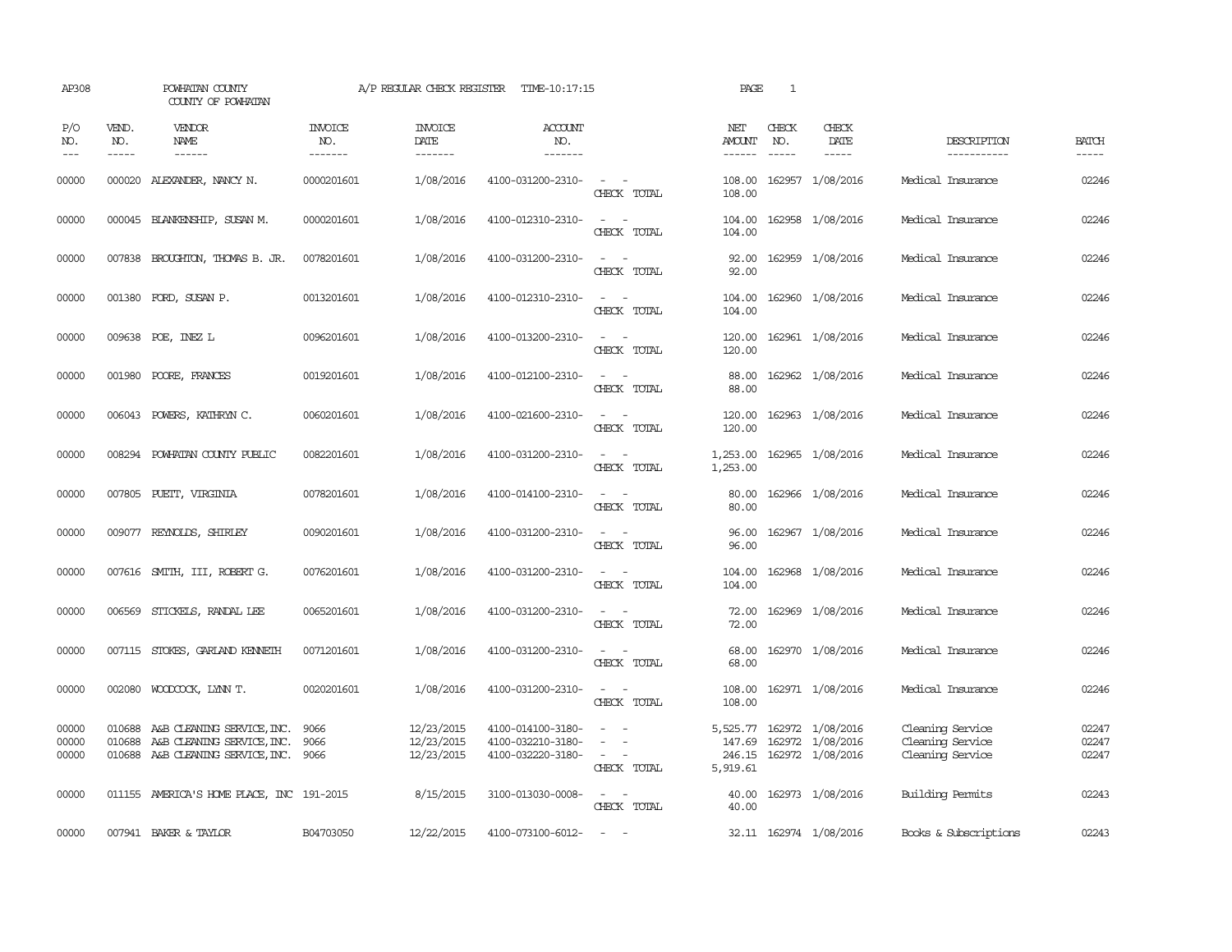| AP308                   |              | POWHATAN COUNTY<br>COUNTY OF POWHATAN                                                                     |                                  | A/P REGULAR CHECK REGISTER             | TIME-10:17:15                                               |                                                                                                                             | PAGE                           | 1            |                                                                          |                                                          |                         |
|-------------------------|--------------|-----------------------------------------------------------------------------------------------------------|----------------------------------|----------------------------------------|-------------------------------------------------------------|-----------------------------------------------------------------------------------------------------------------------------|--------------------------------|--------------|--------------------------------------------------------------------------|----------------------------------------------------------|-------------------------|
| P/O<br>NO.<br>$---$     | VEND.<br>NO. | VENDOR<br>NAME                                                                                            | <b>INVOICE</b><br>NO.<br>------- | <b>INVOICE</b><br>DATE<br>-------      | <b>ACCOUNT</b><br>NO.<br>-------                            |                                                                                                                             | NET<br><b>AMOUNT</b><br>------ | CHECK<br>NO. | CHECK<br>DATE<br>-----                                                   | DESCRIPTION<br>-----------                               | <b>BATCH</b>            |
| 00000                   |              | 000020 ALEXANDER, NANCY N.                                                                                | 0000201601                       | 1/08/2016                              | 4100-031200-2310-                                           | $\sim$ $\sim$<br>CHECK TOTAL                                                                                                | 108.00<br>108.00               |              | 162957 1/08/2016                                                         | Medical Insurance                                        | 02246                   |
| 00000                   |              | 000045 BLANKENSHIP, SUSAN M.                                                                              | 0000201601                       | 1/08/2016                              | 4100-012310-2310-                                           | $\frac{1}{2} \left( \frac{1}{2} \right) \left( \frac{1}{2} \right) = \frac{1}{2} \left( \frac{1}{2} \right)$<br>CHECK TOTAL | 104.00<br>104.00               |              | 162958 1/08/2016                                                         | Medical Insurance                                        | 02246                   |
| 00000                   |              | 007838 BROUGHTON, THOMAS B. JR.                                                                           | 0078201601                       | 1/08/2016                              | 4100-031200-2310-                                           | $\sim$<br>$\sim$<br>CHECK TOTAL                                                                                             | 92.00<br>92.00                 |              | 162959 1/08/2016                                                         | Medical Insurance                                        | 02246                   |
| 00000                   |              | 001380 FORD, SUSAN P.                                                                                     | 0013201601                       | 1/08/2016                              | 4100-012310-2310-                                           | $\frac{1}{2} \left( \frac{1}{2} \right) \left( \frac{1}{2} \right) = \frac{1}{2} \left( \frac{1}{2} \right)$<br>CHECK TOTAL | 104.00<br>104.00               |              | 162960 1/08/2016                                                         | Medical Insurance                                        | 02246                   |
| 00000                   |              | 009638 POE, INEZ L                                                                                        | 0096201601                       | 1/08/2016                              | 4100-013200-2310-                                           | $\frac{1}{2} \left( \frac{1}{2} \right) \left( \frac{1}{2} \right) = \frac{1}{2} \left( \frac{1}{2} \right)$<br>CHECK TOTAL | 120.00<br>120.00               |              | 162961 1/08/2016                                                         | Medical Insurance                                        | 02246                   |
| 00000                   |              | 001980 POORE, FRANCES                                                                                     | 0019201601                       | 1/08/2016                              | 4100-012100-2310-                                           | $\sim$<br>$\overline{\phantom{a}}$<br>CHECK TOTAL                                                                           | 88.00<br>88.00                 |              | 162962 1/08/2016                                                         | Medical Insurance                                        | 02246                   |
| 00000                   |              | 006043 POWERS, KATHRYN C.                                                                                 | 0060201601                       | 1/08/2016                              | 4100-021600-2310-                                           | $\sim$<br>$\overline{\phantom{a}}$<br>CHECK TOTAL                                                                           | 120.00<br>120.00               |              | 162963 1/08/2016                                                         | Medical Insurance                                        | 02246                   |
| 00000                   | 008294       | POWHATAN COUNTY PUBLIC                                                                                    | 0082201601                       | 1/08/2016                              | 4100-031200-2310-                                           | $\sim$<br>$\sim$<br>CHECK TOTAL                                                                                             | 1,253.00<br>1,253.00           |              | 162965 1/08/2016                                                         | Medical Insurance                                        | 02246                   |
| 00000                   |              | 007805 PUETT, VIRGINIA                                                                                    | 0078201601                       | 1/08/2016                              | 4100-014100-2310-                                           | $\equiv$<br>CHECK TOTAL                                                                                                     | 80.00<br>80.00                 |              | 162966 1/08/2016                                                         | Medical Insurance                                        | 02246                   |
| 00000                   |              | 009077 REYNOLDS, SHIRLEY                                                                                  | 0090201601                       | 1/08/2016                              | 4100-031200-2310-                                           | $\sim$ $ \sim$<br>CHECK TOTAL                                                                                               | 96.00<br>96.00                 |              | 162967 1/08/2016                                                         | Medical Insurance                                        | 02246                   |
| 00000                   |              | 007616 SMITH, III, ROBERT G.                                                                              | 0076201601                       | 1/08/2016                              | 4100-031200-2310-                                           | $\sim$<br>$\sim$<br>CHECK TOTAL                                                                                             | 104.00<br>104.00               |              | 162968 1/08/2016                                                         | Medical Insurance                                        | 02246                   |
| 00000                   |              | 006569 STICKELS, RANDAL LEE                                                                               | 0065201601                       | 1/08/2016                              | 4100-031200-2310-                                           | $\frac{1}{2} \left( \frac{1}{2} \right) \left( \frac{1}{2} \right) = \frac{1}{2} \left( \frac{1}{2} \right)$<br>CHECK TOTAL | 72.00<br>72.00                 |              | 162969 1/08/2016                                                         | Medical Insurance                                        | 02246                   |
| 00000                   |              | 007115 STOKES, GARLAND KENNETH                                                                            | 0071201601                       | 1/08/2016                              | 4100-031200-2310-                                           | CHECK TOTAL                                                                                                                 | 68.00<br>68.00                 |              | 162970 1/08/2016                                                         | Medical Insurance                                        | 02246                   |
| 00000                   |              | 002080 WOODCOCK, LYNN T.                                                                                  | 0020201601                       | 1/08/2016                              | 4100-031200-2310-                                           | $\overline{\phantom{a}}$<br>CHECK TOTAL                                                                                     | 108.00<br>108.00               |              | 162971 1/08/2016                                                         | Medical Insurance                                        | 02246                   |
| 00000<br>00000<br>00000 | 010688       | 010688 A&B CLEANING SERVICE, INC.<br>A&B CLEANING SERVICE, INC.<br>010688 A&B CLEANING SERVICE, INC. 9066 | 9066<br>9066                     | 12/23/2015<br>12/23/2015<br>12/23/2015 | 4100-014100-3180-<br>4100-032210-3180-<br>4100-032220-3180- | $\sim$<br>$\sim$<br>CHECK TOTAL                                                                                             | 147.69<br>5,919.61             |              | 5,525.77 162972 1/08/2016<br>162972 1/08/2016<br>246.15 162972 1/08/2016 | Cleaning Service<br>Cleaning Service<br>Cleaning Service | 02247<br>02247<br>02247 |
| 00000                   |              | 011155 AMERICA'S HOME PLACE, INC 191-2015                                                                 |                                  | 8/15/2015                              | 3100-013030-0008-                                           | CHECK TOTAL                                                                                                                 | 40.00<br>40.00                 |              | 162973 1/08/2016                                                         | Building Permits                                         | 02243                   |
| 00000                   |              | 007941 BAKER & TAYLOR                                                                                     | B04703050                        | 12/22/2015                             | 4100-073100-6012-                                           | $\sim$ $-$                                                                                                                  |                                |              | 32.11 162974 1/08/2016                                                   | Books & Subscriptions                                    | 02243                   |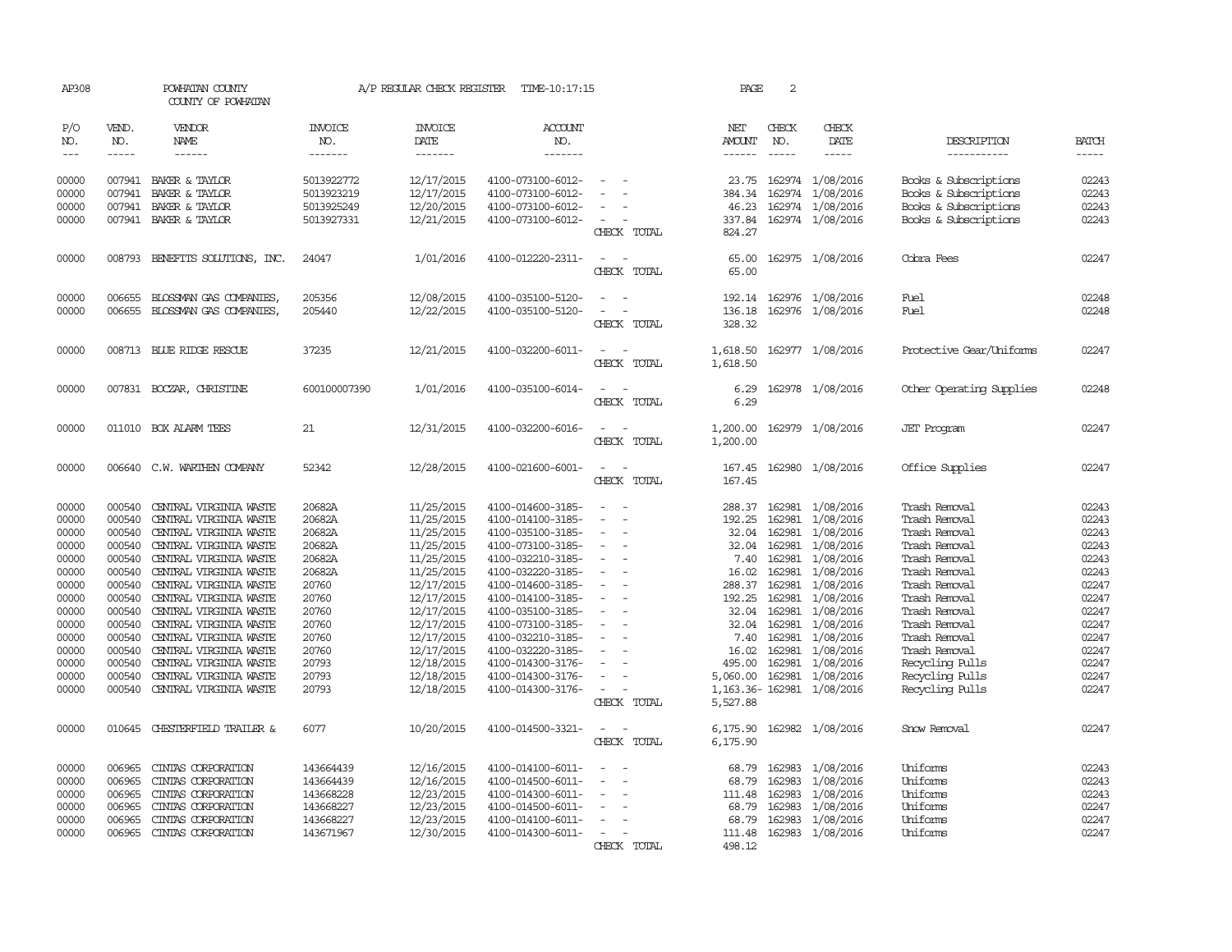| AP308          |              | POWHATAN COUNTY<br>COUNTY OF POWHATAN   |                          | A/P REGULAR CHECK REGISTER | TIME-10:17:15                          |                                                      | PAGE                 | 2            |                                     |                                                |                |
|----------------|--------------|-----------------------------------------|--------------------------|----------------------------|----------------------------------------|------------------------------------------------------|----------------------|--------------|-------------------------------------|------------------------------------------------|----------------|
| P/O<br>NO.     | VEND.<br>NO. | VENDOR<br>NAME                          | <b>INVOICE</b><br>NO.    | <b>INVOICE</b><br>DATE     | <b>ACCOUNT</b><br>NO.                  |                                                      | NET<br><b>AMOUNT</b> | CHECK<br>NO. | CHECK<br>DATE                       | DESCRIPTION                                    | <b>BATCH</b>   |
| $\frac{1}{2}$  | $- - - - -$  | ------                                  | -------                  | -------                    | -------                                |                                                      | $- - - - - -$        | $- - - - -$  | -----                               | -----------                                    | -----          |
| 00000<br>00000 | 007941       | 007941 BAKER & TAYLOR<br>BAKER & TAYLOR | 5013922772<br>5013923219 | 12/17/2015<br>12/17/2015   | 4100-073100-6012-<br>4100-073100-6012- |                                                      | 384.34               | 162974       | 23.75 162974 1/08/2016<br>1/08/2016 | Books & Subscriptions<br>Books & Subscriptions | 02243<br>02243 |
| 00000          | 007941       | BAKER & TAYLOR                          | 5013925249               | 12/20/2015                 | 4100-073100-6012-                      |                                                      | 46.23                |              | 162974 1/08/2016                    | Books & Subscriptions                          | 02243          |
| 00000          |              | 007941 BAKER & TAYLOR                   | 5013927331               | 12/21/2015                 | 4100-073100-6012-                      | $\sim$<br>CHECK TOTAL                                | 337.84<br>824.27     |              | 162974 1/08/2016                    | Books & Subscriptions                          | 02243          |
| 00000          |              | 008793 BENEFITS SOLUTIONS, INC.         | 24047                    | 1/01/2016                  | 4100-012220-2311-                      | $\sim$<br>$\sim$<br>CHECK TOTAL                      | 65.00<br>65.00       |              | 162975 1/08/2016                    | Cobra Fees                                     | 02247          |
| 00000          | 006655       | BLOSSMAN GAS COMPANIES,                 | 205356                   | 12/08/2015                 | 4100-035100-5120-                      |                                                      | 192.14               |              | 162976 1/08/2016                    | Fuel                                           | 02248          |
| 00000          |              | 006655 BLOSSMAN GAS COMPANIES,          | 205440                   | 12/22/2015                 | 4100-035100-5120-                      | CHECK TOTAL                                          | 136.18<br>328.32     |              | 162976 1/08/2016                    | Fuel                                           | 02248          |
| 00000          |              | 008713 BLUE RIDGE RESCUE                | 37235                    | 12/21/2015                 | 4100-032200-6011-                      | CHECK TOTAL                                          | 1,618.50<br>1,618.50 |              | 162977 1/08/2016                    | Protective Gear/Uniforms                       | 02247          |
| 00000          |              | 007831 BOCZAR, CHRISTINE                | 600100007390             | 1/01/2016                  | 4100-035100-6014-                      | CHECK TOTAL                                          | 6.29<br>6.29         |              | 162978 1/08/2016                    | Other Operating Supplies                       | 02248          |
| 00000          |              | 011010 BOX ALARM TEES                   | 21                       | 12/31/2015                 | 4100-032200-6016-                      | CHECK TOTAL                                          | 1,200.00<br>1,200.00 |              | 162979 1/08/2016                    | <b>JET</b> Program                             | 02247          |
| 00000          |              | 006640 C.W. WARTHEN COMPANY             | 52342                    | 12/28/2015                 | 4100-021600-6001-                      | $\overline{\phantom{a}}$<br>$\sim$<br>CHECK TOTAL    | 167.45               |              | 167.45 162980 1/08/2016             | Office Supplies                                | 02247          |
| 00000          | 000540       | CENTRAL VIRGINIA WASTE                  | 20682A                   | 11/25/2015                 | 4100-014600-3185-                      | $\overline{\phantom{a}}$<br>$\overline{\phantom{a}}$ |                      |              | 288.37 162981 1/08/2016             | Trash Removal                                  | 02243          |
| 00000          | 000540       | CENTRAL VIRGINIA WASTE                  | 20682A                   | 11/25/2015                 | 4100-014100-3185-                      | $\overline{\phantom{a}}$<br>$\equiv$                 | 192.25               | 162981       | 1/08/2016                           | Trash Removal                                  | 02243          |
| 00000          | 000540       | CENTRAL VIRGINIA WASTE                  | 20682A                   | 11/25/2015                 | 4100-035100-3185-                      | $\overline{\phantom{a}}$                             | 32.04                | 162981       | 1/08/2016                           | Trash Removal                                  | 02243          |
| 00000          | 000540       | CENTRAL VIRGINIA WASTE                  | 20682A                   | 11/25/2015                 | 4100-073100-3185-                      |                                                      | 32.04                | 162981       | 1/08/2016                           | Trash Removal                                  | 02243          |
| 00000          | 000540       | CENTRAL VIRGINIA WASTE                  | 20682A                   | 11/25/2015                 | 4100-032210-3185-                      | $\overline{\phantom{a}}$                             | 7.40                 | 162981       | 1/08/2016                           | Trash Removal                                  | 02243          |
| 00000          | 000540       | CENTRAL VIRGINIA WASTE                  | 20682A                   | 11/25/2015                 | 4100-032220-3185-                      | $\sim$                                               | 16.02                | 162981       | 1/08/2016                           | Trash Removal                                  | 02243          |
| 00000          | 000540       | CENTRAL VIRGINIA WASTE                  | 20760                    | 12/17/2015                 | 4100-014600-3185-                      | $\overline{\phantom{a}}$                             | 288.37               | 162981       | 1/08/2016                           | Trash Removal                                  | 02247          |
| 00000          | 000540       | CENTRAL VIRGINIA WASTE                  | 20760                    | 12/17/2015                 | 4100-014100-3185-                      | $\sim$                                               | 192.25               | 162981       | 1/08/2016                           | Trash Removal                                  | 02247          |
| 00000          | 000540       | CENTRAL VIRGINIA WASTE                  | 20760                    | 12/17/2015                 | 4100-035100-3185-                      | $\sim$                                               |                      | 32.04 162981 | 1/08/2016                           | Trash Removal                                  | 02247          |
| 00000          | 000540       | CENTRAL VIRGINIA WASTE                  | 20760                    | 12/17/2015                 | 4100-073100-3185-                      | $\overline{\phantom{a}}$                             | 32.04                | 162981       | 1/08/2016                           | Trash Removal                                  | 02247          |
| 00000          | 000540       | CENTRAL VIRGINIA WASTE                  | 20760                    | 12/17/2015                 | 4100-032210-3185-                      |                                                      | 7.40                 | 162981       | 1/08/2016                           | Trash Removal                                  | 02247          |
| 00000          | 000540       | CENTRAL VIRGINIA WASTE                  | 20760                    | 12/17/2015                 | 4100-032220-3185-                      | $\overline{\phantom{a}}$                             | 16.02                | 162981       | 1/08/2016                           | Trash Removal                                  | 02247          |
| 00000          | 000540       | CENTRAL VIRGINIA WASTE                  | 20793                    | 12/18/2015                 | 4100-014300-3176-                      | $\sim$                                               | 495.00               | 162981       | 1/08/2016                           | Recycling Pulls                                | 02247          |
| 00000          | 000540       | CENTRAL VIRGINIA WASTE                  | 20793                    | 12/18/2015                 | 4100-014300-3176-                      | $\overline{\phantom{a}}$                             | 5,060.00             | 162981       | 1/08/2016                           | Recycling Pulls                                | 02247          |
| 00000          | 000540       | CENTRAL VIRGINIA WASTE                  | 20793                    | 12/18/2015                 | 4100-014300-3176-                      | $\overline{\phantom{a}}$<br>CHECK TOTAL              | 5,527.88             |              | 1, 163.36 - 162981 1/08/2016        | Recycling Pulls                                | 02247          |
|                |              |                                         |                          |                            |                                        |                                                      |                      |              |                                     |                                                |                |
| 00000          |              | 010645 CHESTERFIELD TRAILER &           | 6077                     | 10/20/2015                 | 4100-014500-3321-                      | CHECK TOTAL                                          | 6,175.90             |              | 6,175.90 162982 1/08/2016           | Snow Removal                                   | 02247          |
| 00000          | 006965       | CINIAS CORPORATION                      | 143664439                | 12/16/2015                 | 4100-014100-6011-                      |                                                      | 68.79                | 162983       | 1/08/2016                           | Uniforms                                       | 02243          |
| 00000          | 006965       | CINIAS CORPORATION                      | 143664439                | 12/16/2015                 | 4100-014500-6011-                      |                                                      | 68.79                | 162983       | 1/08/2016                           | Uniforms                                       | 02243          |
| 00000          | 006965       | CINIAS CORPORATION                      | 143668228                | 12/23/2015                 | 4100-014300-6011-                      | $\sim$                                               | 111.48               | 162983       | 1/08/2016                           | Uniforms                                       | 02243          |
| 00000          | 006965       | CINIAS CORPORATION                      | 143668227                | 12/23/2015                 | 4100-014500-6011-                      | $\overline{\phantom{a}}$                             | 68.79                | 162983       | 1/08/2016                           | Uniforms                                       | 02247          |
| 00000          | 006965       | CINIAS CORPORATION                      | 143668227                | 12/23/2015                 | 4100-014100-6011-                      |                                                      | 68.79                | 162983       | 1/08/2016                           | Uniforms                                       | 02247          |
| 00000          | 006965       | CINIAS CORPORATION                      | 143671967                | 12/30/2015                 | 4100-014300-6011-                      |                                                      | 111.48               |              | 162983 1/08/2016                    | Uniforms                                       | 02247          |
|                |              |                                         |                          |                            |                                        | CHECK TOTAL                                          | 498.12               |              |                                     |                                                |                |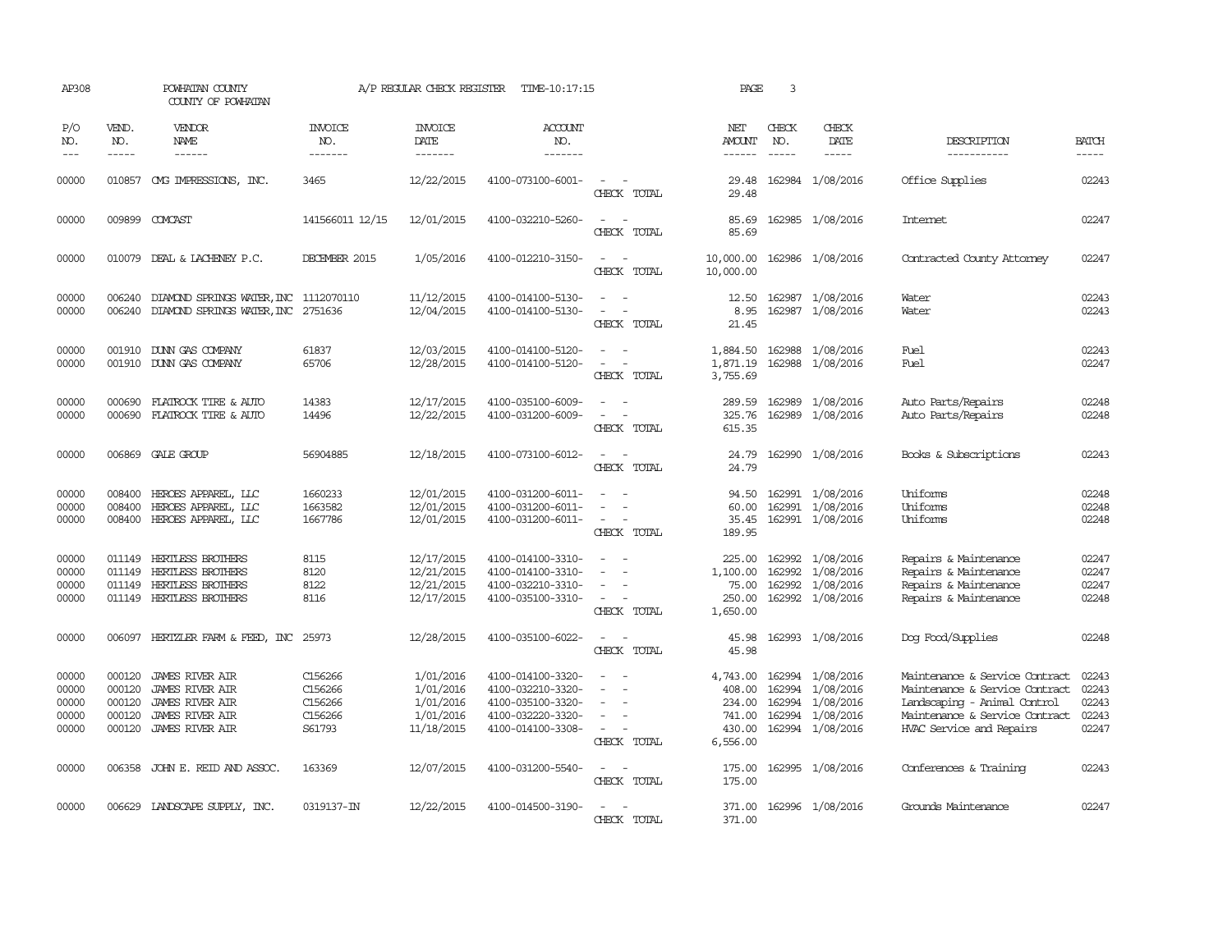| AP308                                     |                                                | POWHATAN COUNTY<br>COUNTY OF POWHATAN                                                                                          |                                                    | A/P REGULAR CHECK REGISTER                                     | TIME-10:17:15                                                                                         |                                                                                                 | PAGE                                                         | 3                             |                                                                                                  |                                                                                                                                                                |                                           |
|-------------------------------------------|------------------------------------------------|--------------------------------------------------------------------------------------------------------------------------------|----------------------------------------------------|----------------------------------------------------------------|-------------------------------------------------------------------------------------------------------|-------------------------------------------------------------------------------------------------|--------------------------------------------------------------|-------------------------------|--------------------------------------------------------------------------------------------------|----------------------------------------------------------------------------------------------------------------------------------------------------------------|-------------------------------------------|
| P/O<br>NO.<br>$---$                       | VEND.<br>NO.<br>$\frac{1}{2}$                  | VENDOR<br>NAME                                                                                                                 | INVOICE<br>NO.<br>-------                          | <b>INVOICE</b><br>DATE<br>-------                              | <b>ACCOUNT</b><br>NO.<br>-------                                                                      |                                                                                                 | NET<br><b>AMOUNT</b><br>$- - - - - -$                        | CHECK<br>NO.<br>$\frac{1}{2}$ | CHECK<br>DATE<br>$- - - - -$                                                                     | DESCRIPTION<br>-----------                                                                                                                                     | <b>BATCH</b><br>-----                     |
| 00000                                     | 010857                                         | ONG IMPRESSIONS, INC.                                                                                                          | 3465                                               | 12/22/2015                                                     | 4100-073100-6001-                                                                                     | CHECK TOTAL                                                                                     | 29.48<br>29.48                                               |                               | 162984 1/08/2016                                                                                 | Office Supplies                                                                                                                                                | 02243                                     |
| 00000                                     |                                                | 009899 COMCAST                                                                                                                 | 141566011 12/15                                    | 12/01/2015                                                     | 4100-032210-5260-                                                                                     | $\overline{\phantom{a}}$<br>CHECK TOTAL                                                         | 85.69<br>85.69                                               |                               | 162985 1/08/2016                                                                                 | <b>Internet</b>                                                                                                                                                | 02247                                     |
| 00000                                     |                                                | 010079 DEAL & LACHENEY P.C.                                                                                                    | DECEMBER 2015                                      | 1/05/2016                                                      | 4100-012210-3150-                                                                                     | $\overline{\phantom{a}}$<br>CHECK TOTAL                                                         | 10,000.00<br>10,000.00                                       |                               | 162986 1/08/2016                                                                                 | Contracted County Attorney                                                                                                                                     | 02247                                     |
| 00000<br>00000                            |                                                | 006240 DIAMOND SPRINGS WATER, INC 1112070110<br>006240 DIAMOND SPRINGS WATER, INC 2751636                                      |                                                    | 11/12/2015<br>12/04/2015                                       | 4100-014100-5130-<br>4100-014100-5130-                                                                | $\omega_{\rm{max}}$ and<br>$\overline{\phantom{a}}$<br>$\overline{a}$<br>CHECK TOTAL            | 12.50<br>8.95<br>21.45                                       |                               | 162987 1/08/2016<br>162987 1/08/2016                                                             | Water<br>Water                                                                                                                                                 | 02243<br>02243                            |
| 00000<br>00000                            |                                                | 001910 DUNN GAS COMPANY<br>001910 DUNN GAS COMPANY                                                                             | 61837<br>65706                                     | 12/03/2015<br>12/28/2015                                       | 4100-014100-5120-<br>4100-014100-5120-                                                                | CHECK TOTAL                                                                                     | 1,884.50<br>1,871.19<br>3,755.69                             | 162988                        | 1/08/2016<br>162988 1/08/2016                                                                    | Fuel<br>Fuel                                                                                                                                                   | 02243<br>02247                            |
| 00000<br>00000                            | 000690                                         | FLATROCK TIRE & AUTO<br>000690 FLATROCK TIRE & AUTO                                                                            | 14383<br>14496                                     | 12/17/2015<br>12/22/2015                                       | 4100-035100-6009-<br>4100-031200-6009-                                                                | $\sim$ 100 $\mu$<br>CHECK TOTAL                                                                 | 289.59<br>325.76<br>615.35                                   |                               | 162989 1/08/2016<br>162989 1/08/2016                                                             | Auto Parts/Repairs<br>Auto Parts/Repairs                                                                                                                       | 02248<br>02248                            |
| 00000                                     |                                                | 006869 GALE GROUP                                                                                                              | 56904885                                           | 12/18/2015                                                     | 4100-073100-6012-                                                                                     | $\sim$ $\sim$<br>CHECK TOTAL                                                                    | 24.79<br>24.79                                               |                               | 162990 1/08/2016                                                                                 | Books & Subscriptions                                                                                                                                          | 02243                                     |
| 00000<br>00000<br>00000                   | 008400<br>008400<br>008400                     | HEROES APPAREL, LLC<br>HEROES APPAREL, LLC<br>HEROES APPAREL, LLC                                                              | 1660233<br>1663582<br>1667786                      | 12/01/2015<br>12/01/2015<br>12/01/2015                         | 4100-031200-6011-<br>4100-031200-6011-<br>4100-031200-6011-                                           | CHECK TOTAL                                                                                     | 94.50<br>60.00<br>35.45<br>189.95                            | 162991                        | 162991 1/08/2016<br>1/08/2016<br>162991 1/08/2016                                                | Uniforms<br>Uniforms<br>Uniforms                                                                                                                               | 02248<br>02248<br>02248                   |
| 00000<br>00000<br>00000<br>00000          | 011149<br>011149                               | 011149 HERTLESS BROTHERS<br><b>HERTLESS BROTHERS</b><br>HERTLESS BROTHERS<br>011149 HERTLESS BROTHERS                          | 8115<br>8120<br>8122<br>8116                       | 12/17/2015<br>12/21/2015<br>12/21/2015<br>12/17/2015           | 4100-014100-3310-<br>4100-014100-3310-<br>4100-032210-3310-<br>4100-035100-3310-                      | $\sim$<br>$\sim$<br>$\sim$<br>CHECK TOTAL                                                       | 225.00<br>1,100.00<br>75.00<br>250.00<br>1,650.00            |                               | 162992 1/08/2016<br>162992 1/08/2016<br>162992 1/08/2016<br>162992 1/08/2016                     | Repairs & Maintenance<br>Repairs & Maintenance<br>Repairs & Maintenance<br>Repairs & Maintenance                                                               | 02247<br>02247<br>02247<br>02248          |
| 00000                                     |                                                | 006097 HERTZLER FARM & FEED, INC 25973                                                                                         |                                                    | 12/28/2015                                                     | 4100-035100-6022-                                                                                     | CHECK TOTAL                                                                                     | 45.98<br>45.98                                               |                               | 162993 1/08/2016                                                                                 | Dog Food/Supplies                                                                                                                                              | 02248                                     |
| 00000<br>00000<br>00000<br>00000<br>00000 | 000120<br>000120<br>000120<br>000120<br>000120 | <b>JAMES RIVER AIR</b><br><b>JAMES RIVER AIR</b><br><b>JAMES RIVER AIR</b><br><b>JAMES RIVER AIR</b><br><b>JAMES RIVER AIR</b> | C156266<br>C156266<br>C156266<br>C156266<br>S61793 | 1/01/2016<br>1/01/2016<br>1/01/2016<br>1/01/2016<br>11/18/2015 | 4100-014100-3320-<br>4100-032210-3320-<br>4100-035100-3320-<br>4100-032220-3320-<br>4100-014100-3308- | $\overline{\phantom{a}}$<br>$\overline{\phantom{a}}$<br>$\overline{\phantom{a}}$<br>CHECK TOTAL | 4,743.00<br>408.00<br>234.00<br>741.00<br>430.00<br>6,556.00 |                               | 162994 1/08/2016<br>162994 1/08/2016<br>162994 1/08/2016<br>162994 1/08/2016<br>162994 1/08/2016 | Maintenance & Service Contract<br>Maintenance & Service Contract<br>Landscaping - Animal Control<br>Maintenance & Service Contract<br>HVAC Service and Repairs | 02243<br>02243<br>02243<br>02243<br>02247 |
| 00000                                     |                                                | 006358 JOHN E. REID AND ASSOC.                                                                                                 | 163369                                             | 12/07/2015                                                     | 4100-031200-5540-                                                                                     | $\sim$ $\sim$<br>CHECK TOTAL                                                                    | 175.00<br>175.00                                             |                               | 162995 1/08/2016                                                                                 | Conferences & Training                                                                                                                                         | 02243                                     |
| 00000                                     |                                                | 006629 LANDSCAPE SUPPLY, INC.                                                                                                  | 0319137-IN                                         | 12/22/2015                                                     | 4100-014500-3190-                                                                                     | CHECK TOTAL                                                                                     | 371.00                                                       |                               | 371.00 162996 1/08/2016                                                                          | Grounds Maintenance                                                                                                                                            | 02247                                     |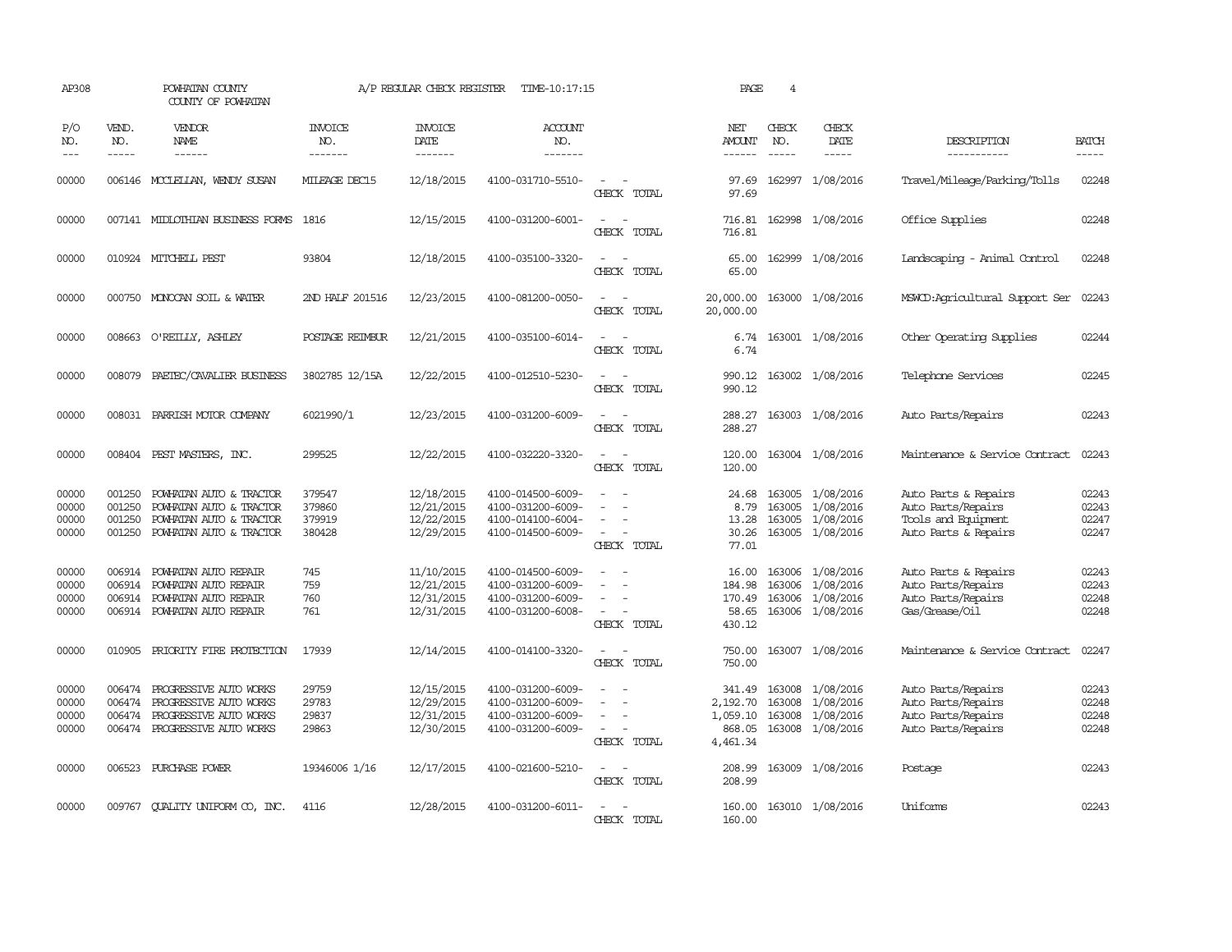| AP308                             |                                      | POWHATAN COUNTY<br>COUNTY OF POWHATAN                                                                       |                                      | A/P REGULAR CHECK REGISTER                           | TIME-10:17:15                                                                    |                                                                                                                             | PAGE                                                 | $\overline{4}$              |                                                                              |                                                                                           |                                  |
|-----------------------------------|--------------------------------------|-------------------------------------------------------------------------------------------------------------|--------------------------------------|------------------------------------------------------|----------------------------------------------------------------------------------|-----------------------------------------------------------------------------------------------------------------------------|------------------------------------------------------|-----------------------------|------------------------------------------------------------------------------|-------------------------------------------------------------------------------------------|----------------------------------|
| P/O<br>NO.<br>$\qquad \qquad - -$ | VEND.<br>NO.<br>$- - - - -$          | VENDOR<br><b>NAME</b><br>------                                                                             | <b>INVOICE</b><br>NO.<br>-------     | <b>INVOICE</b><br><b>DATE</b><br>-------             | <b>ACCOUNT</b><br>NO.<br>-------                                                 |                                                                                                                             | NET<br>AMOUNT<br>------                              | CHECK<br>NO.<br>$- - - - -$ | CHECK<br><b>DATE</b><br>$\cdots \cdots \cdots$                               | DESCRIPTION<br>-----------                                                                | <b>BATCH</b><br>-----            |
| 00000                             |                                      | 006146 MCCLELLAN, WENDY SUSAN                                                                               | MILEAGE DEC15                        | 12/18/2015                                           | 4100-031710-5510-                                                                | $\equiv$<br>CHECK TOTAL                                                                                                     | 97.69<br>97.69                                       | 162997                      | 1/08/2016                                                                    | Travel/Mileage/Parking/Tolls                                                              | 02248                            |
| 00000                             |                                      | 007141 MIDLOTHIAN BUSINESS FORMS                                                                            | 1816                                 | 12/15/2015                                           | 4100-031200-6001-                                                                | $\overline{\phantom{a}}$<br>CHECK TOTAL                                                                                     | 716.81<br>716.81                                     |                             | 162998 1/08/2016                                                             | Office Supplies                                                                           | 02248                            |
| 00000                             |                                      | 010924 MITCHELL PEST                                                                                        | 93804                                | 12/18/2015                                           | 4100-035100-3320-                                                                | $\equiv$<br>CHECK TOTAL                                                                                                     | 65.00<br>65.00                                       |                             | 162999 1/08/2016                                                             | Landscaping - Animal Control                                                              | 02248                            |
| 00000                             |                                      | 000750 MONOCAN SOIL & WATER                                                                                 | 2ND HALF 201516                      | 12/23/2015                                           | 4100-081200-0050-                                                                | $\equiv$<br>CHECK TOTAL                                                                                                     | 20,000.00<br>20,000.00                               |                             | 163000 1/08/2016                                                             | MSWCD:Agricultural Support Ser                                                            | 02243                            |
| 00000                             |                                      | 008663 O'REILLY, ASHLEY                                                                                     | POSTAGE REIMBUR                      | 12/21/2015                                           | 4100-035100-6014-                                                                | $\equiv$<br>CHECK TOTAL                                                                                                     | 6.74<br>6.74                                         |                             | 163001 1/08/2016                                                             | Other Operating Supplies                                                                  | 02244                            |
| 00000                             | 008079                               | PAETEC/CAVALIER BUSINESS                                                                                    | 3802785 12/15A                       | 12/22/2015                                           | 4100-012510-5230-                                                                | CHECK TOTAL                                                                                                                 | 990.12<br>990.12                                     |                             | 163002 1/08/2016                                                             | Telephone Services                                                                        | 02245                            |
| 00000                             |                                      | 008031 PARRISH MOTOR COMPANY                                                                                | 6021990/1                            | 12/23/2015                                           | 4100-031200-6009-                                                                | CHECK TOTAL                                                                                                                 | 288.27<br>288.27                                     |                             | 163003 1/08/2016                                                             | Auto Parts/Repairs                                                                        | 02243                            |
| 00000                             |                                      | 008404 PEST MASTERS, INC.                                                                                   | 299525                               | 12/22/2015                                           | 4100-032220-3320-                                                                | $\equiv$<br>CHECK TOTAL                                                                                                     | 120.00<br>120.00                                     |                             | 163004 1/08/2016                                                             | Maintenance & Service Contract                                                            | 02243                            |
| 00000<br>00000<br>00000<br>00000  | 001250<br>001250<br>001250<br>001250 | POWHATAN AUTO & TRACTOR<br>POWHATAN AUTO & TRACTOR<br>POWHATAN AUTO & TRACTOR<br>POWHATAN AUTO & TRACTOR    | 379547<br>379860<br>379919<br>380428 | 12/18/2015<br>12/21/2015<br>12/22/2015<br>12/29/2015 | 4100-014500-6009-<br>4100-031200-6009-<br>4100-014100-6004-<br>4100-014500-6009- | $\equiv$<br>$\sim$<br>CHECK TOTAL                                                                                           | 24.68<br>8.79<br>13.28<br>30.26<br>77.01             | 163005                      | 163005 1/08/2016<br>1/08/2016<br>163005 1/08/2016<br>163005 1/08/2016        | Auto Parts & Repairs<br>Auto Parts/Repairs<br>Tools and Equipment<br>Auto Parts & Repairs | 02243<br>02243<br>02247<br>02247 |
| 00000<br>00000<br>00000<br>00000  | 006914<br>006914<br>006914           | POWHATAN AUTO REPAIR<br>POWHATAN AUTO REPAIR<br>POWHATAN AUTO REPAIR<br>006914 POWHATAN AUTO REPAIR         | 745<br>759<br>760<br>761             | 11/10/2015<br>12/21/2015<br>12/31/2015<br>12/31/2015 | 4100-014500-6009-<br>4100-031200-6009-<br>4100-031200-6009-<br>4100-031200-6008- | $\equiv$<br>$\equiv$<br>$\sim$<br>CHECK TOTAL                                                                               | 16.00<br>184.98<br>170.49<br>58.65<br>430.12         |                             | 163006 1/08/2016<br>163006 1/08/2016<br>163006 1/08/2016<br>163006 1/08/2016 | Auto Parts & Repairs<br>Auto Parts/Repairs<br>Auto Parts/Repairs<br>Gas/Grease/Oil        | 02243<br>02243<br>02248<br>02248 |
| 00000                             | 010905                               | PRIORITY FIRE PROTECTION                                                                                    | 17939                                | 12/14/2015                                           | 4100-014100-3320-                                                                | $\frac{1}{2} \left( \frac{1}{2} \right) \left( \frac{1}{2} \right) = \frac{1}{2} \left( \frac{1}{2} \right)$<br>CHECK TOTAL | 750.00<br>750.00                                     |                             | 163007 1/08/2016                                                             | Maintenance & Service Contract                                                            | 02247                            |
| 00000<br>00000<br>00000<br>00000  | 006474<br>006474<br>006474           | PROGRESSIVE AUTO WORKS<br>PROGRESSIVE AUTO WORKS<br>PROGRESSIVE AUTO WORKS<br>006474 PROGRESSIVE AUTO WORKS | 29759<br>29783<br>29837<br>29863     | 12/15/2015<br>12/29/2015<br>12/31/2015<br>12/30/2015 | 4100-031200-6009-<br>4100-031200-6009-<br>4100-031200-6009-<br>4100-031200-6009- | $\equiv$<br>$\sim$ $-$<br>$\sim$<br>CHECK TOTAL                                                                             | 341.49<br>2,192.70<br>1,059.10<br>868.05<br>4,461.34 | 163008<br>163008            | 163008 1/08/2016<br>1/08/2016<br>1/08/2016<br>163008 1/08/2016               | Auto Parts/Repairs<br>Auto Parts/Repairs<br>Auto Parts/Repairs<br>Auto Parts/Repairs      | 02243<br>02248<br>02248<br>02248 |
| 00000                             |                                      | 006523 PURCHASE POWER                                                                                       | 19346006 1/16                        | 12/17/2015                                           | 4100-021600-5210-                                                                | $\equiv$<br>CHECK TOTAL                                                                                                     | 208.99<br>208.99                                     |                             | 163009 1/08/2016                                                             | Postage                                                                                   | 02243                            |
| 00000                             | 009767                               | QUALITY UNIFORM CO, INC.                                                                                    | 4116                                 | 12/28/2015                                           | 4100-031200-6011-                                                                | $\overline{\phantom{a}}$<br>CHECK TOTAL                                                                                     | 160.00<br>160.00                                     |                             | 163010 1/08/2016                                                             | Uniforms                                                                                  | 02243                            |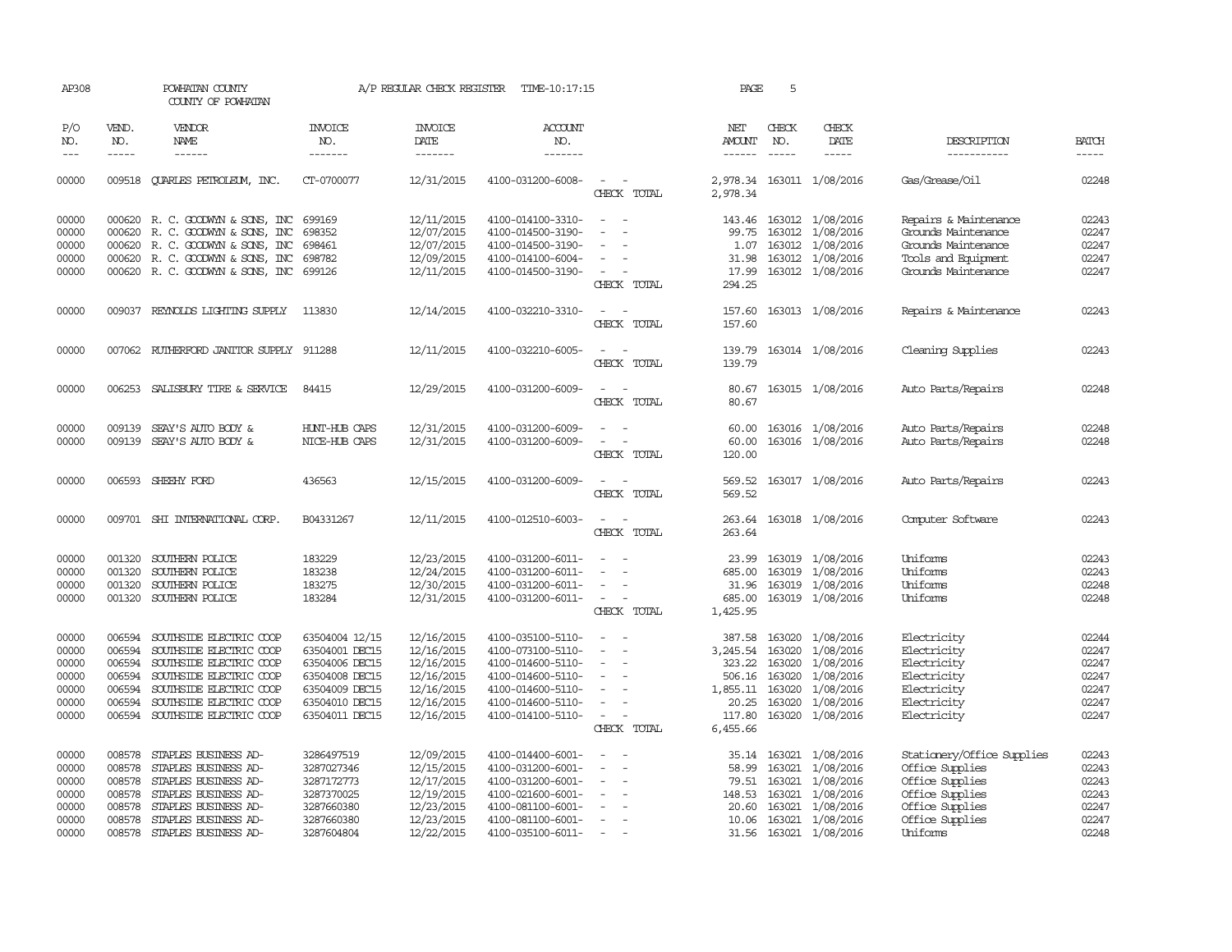| AP308               |                             | POWHATAN COUNTY<br>COUNTY OF POWHATAN |                                  | A/P REGULAR CHECK REGISTER        | TIME-10:17:15                    |                                                          | PAGE                           | 5                           |                              |                            |                             |
|---------------------|-----------------------------|---------------------------------------|----------------------------------|-----------------------------------|----------------------------------|----------------------------------------------------------|--------------------------------|-----------------------------|------------------------------|----------------------------|-----------------------------|
| P/O<br>NO.<br>$---$ | VEND.<br>NO.<br>$- - - - -$ | <b>VENDOR</b><br>NAME<br>------       | <b>INVOICE</b><br>NO.<br>------- | <b>INVOICE</b><br>DATE<br>------- | <b>ACCOUNT</b><br>NO.<br>------- |                                                          | NET<br>AMOUNT<br>$- - - - - -$ | CHECK<br>NO.<br>$- - - - -$ | CHECK<br>DATE<br>$- - - - -$ | DESCRIPTION<br>----------- | <b>BATCH</b><br>$- - - - -$ |
| 00000               |                             | 009518 QUARLES PETROLEUM, INC.        | CT-0700077                       | 12/31/2015                        | 4100-031200-6008-                | $\sim$<br>CHECK TOTAL                                    | 2,978.34                       |                             | 2,978.34 163011 1/08/2016    | Gas/Grease/Oil             | 02248                       |
| 00000               |                             | 000620 R. C. GOODWYN & SONS, INC      | 699169                           | 12/11/2015                        | 4100-014100-3310-                | $\overline{\phantom{a}}$<br>$\overline{\phantom{a}}$     |                                |                             | 143.46 163012 1/08/2016      | Repairs & Maintenance      | 02243                       |
| 00000               | 000620                      | R. C. GOODWYN & SONS, INC             | 698352                           | 12/07/2015                        | 4100-014500-3190-                |                                                          | 99.75                          | 163012                      | 1/08/2016                    | Grounds Maintenance        | 02247                       |
| 00000               |                             | 000620 R. C. GOODWYN & SONS, INC      | 698461                           | 12/07/2015                        | 4100-014500-3190-                |                                                          | 1.07                           |                             | 163012 1/08/2016             | Grounds Maintenance        | 02247                       |
| 00000               |                             | 000620 R. C. GOODWYN & SONS, INC      | 698782                           | 12/09/2015                        | 4100-014100-6004-                |                                                          | 31.98                          |                             | 163012 1/08/2016             | Tools and Equipment        | 02247                       |
| 00000               |                             | 000620 R. C. GOODWYN & SONS, INC      | 699126                           | 12/11/2015                        | 4100-014500-3190-                | $\sim$<br>CHECK TOTAL                                    | 17.99<br>294.25                |                             | 163012 1/08/2016             | Grounds Maintenance        | 02247                       |
| 00000               |                             | 009037 REYNOLDS LIGHTING SUPPLY       | 113830                           | 12/14/2015                        | 4100-032210-3310-                | $\sim$<br>$\overline{\phantom{a}}$<br>CHECK TOTAL        | 157.60<br>157.60               |                             | 163013 1/08/2016             | Repairs & Maintenance      | 02243                       |
| 00000               | 007062                      | RUIHERFORD JANITOR SUPPLY 911288      |                                  | 12/11/2015                        | 4100-032210-6005-                | $\overline{\phantom{a}}$<br>CHECK TOTAL                  | 139.79<br>139.79               |                             | 163014 1/08/2016             | Cleaning Supplies          | 02243                       |
| 00000               |                             | 006253 SALISBURY TIRE & SERVICE       | 84415                            | 12/29/2015                        | 4100-031200-6009-                | CHECK TOTAL                                              | 80.67<br>80.67                 |                             | 163015 1/08/2016             | Auto Parts/Repairs         | 02248                       |
| 00000               | 009139                      | SEAY'S AUTO BODY &                    | HUNT-HUB CAPS                    | 12/31/2015                        | 4100-031200-6009-                |                                                          | 60.00                          |                             | 163016 1/08/2016             | Auto Parts/Repairs         | 02248                       |
| 00000               |                             | 009139 SEAY'S AUTO BODY &             | NICE-HUB CAPS                    | 12/31/2015                        | 4100-031200-6009-                | $\equiv$<br>CHECK TOTAL                                  | 60.00<br>120.00                |                             | 163016 1/08/2016             | Auto Parts/Repairs         | 02248                       |
| 00000               |                             | 006593 SHEEHY FORD                    | 436563                           | 12/15/2015                        | 4100-031200-6009-                | $\sim$<br>$\sim$<br>CHECK TOTAL                          | 569.52<br>569.52               |                             | 163017 1/08/2016             | Auto Parts/Repairs         | 02243                       |
| 00000               |                             | 009701 SHI INTERNATIONAL CORP.        | B04331267                        | 12/11/2015                        | 4100-012510-6003-                | $\hspace{0.1mm}-\hspace{0.1mm}$<br>$\sim$<br>CHECK TOTAL | 263.64<br>263.64               |                             | 163018 1/08/2016             | Computer Software          | 02243                       |
| 00000               | 001320                      | SOUTHERN POLICE                       | 183229                           | 12/23/2015                        | 4100-031200-6011-                |                                                          |                                |                             | 23.99 163019 1/08/2016       | Uniforms                   | 02243                       |
| 00000               | 001320                      | SOUTHERN POLICE                       | 183238                           | 12/24/2015                        | 4100-031200-6011-                |                                                          | 685.00                         | 163019                      | 1/08/2016                    | Uniforms                   | 02243                       |
| 00000               | 001320                      | SOUTHERN POLICE                       | 183275                           | 12/30/2015                        | 4100-031200-6011-                | $\overline{\phantom{a}}$                                 | 31.96                          | 163019                      | 1/08/2016                    | Uniforms                   | 02248                       |
| 00000               |                             | 001320 SOUTHERN POLICE                | 183284                           | 12/31/2015                        | 4100-031200-6011-                | $\sim$<br>$\sim$<br>CHECK TOTAL                          | 685.00<br>1,425.95             |                             | 163019 1/08/2016             | Uniforms                   | 02248                       |
| 00000               | 006594                      | SOUTHSIDE ELECTRIC COOP               | 63504004 12/15                   | 12/16/2015                        | 4100-035100-5110-                | $\overline{a}$                                           | 387.58                         | 163020                      | 1/08/2016                    | Electricity                | 02244                       |
| 00000               | 006594                      | SOUTHSIDE ELECTRIC COOP               | 63504001 DEC15                   | 12/16/2015                        | 4100-073100-5110-                |                                                          | 3,245.54                       | 163020                      | 1/08/2016                    | Electricity                | 02247                       |
| 00000               | 006594                      | SOUTHSIDE ELECTRIC COOP               | 63504006 DEC15                   | 12/16/2015                        | 4100-014600-5110-                | $\overline{\phantom{a}}$                                 | 323.22                         | 163020                      | 1/08/2016                    | Electricity                | 02247                       |
| 00000               | 006594                      | SOUTHSIDE ELECTRIC COOP               | 63504008 DEC15                   | 12/16/2015                        | 4100-014600-5110-                |                                                          | 506.16                         | 163020                      | 1/08/2016                    | Electricity                | 02247                       |
| 00000               | 006594                      | SOUTHSIDE ELECTRIC COOP               | 63504009 DEC15                   | 12/16/2015                        | 4100-014600-5110-                |                                                          | 1,855.11                       | 163020                      | 1/08/2016                    | Electricity                | 02247                       |
| 00000               | 006594                      | SOUTHSIDE ELECTRIC COOP               | 63504010 DEC15                   | 12/16/2015                        | 4100-014600-5110-                | $\sim$                                                   | 20.25                          | 163020                      | 1/08/2016                    | Electricity                | 02247                       |
| 00000               |                             | 006594 SOUTHSIDE ELECTRIC COOP        | 63504011 DEC15                   | 12/16/2015                        | 4100-014100-5110-                | $\sim$<br>CHECK TOTAL                                    | 117.80<br>6,455.66             | 163020                      | 1/08/2016                    | Electricity                | 02247                       |
| 00000               | 008578                      | STAPLES BUSINESS AD-                  | 3286497519                       | 12/09/2015                        | 4100-014400-6001-                | $\overline{\phantom{a}}$                                 |                                |                             | 35.14 163021 1/08/2016       | Stationery/Office Supplies | 02243                       |
| 00000               | 008578                      | STAPLES BUSINESS AD-                  | 3287027346                       | 12/15/2015                        | 4100-031200-6001-                | $\overline{\phantom{a}}$<br>$\sim$                       | 58.99                          | 163021                      | 1/08/2016                    | Office Supplies            | 02243                       |
| 00000               |                             | 008578 STAPLES BUSINESS AD-           | 3287172773                       | 12/17/2015                        | 4100-031200-6001-                | $\sim$                                                   | 79.51                          | 163021                      | 1/08/2016                    | Office Supplies            | 02243                       |
| 00000               | 008578                      | STAPLES BUSINESS AD-                  | 3287370025                       | 12/19/2015                        | 4100-021600-6001-                | $\sim$                                                   | 148.53                         | 163021                      | 1/08/2016                    | Office Supplies            | 02243                       |
| 00000               | 008578                      | STAPLES BUSINESS AD-                  | 3287660380                       | 12/23/2015                        | 4100-081100-6001-                |                                                          | 20.60                          | 163021                      | 1/08/2016                    | Office Supplies            | 02247                       |
| 00000               | 008578                      | STAPLES BUSINESS AD-                  | 3287660380                       | 12/23/2015                        | 4100-081100-6001-                | $\overline{\phantom{a}}$                                 | 10.06                          |                             | 163021 1/08/2016             | Office Supplies            | 02247                       |
| 00000               | 008578                      | STAPLES BUSINESS AD-                  | 3287604804                       | 12/22/2015                        | 4100-035100-6011-                |                                                          |                                |                             | 31.56 163021 1/08/2016       | Uniforms                   | 02248                       |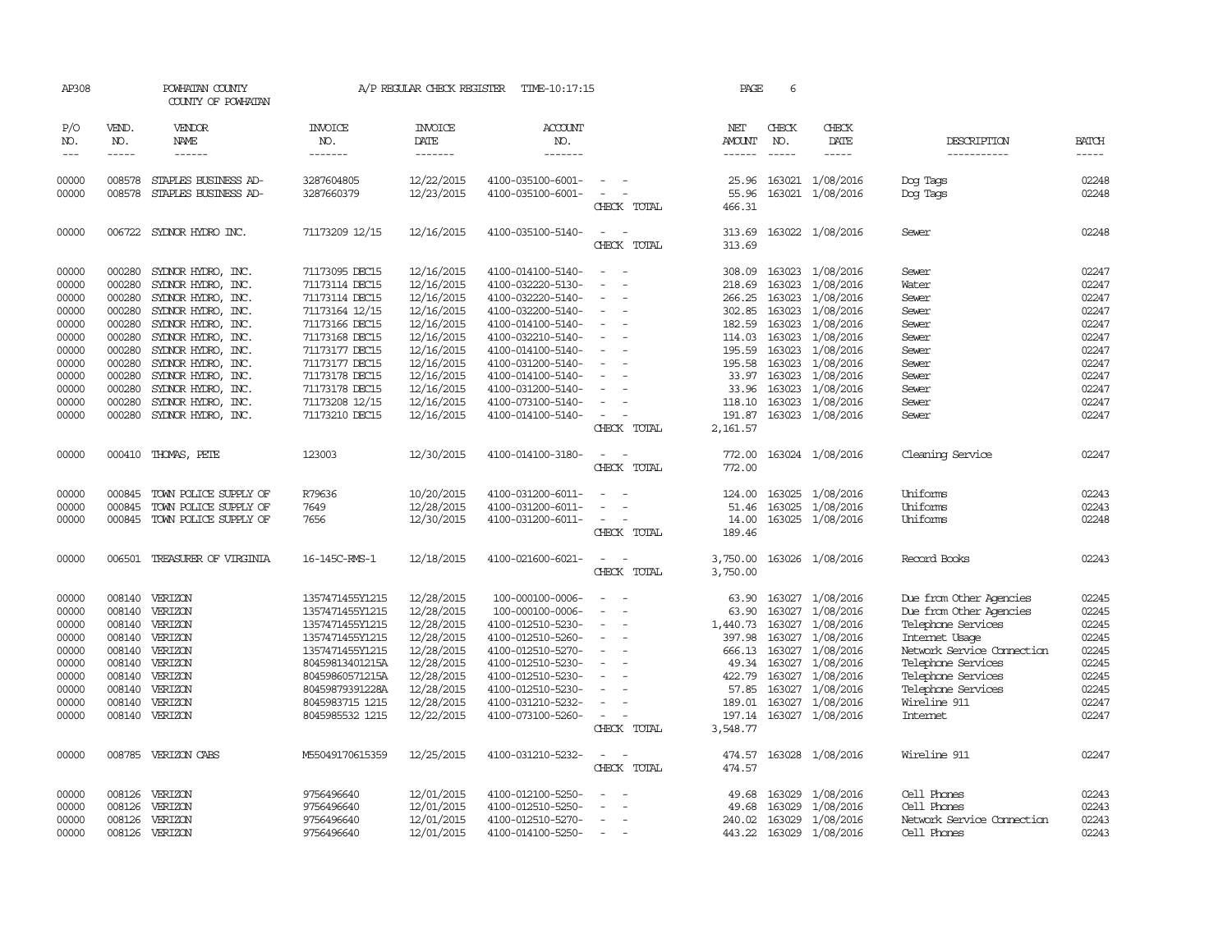| AP308      |               | POWHATAN COUNTY<br>COUNTY OF POWHATAN |                       | A/P REGULAR CHECK REGISTER | TIME-10:17:15         |                          | PAGE          | 6             |                         |                            |              |
|------------|---------------|---------------------------------------|-----------------------|----------------------------|-----------------------|--------------------------|---------------|---------------|-------------------------|----------------------------|--------------|
| P/O<br>NO. | VEND.<br>NO.  | <b>VENDOR</b><br>NAME                 | <b>INVOICE</b><br>NO. | <b>INVOICE</b><br>DATE     | <b>ACCOUNT</b><br>NO. |                          | NET<br>AMOUNT | CHECK<br>NO.  | CHECK<br>DATE           | DESCRIPTION                | <b>BATCH</b> |
| $---$      | $\frac{1}{2}$ | $- - - - - -$                         | -------               | -------                    | -------               |                          | $- - - - - -$ | $\frac{1}{2}$ | -----                   | -----------                | $- - - - -$  |
| 00000      | 008578        | STAPLES BUSINESS AD-                  | 3287604805            | 12/22/2015                 | 4100-035100-6001-     | $\overline{\phantom{a}}$ | 25.96         |               | 163021 1/08/2016        | Dog Tags                   | 02248        |
| 00000      | 008578        | STAPLES BUSINESS AD-                  | 3287660379            | 12/23/2015                 | 4100-035100-6001-     | $\overline{\phantom{a}}$ | 55.96         | 163021        | 1/08/2016               | Dog Tags                   | 02248        |
|            |               |                                       |                       |                            |                       | CHECK TOTAL              | 466.31        |               |                         |                            |              |
| 00000      | 006722        | SYLNOR HYDRO INC.                     | 71173209 12/15        | 12/16/2015                 | 4100-035100-5140-     |                          | 313.69        |               | 163022 1/08/2016        | Sewer                      | 02248        |
|            |               |                                       |                       |                            |                       | CHECK TOTAL              | 313.69        |               |                         |                            |              |
| 00000      | 000280        | SYDNOR HYDRO, INC.                    | 71173095 DEC15        | 12/16/2015                 | 4100-014100-5140-     |                          | 308.09        | 163023        | 1/08/2016               | Sewer                      | 02247        |
| 00000      | 000280        | SYLNOR HYDRO, INC.                    | 71173114 DEC15        | 12/16/2015                 | 4100-032220-5130-     |                          | 218.69        | 163023        | 1/08/2016               | Water                      | 02247        |
| 00000      | 000280        | SYDNOR HYDRO, INC.                    | 71173114 DEC15        | 12/16/2015                 | 4100-032220-5140-     |                          | 266.25        |               | 163023 1/08/2016        | Sewer                      | 02247        |
| 00000      | 000280        | SYDNOR HYDRO, INC.                    | 71173164 12/15        | 12/16/2015                 | 4100-032200-5140-     | $\equiv$                 | 302.85        | 163023        | 1/08/2016               | Sewer                      | 02247        |
| 00000      | 000280        | SYLNOR HYDRO, INC.                    | 71173166 DEC15        | 12/16/2015                 | 4100-014100-5140-     |                          | 182.59        | 163023        | 1/08/2016               | Sewer                      | 02247        |
| 00000      | 000280        | SYLNOR HYDRO, INC.                    | 71173168 DEC15        | 12/16/2015                 | 4100-032210-5140-     |                          | 114.03        |               | 163023 1/08/2016        | Sewer                      | 02247        |
| 00000      | 000280        | SYDNOR HYDRO, INC.                    | 71173177 DEC15        | 12/16/2015                 | 4100-014100-5140-     | $\overline{\phantom{a}}$ | 195.59        | 163023        | 1/08/2016               | Sewer                      | 02247        |
| 00000      | 000280        | SYLNOR HYDRO, INC.                    | 71173177 DEC15        | 12/16/2015                 | 4100-031200-5140-     |                          | 195.58        | 163023        | 1/08/2016               | Sewer                      | 02247        |
| 00000      | 000280        | SYLNOR HYDRO, INC.                    | 71173178 DEC15        | 12/16/2015                 | 4100-014100-5140-     |                          | 33.97         | 163023        | 1/08/2016               | Sewer                      | 02247        |
| 00000      | 000280        | SYDNOR HYDRO, INC.                    | 71173178 DEC15        | 12/16/2015                 | 4100-031200-5140-     |                          | 33.96         |               | 163023 1/08/2016        | Sewer                      | 02247        |
| 00000      | 000280        | SYLNOR HYDRO, INC.                    | 71173208 12/15        | 12/16/2015                 | 4100-073100-5140-     | $\sim$                   | 118.10        |               | 163023 1/08/2016        | Sewer                      | 02247        |
| 00000      | 000280        | SYDNOR HYDRO, INC.                    | 71173210 DEC15        | 12/16/2015                 | 4100-014100-5140-     | $\overline{\phantom{a}}$ | 191.87        |               | 163023 1/08/2016        | Sewer                      | 02247        |
|            |               |                                       |                       |                            |                       | CHECK TOTAL              | 2,161.57      |               |                         |                            |              |
| 00000      |               | 000410 THOMAS, PETE                   | 123003                | 12/30/2015                 | 4100-014100-3180-     |                          | 772.00        |               | 163024 1/08/2016        | Cleaning Service           | 02247        |
|            |               |                                       |                       |                            |                       | CHECK TOTAL              | 772.00        |               |                         |                            |              |
| 00000      | 000845        | TOWN POLICE SUPPLY OF                 | R79636                | 10/20/2015                 | 4100-031200-6011-     |                          | 124.00        |               | 163025 1/08/2016        | Uniforms                   | 02243        |
| 00000      | 000845        | TOWN POLICE SUPPLY OF                 | 7649                  | 12/28/2015                 | 4100-031200-6011-     | $\equiv$                 | 51.46         | 163025        | 1/08/2016               | Uniforms                   | 02243        |
| 00000      |               | 000845 TOWN POLICE SUPPLY OF          | 7656                  | 12/30/2015                 | 4100-031200-6011-     | $\overline{\phantom{a}}$ | 14.00         |               | 163025 1/08/2016        | Uniforms                   | 02248        |
|            |               |                                       |                       |                            |                       | CHECK TOTAL              | 189.46        |               |                         |                            |              |
| 00000      |               | 006501 TREASURER OF VIRGINIA          | 16-145C-RMS-1         | 12/18/2015                 | 4100-021600-6021-     | $\overline{\phantom{a}}$ | 3,750.00      |               | 163026 1/08/2016        | Record Books               | 02243        |
|            |               |                                       |                       |                            |                       | CHECK TOTAL              | 3,750.00      |               |                         |                            |              |
| 00000      | 008140        | VERIZON                               | 1357471455Y1215       | 12/28/2015                 | 100-000100-0006-      |                          | 63.90         |               | 163027 1/08/2016        | Due from Other Agencies    | 02245        |
| 00000      | 008140        | VERIZON                               | 1357471455Y1215       | 12/28/2015                 | 100-000100-0006-      |                          | 63.90         |               | 163027 1/08/2016        | Due from Other Agencies    | 02245        |
| 00000      |               | 008140 VERIZON                        | 1357471455Y1215       | 12/28/2015                 | 4100-012510-5230-     | $\overline{\phantom{a}}$ | 1,440.73      |               | 163027 1/08/2016        | Telephone Services         | 02245        |
| 00000      |               | 008140 VERIZON                        | 1357471455Y1215       | 12/28/2015                 | 4100-012510-5260-     |                          | 397.98        | 163027        | 1/08/2016               | Internet Usage             | 02245        |
| 00000      |               | 008140 VERIZON                        | 1357471455Y1215       | 12/28/2015                 | 4100-012510-5270-     |                          | 666.13        | 163027        | 1/08/2016               | Network Service Connection | 02245        |
| 00000      | 008140        | VERIZON                               | 80459813401215A       | 12/28/2015                 | 4100-012510-5230-     | $\overline{\phantom{a}}$ | 49.34         | 163027        | 1/08/2016               | Telephone Services         | 02245        |
| 00000      | 008140        | VERIZON                               | 80459860571215A       | 12/28/2015                 | 4100-012510-5230-     |                          | 422.79        | 163027        | 1/08/2016               | Telephone Services         | 02245        |
| 00000      | 008140        | VERIZON                               | 80459879391228A       | 12/28/2015                 | 4100-012510-5230-     |                          | 57.85         | 163027        | 1/08/2016               | Telephone Services         | 02245        |
| 00000      | 008140        | VERIZON                               | 8045983715 1215       | 12/28/2015                 | 4100-031210-5232-     |                          | 189.01        |               | 163027 1/08/2016        | Wireline 911               | 02247        |
| 00000      |               | 008140 VERIZON                        | 8045985532 1215       | 12/22/2015                 | 4100-073100-5260-     | $\overline{\phantom{a}}$ |               |               | 197.14 163027 1/08/2016 | <b>Internet</b>            | 02247        |
|            |               |                                       |                       |                            |                       | CHECK TOTAL              | 3,548.77      |               |                         |                            |              |
| 00000      |               | 008785 VERIZON CABS                   | M55049170615359       | 12/25/2015                 | 4100-031210-5232-     |                          | 474.57        |               | 163028 1/08/2016        | Wireline 911               | 02247        |
|            |               |                                       |                       |                            |                       | CHECK TOTAL              | 474.57        |               |                         |                            |              |
| 00000      | 008126        | VERIZON                               | 9756496640            | 12/01/2015                 | 4100-012100-5250-     |                          | 49.68         | 163029        | 1/08/2016               | Cell Phones                | 02243        |
| 00000      | 008126        | VERIZON                               | 9756496640            | 12/01/2015                 | 4100-012510-5250-     |                          | 49.68         | 163029        | 1/08/2016               | Cell Phones                | 02243        |
| 00000      | 008126        | VERIZON                               | 9756496640            | 12/01/2015                 | 4100-012510-5270-     |                          | 240.02        | 163029        | 1/08/2016               | Network Service Connection | 02243        |
| 00000      |               | 008126 VERIZON                        | 9756496640            | 12/01/2015                 | 4100-014100-5250-     | $\sim$                   | 443.22        |               | 163029 1/08/2016        | Cell Phones                | 02243        |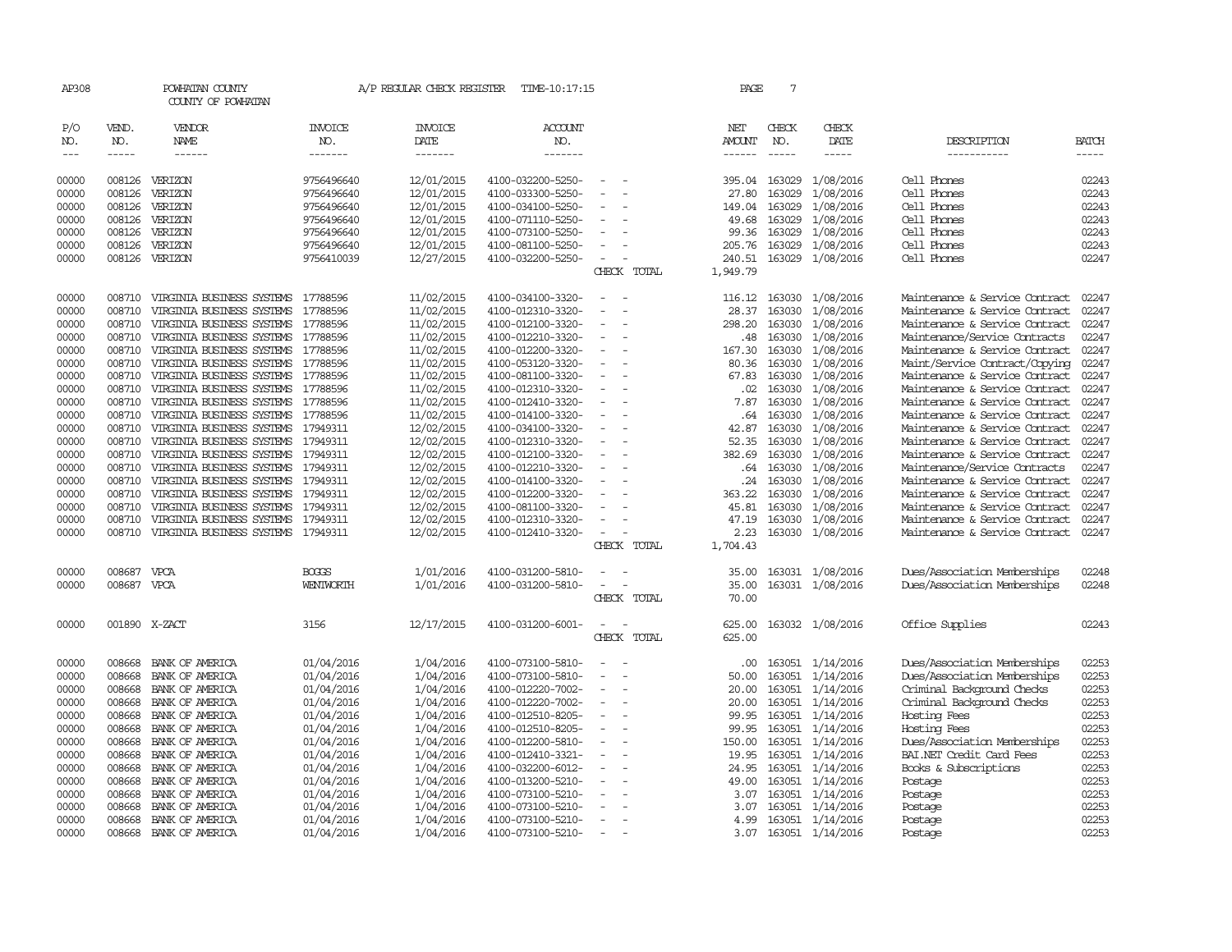| AP308               |                       | POWHATAN COUNTY<br>COUNTY OF POWHATAN                           |                           | A/P REGULAR CHECK REGISTER        | TIME-10:17:15                          |                                                      |             | PAGE                           | $7\phantom{.0}$             |                        |                                                                  |                             |
|---------------------|-----------------------|-----------------------------------------------------------------|---------------------------|-----------------------------------|----------------------------------------|------------------------------------------------------|-------------|--------------------------------|-----------------------------|------------------------|------------------------------------------------------------------|-----------------------------|
| P/O<br>NO.<br>$---$ | VEND.<br>NO.<br>----- | VENDOR<br>NAME<br>$- - - - - -$                                 | INVOICE<br>NO.<br>------- | <b>INVOICE</b><br>DATE<br>------- | <b>ACCOUNT</b><br>NO.<br>-------       |                                                      |             | NET<br>AMOUNT<br>$- - - - - -$ | CHECK<br>NO.<br>$- - - - -$ | CHECK<br>DATE<br>----- | DESCRIPTION<br>-----------                                       | <b>BATCH</b><br>$- - - - -$ |
|                     |                       |                                                                 |                           |                                   |                                        |                                                      |             |                                |                             |                        |                                                                  |                             |
| 00000               | 008126                | VERIZON                                                         | 9756496640                | 12/01/2015                        | 4100-032200-5250-                      | $\overline{\phantom{a}}$                             |             | 395.04                         | 163029                      | 1/08/2016              | Cell Phones                                                      | 02243                       |
| 00000               | 008126                | VERIZON                                                         | 9756496640                | 12/01/2015                        | 4100-033300-5250-                      | $\overline{\phantom{a}}$                             |             | 27.80                          | 163029                      | 1/08/2016              | Cell Phones                                                      | 02243                       |
| 00000               | 008126                | VERIZON                                                         | 9756496640                | 12/01/2015                        | 4100-034100-5250-                      |                                                      |             | 149.04                         | 163029                      | 1/08/2016              | Cell Phones                                                      | 02243                       |
| 00000               | 008126<br>008126      | VERIZON<br>VERIZON                                              | 9756496640                | 12/01/2015<br>12/01/2015          | 4100-071110-5250-<br>4100-073100-5250- | $\overline{\phantom{a}}$                             |             | 49.68<br>99.36                 | 163029<br>163029            | 1/08/2016<br>1/08/2016 | Cell Phones<br>Cell Phones                                       | 02243<br>02243              |
| 00000<br>00000      | 008126                | VERIZON                                                         | 9756496640<br>9756496640  | 12/01/2015                        | 4100-081100-5250-                      |                                                      |             | 205.76                         | 163029                      | 1/08/2016              | Cell Phones                                                      | 02243                       |
| 00000               | 008126                | VERIZON                                                         | 9756410039                | 12/27/2015                        | 4100-032200-5250-                      |                                                      |             | 240.51                         |                             | 163029 1/08/2016       | Cell Phones                                                      | 02247                       |
|                     |                       |                                                                 |                           |                                   |                                        |                                                      | CHECK TOTAL | 1,949.79                       |                             |                        |                                                                  |                             |
|                     |                       |                                                                 |                           |                                   |                                        |                                                      |             |                                |                             |                        |                                                                  |                             |
| 00000               | 008710                | VIRGINIA BUSINESS SYSTEMS 17788596                              |                           | 11/02/2015                        | 4100-034100-3320-                      |                                                      |             | 116.12                         |                             | 163030 1/08/2016       | Maintenance & Service Contract                                   | 02247                       |
| 00000               | 008710                | VIRGINIA BUSINESS SYSTEMS                                       | 17788596                  | 11/02/2015                        | 4100-012310-3320-                      |                                                      |             | 28.37                          | 163030                      | 1/08/2016              | Maintenance & Service Contract                                   | 02247                       |
| 00000               | 008710                | VIRGINIA BUSINESS SYSTEMS 17788596                              |                           | 11/02/2015                        | 4100-012100-3320-                      | $\equiv$                                             |             | 298.20                         |                             | 163030 1/08/2016       | Maintenance & Service Contract                                   | 02247                       |
| 00000               | 008710                | VIRGINIA BUSINESS SYSTEMS                                       | 17788596                  | 11/02/2015                        | 4100-012210-3320-                      | $\overline{\phantom{a}}$                             |             | .48                            | 163030                      | 1/08/2016              | Maintenance/Service Contracts                                    | 02247                       |
| 00000               | 008710                | VIRGINIA BUSINESS SYSTEMS                                       | 17788596                  | 11/02/2015                        | 4100-012200-3320-                      |                                                      |             | 167.30                         | 163030                      | 1/08/2016              | Maintenance & Service Contract                                   | 02247<br>02247              |
| 00000               | 008710                | VIRGINIA BUSINESS SYSTEMS 17788596                              |                           | 11/02/2015                        | 4100-053120-3320-                      | $\overline{\phantom{a}}$<br>$\overline{\phantom{a}}$ |             | 80.36                          | 163030<br>163030            | 1/08/2016              | Maint/Service Contract/Copying<br>Maintenance & Service Contract | 02247                       |
| 00000<br>00000      | 008710<br>008710      | VIRGINIA BUSINESS SYSTEMS 17788596<br>VIRGINIA BUSINESS SYSTEMS | 17788596                  | 11/02/2015<br>11/02/2015          | 4100-081100-3320-<br>4100-012310-3320- |                                                      |             | 67.83<br>$.02 \,$              | 163030                      | 1/08/2016<br>1/08/2016 | Maintenance & Service Contract                                   | 02247                       |
| 00000               | 008710                | VIRGINIA BUSINESS SYSTEMS                                       | 17788596                  | 11/02/2015                        | 4100-012410-3320-                      |                                                      |             | 7.87                           | 163030                      | 1/08/2016              | Maintenance & Service Contract                                   | 02247                       |
| 00000               | 008710                | VIRGINIA BUSINESS SYSTEMS 17788596                              |                           | 11/02/2015                        | 4100-014100-3320-                      | $\overline{\phantom{a}}$                             |             | .64                            | 163030                      | 1/08/2016              | Maintenance & Service Contract                                   | 02247                       |
| 00000               | 008710                | VIRGINIA BUSINESS SYSTEMS 17949311                              |                           | 12/02/2015                        | 4100-034100-3320-                      |                                                      |             | 42.87                          | 163030                      | 1/08/2016              | Maintenance & Service Contract                                   | 02247                       |
| 00000               | 008710                | VIRGINIA BUSINESS SYSTEMS 17949311                              |                           | 12/02/2015                        | 4100-012310-3320-                      | $\overline{\phantom{a}}$                             |             | 52.35                          |                             | 163030 1/08/2016       | Maintenance & Service Contract                                   | 02247                       |
| 00000               | 008710                | VIRGINIA BUSINESS SYSTEMS 17949311                              |                           | 12/02/2015                        | 4100-012100-3320-                      |                                                      |             | 382.69                         |                             | 163030 1/08/2016       | Maintenance & Service Contract                                   | 02247                       |
| 00000               | 008710                | VIRGINIA BUSINESS SYSTEMS                                       | 17949311                  | 12/02/2015                        | 4100-012210-3320-                      |                                                      |             | .64                            | 163030                      | 1/08/2016              | Maintenance/Service Contracts                                    | 02247                       |
| 00000               | 008710                | VIRGINIA BUSINESS SYSTEMS                                       | 17949311                  | 12/02/2015                        | 4100-014100-3320-                      |                                                      |             | .24                            | 163030                      | 1/08/2016              | Maintenance & Service Contract                                   | 02247                       |
| 00000               | 008710                | VIRGINIA BUSINESS SYSTEMS                                       | 17949311                  | 12/02/2015                        | 4100-012200-3320-                      |                                                      |             | 363.22                         | 163030                      | 1/08/2016              | Maintenance & Service Contract                                   | 02247                       |
| 00000               | 008710                | VIRGINIA BUSINESS SYSTEMS                                       | 17949311                  | 12/02/2015                        | 4100-081100-3320-                      |                                                      |             | 45.81                          | 163030                      | 1/08/2016              | Maintenance & Service Contract                                   | 02247                       |
| 00000               | 008710                | VIRGINIA BUSINESS SYSTEMS                                       | 17949311                  | 12/02/2015                        | 4100-012310-3320-                      |                                                      |             | 47.19                          | 163030                      | 1/08/2016              | Maintenance & Service Contract                                   | 02247                       |
| 00000               | 008710                | VIRGINIA BUSINESS SYSTEMS 17949311                              |                           | 12/02/2015                        | 4100-012410-3320-                      | $\overline{\phantom{a}}$                             |             | 2.23                           |                             | 163030 1/08/2016       | Maintenance & Service Contract                                   | 02247                       |
|                     |                       |                                                                 |                           |                                   |                                        |                                                      | CHECK TOTAL | 1,704.43                       |                             |                        |                                                                  |                             |
| 00000               | 008687                | VPCA                                                            | <b>BOGGS</b>              | 1/01/2016                         | 4100-031200-5810-                      |                                                      |             | 35.00                          |                             | 163031 1/08/2016       | Dues/Association Memberships                                     | 02248                       |
| 00000               | 008687 VPCA           |                                                                 | WENTWORTH                 | 1/01/2016                         | 4100-031200-5810-                      |                                                      |             | 35.00                          |                             | 163031 1/08/2016       | Dues/Association Memberships                                     | 02248                       |
|                     |                       |                                                                 |                           |                                   |                                        |                                                      | CHECK TOTAL | 70.00                          |                             |                        |                                                                  |                             |
| 00000               |                       | 001890 X-ZACT                                                   | 3156                      | 12/17/2015                        | 4100-031200-6001-                      |                                                      |             | 625.00                         |                             | 163032 1/08/2016       | Office Supplies                                                  | 02243                       |
|                     |                       |                                                                 |                           |                                   |                                        |                                                      | CHECK TOTAL | 625.00                         |                             |                        |                                                                  |                             |
| 00000               | 008668                | BANK OF AMERICA                                                 | 01/04/2016                | 1/04/2016                         | 4100-073100-5810-                      |                                                      |             | .00.                           |                             | 163051 1/14/2016       | Dues/Association Memberships                                     | 02253                       |
| 00000               | 008668                | BANK OF AMERICA                                                 | 01/04/2016                | 1/04/2016                         | 4100-073100-5810-                      |                                                      |             | 50.00                          |                             | 163051 1/14/2016       | Dues/Association Memberships                                     | 02253                       |
| 00000               | 008668                | BANK OF AMERICA                                                 | 01/04/2016                | 1/04/2016                         | 4100-012220-7002-                      |                                                      |             | 20.00                          |                             | 163051 1/14/2016       | Criminal Background Checks                                       | 02253                       |
| 00000               | 008668                | BANK OF AMERICA                                                 | 01/04/2016                | 1/04/2016                         | 4100-012220-7002-                      | $\overline{\phantom{a}}$                             |             | 20.00                          |                             | 163051 1/14/2016       | Criminal Background Checks                                       | 02253                       |
| 00000               | 008668                | BANK OF AMERICA                                                 | 01/04/2016                | 1/04/2016                         | 4100-012510-8205-                      | $\overline{\phantom{a}}$                             |             | 99.95                          |                             | 163051 1/14/2016       | Hosting Fees                                                     | 02253                       |
| 00000               | 008668                | BANK OF AMERICA                                                 | 01/04/2016                | 1/04/2016                         | 4100-012510-8205-                      |                                                      |             | 99.95                          |                             | 163051 1/14/2016       | Hosting Fees                                                     | 02253                       |
| 00000               | 008668                | BANK OF AMERICA                                                 | 01/04/2016                | 1/04/2016                         | 4100-012200-5810-                      | $\equiv$                                             |             | 150.00                         |                             | 163051 1/14/2016       | Dues/Association Memberships                                     | 02253                       |
| 00000               | 008668                | BANK OF AMERICA                                                 | 01/04/2016                | 1/04/2016                         | 4100-012410-3321-                      |                                                      |             | 19.95                          |                             | 163051 1/14/2016       | BAI.NET Credit Card Fees                                         | 02253                       |
| 00000               | 008668                | BANK OF AMERICA                                                 | 01/04/2016                | 1/04/2016                         | 4100-032200-6012-                      | $\overline{\phantom{a}}$                             |             | 24.95                          |                             | 163051 1/14/2016       | Books & Subscriptions                                            | 02253                       |
| 00000               | 008668                | BANK OF AMERICA                                                 | 01/04/2016                | 1/04/2016                         | 4100-013200-5210-                      |                                                      |             | 49.00                          |                             | 163051 1/14/2016       | Postage                                                          | 02253                       |
| 00000               | 008668                | BANK OF AMERICA                                                 | 01/04/2016                | 1/04/2016                         | 4100-073100-5210-                      | $\overline{\phantom{a}}$                             |             | 3.07                           |                             | 163051 1/14/2016       | Postage                                                          | 02253                       |
| 00000               | 008668                | BANK OF AMERICA                                                 | 01/04/2016                | 1/04/2016                         | 4100-073100-5210-                      |                                                      |             | 3.07                           |                             | 163051 1/14/2016       | Postage                                                          | 02253                       |
| 00000               | 008668                | BANK OF AMERICA                                                 | 01/04/2016                | 1/04/2016                         | 4100-073100-5210-                      | $\overline{\phantom{a}}$                             |             | 4.99                           |                             | 163051 1/14/2016       | Postage                                                          | 02253                       |
| 00000               | 008668                | BANK OF AMERICA                                                 | 01/04/2016                | 1/04/2016                         | 4100-073100-5210-                      | $\sim$                                               |             | 3.07                           |                             | 163051 1/14/2016       | Postage                                                          | 02253                       |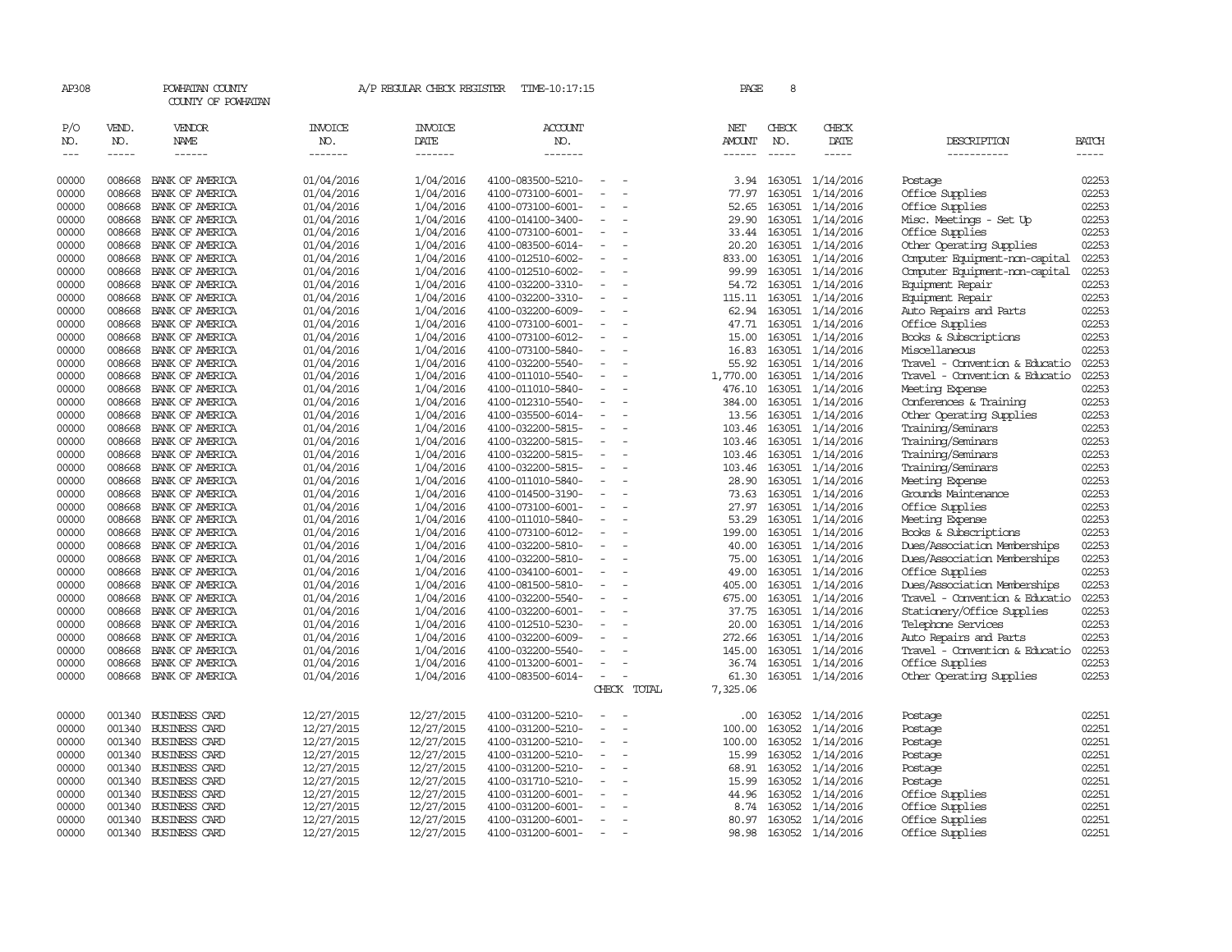| AP308               |                             | POWHATAN COUNTY<br>COUNTY OF POWHATAN  |                                  | A/P REGULAR CHECK REGISTER        | TIME-10:17:15                          |                          |             | PAGE                                  | 8                     |                               |                                                    |                       |
|---------------------|-----------------------------|----------------------------------------|----------------------------------|-----------------------------------|----------------------------------------|--------------------------|-------------|---------------------------------------|-----------------------|-------------------------------|----------------------------------------------------|-----------------------|
| P/O<br>NO.<br>$---$ | VEND.<br>NO.<br>$- - - - -$ | VENDOR<br><b>NAME</b><br>$- - - - - -$ | <b>INVOICE</b><br>NO.<br>------- | <b>INVOICE</b><br>DATE<br>------- | ACCOUNT<br>NO.<br>-------              |                          |             | NET<br><b>AMOUNT</b><br>$- - - - - -$ | CHECK<br>NO.<br>----- | CHECK<br>DATE<br>-----        | DESCRIPTION<br>-----------                         | <b>BATCH</b><br>----- |
| 00000               | 008668                      | BANK OF AMERICA                        | 01/04/2016                       | 1/04/2016                         | 4100-083500-5210-                      |                          |             | 3.94                                  |                       | 163051 1/14/2016              | Postage                                            | 02253                 |
| 00000               | 008668                      | BANK OF AMERICA                        | 01/04/2016                       | 1/04/2016                         | 4100-073100-6001-                      |                          |             | 77.97                                 | 163051                | 1/14/2016                     | Office Supplies                                    | 02253                 |
| 00000               | 008668                      | BANK OF AMERICA                        | 01/04/2016                       | 1/04/2016                         | 4100-073100-6001-                      |                          |             | 52.65                                 | 163051                | 1/14/2016                     | Office Supplies                                    | 02253                 |
| 00000               | 008668                      | BANK OF AMERICA                        | 01/04/2016                       | 1/04/2016                         | 4100-014100-3400-                      | $\sim$                   |             | 29.90                                 | 163051                | 1/14/2016                     | Misc. Meetings - Set Up                            | 02253                 |
| 00000               | 008668                      | BANK OF AMERICA                        | 01/04/2016                       | 1/04/2016                         | 4100-073100-6001-                      | $\equiv$                 |             | 33.44                                 | 163051                | 1/14/2016                     | Office Supplies                                    | 02253                 |
| 00000               | 008668                      | BANK OF AMERICA                        | 01/04/2016                       | 1/04/2016                         | 4100-083500-6014-                      |                          |             | 20.20                                 |                       | 163051 1/14/2016              | Other Operating Supplies                           | 02253                 |
| 00000               | 008668                      | BANK OF AMERICA                        | 01/04/2016                       | 1/04/2016                         | 4100-012510-6002-                      | $\equiv$                 |             | 833.00                                |                       | 163051 1/14/2016              | Computer Equipment-non-capital                     | 02253                 |
| 00000               | 008668                      | BANK OF AMERICA                        | 01/04/2016                       | 1/04/2016                         | 4100-012510-6002-                      | $\sim$                   |             | 99.99                                 | 163051                | 1/14/2016                     | Computer Equipment-non-capital                     | 02253                 |
| 00000               | 008668                      | BANK OF AMERICA                        | 01/04/2016                       | 1/04/2016                         | 4100-032200-3310-                      | $\sim$                   |             | 54.72                                 |                       | 163051 1/14/2016              | Equipment Repair                                   | 02253                 |
| 00000               | 008668                      | BANK OF AMERICA                        | 01/04/2016                       | 1/04/2016                         | 4100-032200-3310-                      | $\overline{\phantom{a}}$ |             | 115.11                                |                       | 163051 1/14/2016              | Equipment Repair                                   | 02253                 |
| 00000               | 008668                      | BANK OF AMERICA                        | 01/04/2016                       | 1/04/2016                         | 4100-032200-6009-                      | $\sim$                   |             | 62.94                                 |                       | 163051 1/14/2016              | Auto Repairs and Parts                             | 02253                 |
| 00000               | 008668                      | BANK OF AMERICA                        | 01/04/2016                       | 1/04/2016                         | 4100-073100-6001-                      | $\equiv$                 |             | 47.71                                 | 163051                | 1/14/2016                     | Office Supplies                                    | 02253                 |
| 00000               | 008668                      | BANK OF AMERICA                        | 01/04/2016                       | 1/04/2016                         | 4100-073100-6012-                      |                          |             | 15.00                                 |                       | 163051 1/14/2016              | Books & Subscriptions                              | 02253                 |
| 00000               | 008668                      | BANK OF AMERICA                        | 01/04/2016                       | 1/04/2016                         | 4100-073100-5840-                      | $\equiv$                 |             | 16.83                                 |                       | 163051 1/14/2016              | Miscellaneous                                      | 02253                 |
| 00000               | 008668                      | BANK OF AMERICA                        | 01/04/2016                       | 1/04/2016                         | 4100-032200-5540-                      | $\overline{\phantom{a}}$ |             | 55.92                                 |                       | 163051 1/14/2016              | Travel - Convention & Educatio                     | 02253<br>02253        |
| 00000<br>00000      | 008668<br>008668            | BANK OF AMERICA<br>BANK OF AMERICA     | 01/04/2016                       | 1/04/2016<br>1/04/2016            | 4100-011010-5540-                      | $\overline{\phantom{a}}$ |             | 1,770.00<br>476.10                    |                       | 163051 1/14/2016              | Travel - Convention & Educatio                     | 02253                 |
| 00000               | 008668                      | BANK OF AMERICA                        | 01/04/2016                       |                                   | 4100-011010-5840-<br>4100-012310-5540- | $\overline{\phantom{a}}$ |             | 384.00                                | 163051                | 163051 1/14/2016              | Meeting Expense                                    | 02253                 |
| 00000               | 008668                      | BANK OF AMERICA                        | 01/04/2016<br>01/04/2016         | 1/04/2016<br>1/04/2016            | 4100-035500-6014-                      | $\equiv$                 |             | 13.56                                 |                       | 1/14/2016<br>163051 1/14/2016 | Conferences & Training<br>Other Operating Supplies | 02253                 |
| 00000               | 008668                      | BANK OF AMERICA                        | 01/04/2016                       | 1/04/2016                         | 4100-032200-5815-                      | $\overline{\phantom{a}}$ |             | 103.46                                |                       | 163051 1/14/2016              | Training/Seminars                                  | 02253                 |
| 00000               | 008668                      | BANK OF AMERICA                        | 01/04/2016                       | 1/04/2016                         | 4100-032200-5815-                      | $\overline{\phantom{a}}$ |             | 103.46                                |                       | 163051 1/14/2016              | Training/Seminars                                  | 02253                 |
| 00000               | 008668                      | BANK OF AMERICA                        | 01/04/2016                       | 1/04/2016                         | 4100-032200-5815-                      | $\equiv$                 |             | 103.46                                | 163051                | 1/14/2016                     | Training/Seminars                                  | 02253                 |
| 00000               | 008668                      | BANK OF AMERICA                        | 01/04/2016                       | 1/04/2016                         | 4100-032200-5815-                      |                          |             | 103.46                                | 163051                | 1/14/2016                     | Training/Seminars                                  | 02253                 |
| 00000               | 008668                      | BANK OF AMERICA                        | 01/04/2016                       | 1/04/2016                         | 4100-011010-5840-                      | $\overline{\phantom{a}}$ |             | 28.90                                 |                       | 163051 1/14/2016              | Meeting Expense                                    | 02253                 |
| 00000               | 008668                      | BANK OF AMERICA                        | 01/04/2016                       | 1/04/2016                         | 4100-014500-3190-                      | $\overline{\phantom{a}}$ |             | 73.63                                 |                       | 163051 1/14/2016              | Grounds Maintenance                                | 02253                 |
| 00000               | 008668                      | BANK OF AMERICA                        | 01/04/2016                       | 1/04/2016                         | 4100-073100-6001-                      | $\equiv$                 |             | 27.97                                 |                       | 163051 1/14/2016              | Office Supplies                                    | 02253                 |
| 00000               | 008668                      | BANK OF AMERICA                        | 01/04/2016                       | 1/04/2016                         | 4100-011010-5840-                      |                          |             | 53.29                                 |                       | 163051 1/14/2016              | Meeting Expense                                    | 02253                 |
| 00000               | 008668                      | BANK OF AMERICA                        | 01/04/2016                       | 1/04/2016                         | 4100-073100-6012-                      | $\equiv$                 |             | 199.00                                |                       | 163051 1/14/2016              | Books & Subscriptions                              | 02253                 |
| 00000               | 008668                      | BANK OF AMERICA                        | 01/04/2016                       | 1/04/2016                         | 4100-032200-5810-                      | $\equiv$                 |             | 40.00                                 | 163051                | 1/14/2016                     | Dues/Association Memberships                       | 02253                 |
| 00000               | 008668                      | BANK OF AMERICA                        | 01/04/2016                       | 1/04/2016                         | 4100-032200-5810-                      |                          |             | 75.00                                 |                       | 163051 1/14/2016              | Dues/Association Memberships                       | 02253                 |
| 00000               | 008668                      | BANK OF AMERICA                        | 01/04/2016                       | 1/04/2016                         | 4100-034100-6001-                      | $\equiv$                 |             | 49.00                                 |                       | 163051 1/14/2016              | Office Supplies                                    | 02253                 |
| 00000               | 008668                      | BANK OF AMERICA                        | 01/04/2016                       | 1/04/2016                         | 4100-081500-5810-                      | $\equiv$                 |             | 405.00                                | 163051                | 1/14/2016                     | Dues/Association Memberships                       | 02253                 |
| 00000               | 008668                      | BANK OF AMERICA                        | 01/04/2016                       | 1/04/2016                         | 4100-032200-5540-                      | $\equiv$                 |             | 675.00                                |                       | 163051 1/14/2016              | Travel - Convention & Educatio                     | 02253                 |
| 00000               | 008668                      | BANK OF AMERICA                        | 01/04/2016                       | 1/04/2016                         | 4100-032200-6001-                      |                          |             | 37.75                                 |                       | 163051 1/14/2016              | Stationery/Office Supplies                         | 02253                 |
| 00000               | 008668                      | BANK OF AMERICA                        | 01/04/2016                       | 1/04/2016                         | 4100-012510-5230-                      | $\sim$                   |             | 20.00                                 |                       | 163051 1/14/2016              | Telephone Services                                 | 02253                 |
| 00000               | 008668                      | BANK OF AMERICA                        | 01/04/2016                       | 1/04/2016                         | 4100-032200-6009-                      |                          |             | 272.66                                |                       | 163051 1/14/2016              | Auto Repairs and Parts                             | 02253                 |
| 00000               | 008668                      | BANK OF AMERICA                        | 01/04/2016                       | 1/04/2016                         | 4100-032200-5540-                      |                          |             | 145.00                                | 163051                | 1/14/2016                     | Travel - Convention & Educatio                     | 02253                 |
| 00000               | 008668                      | BANK OF AMERICA                        | 01/04/2016                       | 1/04/2016                         | 4100-013200-6001-                      | $\equiv$                 |             | 36.74                                 |                       | 163051 1/14/2016              | Office Supplies                                    | 02253                 |
| 00000               | 008668                      | BANK OF AMERICA                        | 01/04/2016                       | 1/04/2016                         | 4100-083500-6014-                      | $\sim$                   |             | 61.30                                 |                       | 163051 1/14/2016              | Other Operating Supplies                           | 02253                 |
|                     |                             |                                        |                                  |                                   |                                        |                          | CHECK TOTAL | 7,325.06                              |                       |                               |                                                    |                       |
| 00000               | 001340                      | <b>BUSINESS CARD</b>                   | 12/27/2015                       | 12/27/2015                        | 4100-031200-5210-                      |                          |             | .00                                   | 163052                | 1/14/2016                     | Postage                                            | 02251                 |
| 00000               | 001340                      | <b>BUSINESS CARD</b>                   | 12/27/2015                       | 12/27/2015                        | 4100-031200-5210-                      |                          |             | 100.00                                | 163052                | 1/14/2016                     | Postage                                            | 02251                 |
| 00000               | 001340                      | <b>BUSINESS CARD</b>                   | 12/27/2015                       | 12/27/2015                        | 4100-031200-5210-                      |                          |             | 100.00                                |                       | 163052 1/14/2016              | Postage                                            | 02251                 |
| 00000               | 001340                      | <b>BUSINESS CARD</b>                   | 12/27/2015                       | 12/27/2015                        | 4100-031200-5210-                      | $\equiv$                 |             | 15.99                                 |                       | 163052 1/14/2016              | Postage                                            | 02251                 |
| 00000               | 001340                      | <b>BUSINESS CARD</b>                   | 12/27/2015                       | 12/27/2015                        | 4100-031200-5210-                      |                          |             | 68.91                                 |                       | 163052 1/14/2016              | Postage                                            | 02251                 |
| 00000               | 001340                      | <b>BUSINESS CARD</b>                   | 12/27/2015                       | 12/27/2015                        | 4100-031710-5210-                      |                          |             | 15.99                                 | 163052                | 1/14/2016                     | Postage                                            | 02251                 |
| 00000               | 001340                      | <b>BUSINESS CARD</b>                   | 12/27/2015                       | 12/27/2015                        | 4100-031200-6001-                      |                          |             | 44.96                                 | 163052                | 1/14/2016                     | Office Supplies                                    | 02251                 |
| 00000               | 001340                      | <b>BUSINESS CARD</b>                   | 12/27/2015                       | 12/27/2015                        | 4100-031200-6001-                      |                          |             | 8.74                                  | 163052                | 1/14/2016                     | Office Supplies                                    | 02251                 |
| 00000               | 001340                      | <b>BUSINESS CARD</b>                   | 12/27/2015                       | 12/27/2015                        | 4100-031200-6001-                      |                          |             | 80.97                                 | 163052                | 1/14/2016                     | Office Supplies                                    | 02251                 |
| 00000               | 001340                      | <b>BUSINESS CARD</b>                   | 12/27/2015                       | 12/27/2015                        | 4100-031200-6001-                      | $\sim$                   |             | 98.98                                 |                       | 163052 1/14/2016              | Office Supplies                                    | 02251                 |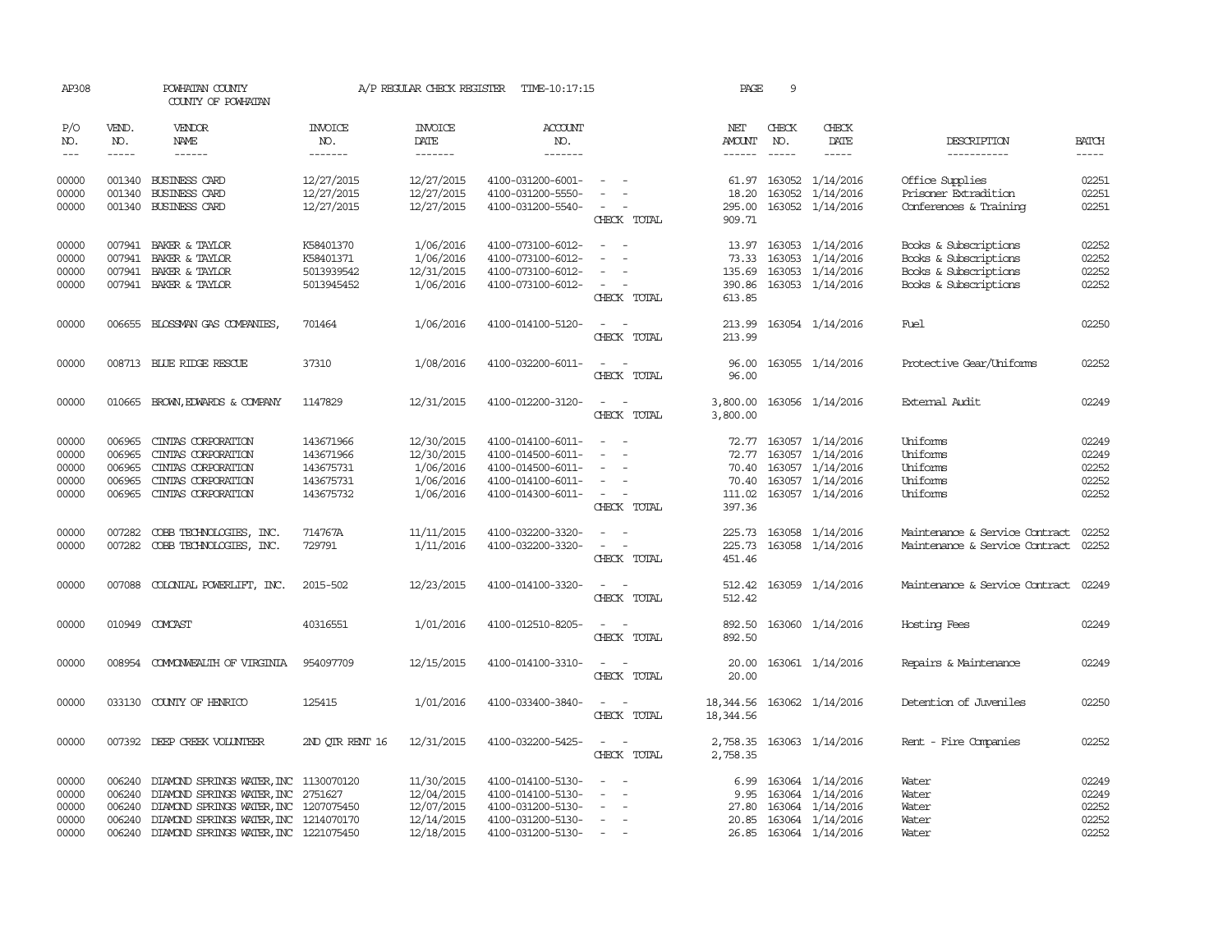| AP308                   |                          | POWHATAN COUNTY<br>COUNTY OF POWHATAN                                |                                        | A/P REGULAR CHECK REGISTER             | TIME-10:17:15                                               |                                                                                                                             | PAGE                    | 9                                      |                                                                      |                                                                   |                             |
|-------------------------|--------------------------|----------------------------------------------------------------------|----------------------------------------|----------------------------------------|-------------------------------------------------------------|-----------------------------------------------------------------------------------------------------------------------------|-------------------------|----------------------------------------|----------------------------------------------------------------------|-------------------------------------------------------------------|-----------------------------|
| P/O<br>NO.<br>$---$     | VEND.<br>NO.<br>$\cdots$ | <b>VENDOR</b><br><b>NAME</b><br>------                               | <b>INVOICE</b><br>NO.<br>-------       | <b>INVOICE</b><br>DATE<br>-------      | <b>ACCOUNT</b><br>NO.<br>-------                            |                                                                                                                             | NET<br><b>AMOUNT</b>    | CHECK<br>NO.<br>$\cdots \cdots \cdots$ | CHECK<br>DATE<br>$- - - - -$                                         | DESCRIPTION<br>-----------                                        | <b>BATCH</b><br>$- - - - -$ |
| 00000<br>00000<br>00000 | 001340                   | 001340 BUSINESS CARD<br><b>BUSINESS CARD</b><br>001340 BUSINESS CARD | 12/27/2015<br>12/27/2015<br>12/27/2015 | 12/27/2015<br>12/27/2015<br>12/27/2015 | 4100-031200-6001-<br>4100-031200-5550-<br>4100-031200-5540- | $\sim$<br>$\sim$                                                                                                            | 295.00                  |                                        | 61.97 163052 1/14/2016<br>18.20 163052 1/14/2016<br>163052 1/14/2016 | Office Supplies<br>Prisoner Extradition<br>Conferences & Training | 02251<br>02251<br>02251     |
|                         |                          |                                                                      |                                        |                                        |                                                             | CHECK TOTAL                                                                                                                 | 909.71                  |                                        |                                                                      |                                                                   |                             |
| 00000                   |                          | 007941 BAKER & TAYLOR                                                | K58401370                              | 1/06/2016                              | 4100-073100-6012-                                           |                                                                                                                             |                         |                                        | 13.97 163053 1/14/2016                                               | Books & Subscriptions                                             | 02252                       |
| 00000                   | 007941                   | BAKER & TAYLOR                                                       | K58401371                              | 1/06/2016                              | 4100-073100-6012-                                           | $\overline{\phantom{a}}$<br>$\overline{\phantom{a}}$                                                                        |                         |                                        | 73.33 163053 1/14/2016                                               | Books & Subscriptions                                             | 02252                       |
| 00000                   |                          | 007941 BAKER & TAYLOR                                                | 5013939542                             | 12/31/2015                             | 4100-073100-6012-                                           | $\sim$                                                                                                                      | 135.69                  |                                        | 163053 1/14/2016                                                     | Books & Subscriptions                                             | 02252                       |
| 00000                   |                          | 007941 BAKER & TAYLOR                                                | 5013945452                             | 1/06/2016                              | 4100-073100-6012-                                           | $\sim$ $\sim$<br>CHECK TOTAL                                                                                                | 613.85                  |                                        | 390.86 163053 1/14/2016                                              | Books & Subscriptions                                             | 02252                       |
| 00000                   |                          | 006655 BLOSSMAN GAS COMPANIES,                                       | 701464                                 | 1/06/2016                              | 4100-014100-5120-                                           | CHECK TOTAL                                                                                                                 | 213.99<br>213.99        |                                        | 163054 1/14/2016                                                     | Fuel                                                              | 02250                       |
| 00000                   |                          | 008713 BLUE RIDGE RESCUE                                             | 37310                                  | 1/08/2016                              | 4100-032200-6011-                                           | $\sim$<br>CHECK TOTAL                                                                                                       | 96.00<br>96.00          |                                        | 163055 1/14/2016                                                     | Protective Gear/Uniforms                                          | 02252                       |
| 00000                   |                          | 010665 BROWN, EDWARDS & COMPANY                                      | 1147829                                | 12/31/2015                             | 4100-012200-3120-                                           | $\sim$<br>$\sim$<br>CHECK TOTAL                                                                                             | 3,800.00                |                                        | 3,800.00 163056 1/14/2016                                            | External Audit                                                    | 02249                       |
| 00000                   |                          | 006965 CINIAS CORPORATION                                            | 143671966                              | 12/30/2015                             | 4100-014100-6011-                                           | $\sim$ $-$                                                                                                                  |                         |                                        | 72.77 163057 1/14/2016                                               | Uniforms                                                          | 02249                       |
| 00000                   | 006965                   | CINIAS CORPORATION                                                   | 143671966                              | 12/30/2015                             | 4100-014500-6011-                                           | $\sim$                                                                                                                      | 72.77                   |                                        | 163057 1/14/2016                                                     | Uniforms                                                          | 02249                       |
| 00000                   | 006965                   | CINIAS CORPORATION                                                   | 143675731                              | 1/06/2016                              | 4100-014500-6011-                                           | $\sim$                                                                                                                      |                         |                                        | 70.40 163057 1/14/2016                                               | Uniforms                                                          | 02252                       |
| 00000                   | 006965                   | CINIAS CORPORATION                                                   | 143675731                              | 1/06/2016                              | 4100-014100-6011-                                           | $\sim$                                                                                                                      |                         |                                        | 70.40 163057 1/14/2016                                               | Uniforms                                                          | 02252                       |
| 00000                   | 006965                   | CINIAS CORPORATION                                                   | 143675732                              | 1/06/2016                              | 4100-014300-6011-                                           | $\sim$<br>CHECK TOTAL                                                                                                       | 397.36                  |                                        | 111.02 163057 1/14/2016                                              | Uniforms                                                          | 02252                       |
| 00000                   | 007282                   | COBB TECHNOLOGIES, INC.                                              | 714767A                                | 11/11/2015                             | 4100-032200-3320-                                           | $\sim$<br>$\sim$                                                                                                            |                         |                                        | 225.73 163058 1/14/2016                                              | Maintenance & Service Contract                                    | 02252                       |
| 00000                   | 007282                   | COBB TECHNOLOGIES, INC.                                              | 729791                                 | 1/11/2016                              | 4100-032200-3320-                                           | $\sim$<br>$\sim$<br>CHECK TOTAL                                                                                             | 225.73<br>451.46        |                                        | 163058 1/14/2016                                                     | Maintenance & Service Contract                                    | 02252                       |
| 00000                   |                          | 007088 COLONIAL POWERLIFT, INC.                                      | 2015-502                               | 12/23/2015                             | 4100-014100-3320-                                           | $\sim$<br>$\sim$                                                                                                            | 512.42                  |                                        | 163059 1/14/2016                                                     | Maintenance & Service Contract 02249                              |                             |
|                         |                          |                                                                      |                                        |                                        |                                                             | CHECK TOTAL                                                                                                                 | 512.42                  |                                        |                                                                      |                                                                   |                             |
| 00000                   |                          | 010949 COMCAST                                                       | 40316551                               | 1/01/2016                              | 4100-012510-8205-                                           | CHECK TOTAL                                                                                                                 | 892.50                  |                                        | 892.50 163060 1/14/2016                                              | Hosting Fees                                                      | 02249                       |
| 00000                   |                          | 008954 COMONWEALTH OF VIRGINIA                                       | 954097709                              | 12/15/2015                             | 4100-014100-3310-                                           | $\sim$ 10 $\sim$ 10 $\sim$<br>CHECK TOTAL                                                                                   | 20.00                   |                                        | 20.00 163061 1/14/2016                                               | Repairs & Maintenance                                             | 02249                       |
| 00000                   |                          | 033130 COUNTY OF HENRICO                                             | 125415                                 | 1/01/2016                              | 4100-033400-3840-                                           | $\sim$ $ \sim$<br>CHECK TOTAL                                                                                               | 18,344.56<br>18, 344.56 |                                        | 163062 1/14/2016                                                     | Detention of Juveniles                                            | 02250                       |
| 00000                   |                          | 007392 DEEP CREEK VOLUNTEER                                          | 2ND QTR RENT 16                        | 12/31/2015                             | 4100-032200-5425-                                           | $\frac{1}{2} \left( \frac{1}{2} \right) \left( \frac{1}{2} \right) = \frac{1}{2} \left( \frac{1}{2} \right)$<br>CHECK TOTAL | 2,758.35                |                                        | 2,758.35 163063 1/14/2016                                            | Rent - Fire Companies                                             | 02252                       |
| 00000                   |                          | 006240 DIAMOND SPRINGS WATER, INC 1130070120                         |                                        | 11/30/2015                             | 4100-014100-5130-                                           | $\overline{\phantom{a}}$                                                                                                    |                         |                                        | 6.99 163064 1/14/2016                                                | Water                                                             | 02249                       |
| 00000                   | 006240                   | DIAMOND SPRINGS WATER, INC 2751627                                   |                                        | 12/04/2015                             | 4100-014100-5130-                                           | $\sim$                                                                                                                      | 9.95                    |                                        | 163064 1/14/2016                                                     | Water                                                             | 02249                       |
| 00000                   |                          | 006240 DIAMOND SPRINGS WATER, INC 1207075450                         |                                        | 12/07/2015                             | 4100-031200-5130-                                           | $\hspace{0.1mm}-\hspace{0.1mm}$                                                                                             | 27.80                   |                                        | 163064 1/14/2016                                                     | Water                                                             | 02252                       |
| 00000                   |                          | 006240 DIAMOND SPRINGS WATER, INC 1214070170                         |                                        | 12/14/2015                             | 4100-031200-5130-                                           | $\sim$                                                                                                                      |                         |                                        | 20.85 163064 1/14/2016                                               | Water                                                             | 02252                       |
| 00000                   |                          | 006240 DIAMOND SPRINGS WATER, INC 1221075450                         |                                        | 12/18/2015                             | 4100-031200-5130-                                           |                                                                                                                             |                         |                                        | 26.85 163064 1/14/2016                                               | Water                                                             | 02252                       |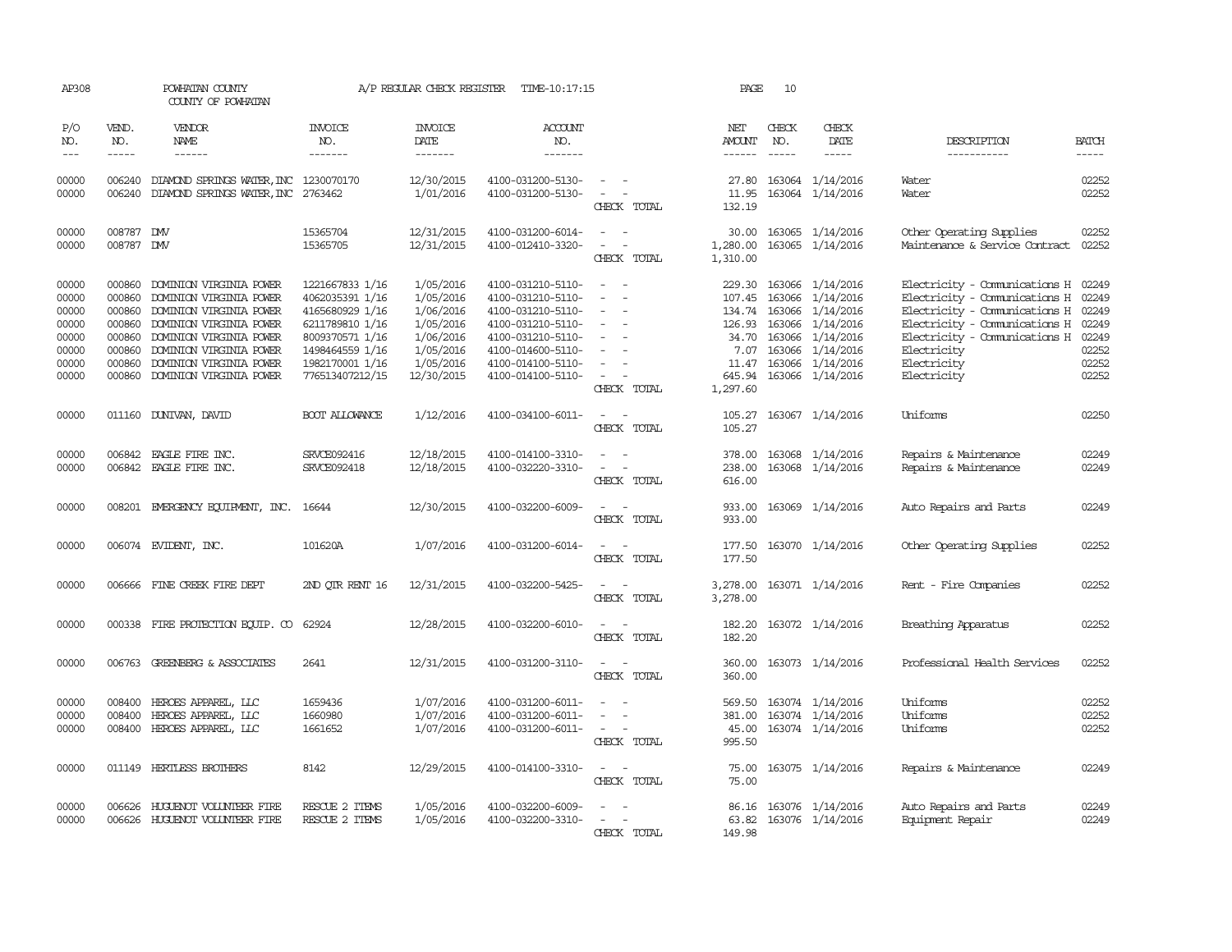| AP308                                                                |                                                                              | POWHATAN COUNTY<br>COUNTY OF POWHATAN                                                                                                                                                                                |                                                                                                                                                      | A/P REGULAR CHECK REGISTER                                                                            | TIME-10:17:15                                                                                                                                                        |                                                                                                           | PAGE                                                                                 | 10                          |                                                                                                                                                       |                                                                                                                                                                                                                |                                                                      |
|----------------------------------------------------------------------|------------------------------------------------------------------------------|----------------------------------------------------------------------------------------------------------------------------------------------------------------------------------------------------------------------|------------------------------------------------------------------------------------------------------------------------------------------------------|-------------------------------------------------------------------------------------------------------|----------------------------------------------------------------------------------------------------------------------------------------------------------------------|-----------------------------------------------------------------------------------------------------------|--------------------------------------------------------------------------------------|-----------------------------|-------------------------------------------------------------------------------------------------------------------------------------------------------|----------------------------------------------------------------------------------------------------------------------------------------------------------------------------------------------------------------|----------------------------------------------------------------------|
| P/O<br>NO.<br>$\qquad \qquad - -$                                    | VEND.<br>NO.<br>$- - - - -$                                                  | VENDOR<br>NAME<br>$- - - - - -$                                                                                                                                                                                      | <b>INVOICE</b><br>NO.<br>-------                                                                                                                     | <b>INVOICE</b><br><b>DATE</b><br>-------                                                              | <b>ACCOUNT</b><br>NO.<br>-------                                                                                                                                     |                                                                                                           | NET<br>AMOUNT                                                                        | CHECK<br>NO.<br>$- - - - -$ | CHECK<br>DATE<br>-----                                                                                                                                | DESCRIPTION<br>-----------                                                                                                                                                                                     | <b>BATCH</b><br>$- - - - -$                                          |
| 00000<br>00000                                                       | 006240                                                                       | 006240 DIAMOND SPRINGS WATER, INC 1230070170<br>DIAMOND SPRINGS WATER, INC 2763462                                                                                                                                   |                                                                                                                                                      | 12/30/2015<br>1/01/2016                                                                               | 4100-031200-5130-<br>4100-031200-5130-                                                                                                                               | $\sim$<br>CHECK TOTAL                                                                                     | 27.80<br>11.95<br>132.19                                                             |                             | 163064 1/14/2016<br>163064 1/14/2016                                                                                                                  | Water<br>Water                                                                                                                                                                                                 | 02252<br>02252                                                       |
| 00000<br>00000                                                       | 008787<br>008787 DW                                                          | <b>DMV</b>                                                                                                                                                                                                           | 15365704<br>15365705                                                                                                                                 | 12/31/2015<br>12/31/2015                                                                              | 4100-031200-6014-<br>4100-012410-3320-                                                                                                                               | $\equiv$<br>$\sim$<br>CHECK TOTAL                                                                         | 30.00<br>1,280.00<br>1,310.00                                                        |                             | 163065 1/14/2016<br>163065 1/14/2016                                                                                                                  | Other Operating Supplies<br>Maintenance & Service Contract                                                                                                                                                     | 02252<br>02252                                                       |
| 00000<br>00000<br>00000<br>00000<br>00000<br>00000<br>00000<br>00000 | 000860<br>000860<br>000860<br>000860<br>000860<br>000860<br>000860<br>000860 | DOMINION VIRGINIA POWER<br>DOMINION VIRGINIA POWER<br>DOMINION VIRGINIA POWER<br>DOMINION VIRGINIA POWER<br>DOMINION VIRGINIA POWER<br>DOMINION VIRGINIA POWER<br>DOMINION VIRGINIA POWER<br>DOMINION VIRGINIA POWER | 1221667833 1/16<br>4062035391 1/16<br>4165680929 1/16<br>6211789810 1/16<br>8009370571 1/16<br>1498464559 1/16<br>1982170001 1/16<br>776513407212/15 | 1/05/2016<br>1/05/2016<br>1/06/2016<br>1/05/2016<br>1/06/2016<br>1/05/2016<br>1/05/2016<br>12/30/2015 | 4100-031210-5110-<br>4100-031210-5110-<br>4100-031210-5110-<br>4100-031210-5110-<br>4100-031210-5110-<br>4100-014600-5110-<br>4100-014100-5110-<br>4100-014100-5110- | $\overline{\phantom{a}}$<br>$\overline{\phantom{a}}$<br>$\sim$<br>$\overline{\phantom{a}}$<br>CHECK TOTAL | 229.30<br>107.45<br>134.74<br>126.93<br>34.70<br>7.07<br>11.47<br>645.94<br>1,297.60 | 163066                      | 163066 1/14/2016<br>163066 1/14/2016<br>163066 1/14/2016<br>1/14/2016<br>163066 1/14/2016<br>163066 1/14/2016<br>163066 1/14/2016<br>163066 1/14/2016 | Electricity - Comunications H<br>Electricity - Comunications H<br>Electricity - Comunications H<br>Electricity - Comunications H<br>Electricity - Comunications H<br>Electricity<br>Electricity<br>Electricity | 02249<br>02249<br>02249<br>02249<br>02249<br>02252<br>02252<br>02252 |
| 00000                                                                |                                                                              | 011160 DUNIVAN, DAVID                                                                                                                                                                                                | BOOT ALLOWANCE                                                                                                                                       | 1/12/2016                                                                                             | 4100-034100-6011-                                                                                                                                                    | CHECK TOTAL                                                                                               | 105.27<br>105.27                                                                     |                             | 163067 1/14/2016                                                                                                                                      | Uniforms                                                                                                                                                                                                       | 02250                                                                |
| 00000<br>00000                                                       | 006842<br>006842                                                             | EAGLE FIRE INC.<br>EAGLE FIRE INC.                                                                                                                                                                                   | SRVCE092416<br>SRVCE092418                                                                                                                           | 12/18/2015<br>12/18/2015                                                                              | 4100-014100-3310-<br>4100-032220-3310-                                                                                                                               | $\equiv$<br>CHECK TOTAL                                                                                   | 378.00<br>238.00<br>616.00                                                           |                             | 163068 1/14/2016<br>163068 1/14/2016                                                                                                                  | Repairs & Maintenance<br>Repairs & Maintenance                                                                                                                                                                 | 02249<br>02249                                                       |
| 00000                                                                |                                                                              | 008201 EMERGENCY EQUIPMENT, INC. 16644                                                                                                                                                                               |                                                                                                                                                      | 12/30/2015                                                                                            | 4100-032200-6009-                                                                                                                                                    | $\equiv$<br>CHECK TOTAL                                                                                   | 933.00<br>933.00                                                                     |                             | 163069 1/14/2016                                                                                                                                      | Auto Repairs and Parts                                                                                                                                                                                         | 02249                                                                |
| 00000                                                                |                                                                              | 006074 EVIDENT, INC.                                                                                                                                                                                                 | 101620A                                                                                                                                              | 1/07/2016                                                                                             | 4100-031200-6014-                                                                                                                                                    | CHECK TOTAL                                                                                               | 177.50<br>177.50                                                                     |                             | 163070 1/14/2016                                                                                                                                      | Other Operating Supplies                                                                                                                                                                                       | 02252                                                                |
| 00000                                                                |                                                                              | 006666 FINE CREEK FIRE DEPT                                                                                                                                                                                          | 2ND QTR RENT 16                                                                                                                                      | 12/31/2015                                                                                            | 4100-032200-5425-                                                                                                                                                    | $\overline{\phantom{a}}$<br>CHECK TOTAL                                                                   | 3,278.00<br>3,278.00                                                                 |                             | 163071 1/14/2016                                                                                                                                      | Rent - Fire Companies                                                                                                                                                                                          | 02252                                                                |
| 00000                                                                |                                                                              | 000338 FIRE PROTECTION EQUIP. CO                                                                                                                                                                                     | 62924                                                                                                                                                | 12/28/2015                                                                                            | 4100-032200-6010-                                                                                                                                                    | $\equiv$<br>$\sim$<br>CHECK TOTAL                                                                         | 182.20<br>182.20                                                                     |                             | 163072 1/14/2016                                                                                                                                      | Breathing Apparatus                                                                                                                                                                                            | 02252                                                                |
| 00000                                                                |                                                                              | 006763 GREENBERG & ASSOCIATES                                                                                                                                                                                        | 2641                                                                                                                                                 | 12/31/2015                                                                                            | 4100-031200-3110-                                                                                                                                                    | $\sim$<br>$\sim$<br>CHECK TOTAL                                                                           | 360.00<br>360.00                                                                     |                             | 163073 1/14/2016                                                                                                                                      | Professional Health Services                                                                                                                                                                                   | 02252                                                                |
| 00000<br>00000<br>00000                                              | 008400<br>008400<br>008400                                                   | HEROES APPAREL, LLC<br>HEROES APPAREL, LLC<br>HEROES APPAREL, LLC                                                                                                                                                    | 1659436<br>1660980<br>1661652                                                                                                                        | 1/07/2016<br>1/07/2016<br>1/07/2016                                                                   | 4100-031200-6011-<br>4100-031200-6011-<br>4100-031200-6011-                                                                                                          | $\overline{\phantom{a}}$<br>CHECK TOTAL                                                                   | 569.50<br>381.00<br>45.00<br>995.50                                                  |                             | 163074 1/14/2016<br>163074 1/14/2016<br>163074 1/14/2016                                                                                              | Uniforms<br>Uniforms<br>Uniforms                                                                                                                                                                               | 02252<br>02252<br>02252                                              |
| 00000                                                                |                                                                              | 011149 HERTLESS BROTHERS                                                                                                                                                                                             | 8142                                                                                                                                                 | 12/29/2015                                                                                            | 4100-014100-3310-                                                                                                                                                    | $\sim$ $\sim$<br>CHECK TOTAL                                                                              | 75.00<br>75.00                                                                       |                             | 163075 1/14/2016                                                                                                                                      | Repairs & Maintenance                                                                                                                                                                                          | 02249                                                                |
| 00000<br>00000                                                       | 006626                                                                       | HUGUENOT VOLUNTEER FIRE<br>006626 HUGUENOT VOLUNTEER FIRE                                                                                                                                                            | RESCUE 2 ITEMS<br>RESCUE 2 ITEMS                                                                                                                     | 1/05/2016<br>1/05/2016                                                                                | 4100-032200-6009-<br>4100-032200-3310-                                                                                                                               | CHECK TOTAL                                                                                               | 63.82<br>149.98                                                                      |                             | 86.16 163076 1/14/2016<br>163076 1/14/2016                                                                                                            | Auto Repairs and Parts<br>Equipment Repair                                                                                                                                                                     | 02249<br>02249                                                       |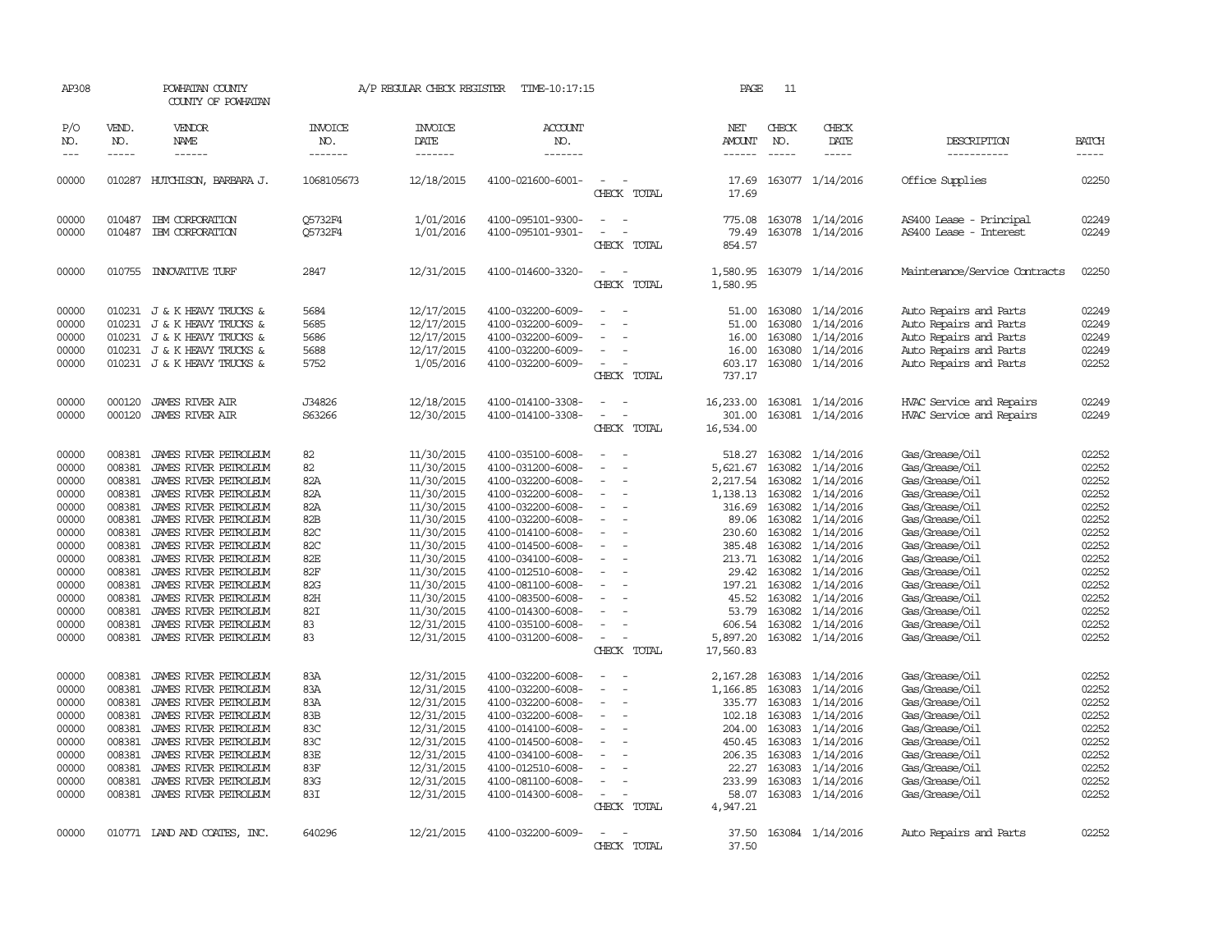| AP308                                                                                                                      |                                                                                                                                          | POWHATAN COUNTY<br>COUNTY OF POWHATAN                                                                                                                                                                                                                                                                                                                      |                                                                                             | A/P REGULAR CHECK REGISTER                                                                                                                                                                       | TIME-10:17:15                                                                                                                                                                                                                                                                                      |                                                                  | PAGE                                                                                                                                       | 11                                                                                                                   |                                                                                                                                                                                                  |                                                                                                                                                                                                                                                          |                                                                                                                            |
|----------------------------------------------------------------------------------------------------------------------------|------------------------------------------------------------------------------------------------------------------------------------------|------------------------------------------------------------------------------------------------------------------------------------------------------------------------------------------------------------------------------------------------------------------------------------------------------------------------------------------------------------|---------------------------------------------------------------------------------------------|--------------------------------------------------------------------------------------------------------------------------------------------------------------------------------------------------|----------------------------------------------------------------------------------------------------------------------------------------------------------------------------------------------------------------------------------------------------------------------------------------------------|------------------------------------------------------------------|--------------------------------------------------------------------------------------------------------------------------------------------|----------------------------------------------------------------------------------------------------------------------|--------------------------------------------------------------------------------------------------------------------------------------------------------------------------------------------------|----------------------------------------------------------------------------------------------------------------------------------------------------------------------------------------------------------------------------------------------------------|----------------------------------------------------------------------------------------------------------------------------|
| P/O<br>NO.<br>$---$                                                                                                        | VEND.<br>NO.                                                                                                                             | VENDOR<br>NAME                                                                                                                                                                                                                                                                                                                                             | <b>INVOICE</b><br>NO.<br>-------                                                            | <b>INVOICE</b><br>DATE<br>-------                                                                                                                                                                | <b>ACCOUNT</b><br>NO.<br>-------                                                                                                                                                                                                                                                                   |                                                                  | NET<br>AMOUNT<br>------                                                                                                                    | CHECK<br>NO.<br>-----                                                                                                | CHECK<br>DATE<br>-----                                                                                                                                                                           | DESCRIPTION<br>-----------                                                                                                                                                                                                                               | <b>BATCH</b><br>-----                                                                                                      |
| 00000                                                                                                                      |                                                                                                                                          | 010287 HUTCHISON, BARBARA J.                                                                                                                                                                                                                                                                                                                               | 1068105673                                                                                  | 12/18/2015                                                                                                                                                                                       | 4100-021600-6001-                                                                                                                                                                                                                                                                                  | CHECK TOTAL                                                      | 17.69<br>17.69                                                                                                                             |                                                                                                                      | 163077 1/14/2016                                                                                                                                                                                 | Office Supplies                                                                                                                                                                                                                                          | 02250                                                                                                                      |
| 00000<br>00000                                                                                                             | 010487<br>010487                                                                                                                         | IBM CORPORATION<br>IBM CORPORATION                                                                                                                                                                                                                                                                                                                         | Q5732F4<br>Q5732F4                                                                          | 1/01/2016<br>1/01/2016                                                                                                                                                                           | 4100-095101-9300-<br>4100-095101-9301-                                                                                                                                                                                                                                                             | $\equiv$<br>CHECK TOTAL                                          | 775.08<br>79.49<br>854.57                                                                                                                  |                                                                                                                      | 163078 1/14/2016<br>163078 1/14/2016                                                                                                                                                             | AS400 Lease - Principal<br>AS400 Lease - Interest                                                                                                                                                                                                        | 02249<br>02249                                                                                                             |
| 00000                                                                                                                      |                                                                                                                                          | 010755 INNOVATIVE TURF                                                                                                                                                                                                                                                                                                                                     | 2847                                                                                        | 12/31/2015                                                                                                                                                                                       | 4100-014600-3320-                                                                                                                                                                                                                                                                                  | $\overline{\phantom{a}}$<br>CHECK TOTAL                          | 1,580.95<br>1,580.95                                                                                                                       |                                                                                                                      | 163079 1/14/2016                                                                                                                                                                                 | Maintenance/Service Contracts                                                                                                                                                                                                                            | 02250                                                                                                                      |
| 00000<br>00000<br>00000<br>00000<br>00000                                                                                  | 010231<br>010231                                                                                                                         | 010231 J & K HEAVY TRUCKS &<br>J & K HEAVY TRUCKS &<br>J & K HEAVY TRUCKS &<br>010231 J & K HEAVY TRUCKS &<br>010231 J & K HEAVY TRUCKS &                                                                                                                                                                                                                  | 5684<br>5685<br>5686<br>5688<br>5752                                                        | 12/17/2015<br>12/17/2015<br>12/17/2015<br>12/17/2015<br>1/05/2016                                                                                                                                | 4100-032200-6009-<br>4100-032200-6009-<br>4100-032200-6009-<br>4100-032200-6009-<br>4100-032200-6009-                                                                                                                                                                                              | $\equiv$<br>CHECK TOTAL                                          | 51.00<br>51.00<br>16.00<br>16.00<br>603.17<br>737.17                                                                                       | 163080<br>163080<br>163080<br>163080                                                                                 | 1/14/2016<br>1/14/2016<br>1/14/2016<br>1/14/2016<br>163080 1/14/2016                                                                                                                             | Auto Repairs and Parts<br>Auto Repairs and Parts<br>Auto Repairs and Parts<br>Auto Repairs and Parts<br>Auto Repairs and Parts                                                                                                                           | 02249<br>02249<br>02249<br>02249<br>02252                                                                                  |
| 00000<br>00000                                                                                                             | 000120<br>000120                                                                                                                         | <b>JAMES RIVER AIR</b><br><b>JAMES RIVER AIR</b>                                                                                                                                                                                                                                                                                                           | J34826<br>S63266                                                                            | 12/18/2015<br>12/30/2015                                                                                                                                                                         | 4100-014100-3308-<br>4100-014100-3308-                                                                                                                                                                                                                                                             | CHECK TOTAL                                                      | 16,233.00<br>301.00<br>16,534.00                                                                                                           |                                                                                                                      | 163081 1/14/2016<br>163081 1/14/2016                                                                                                                                                             | HVAC Service and Repairs<br>HVAC Service and Repairs                                                                                                                                                                                                     | 02249<br>02249                                                                                                             |
| 00000<br>00000<br>00000<br>00000<br>00000<br>00000<br>00000<br>00000<br>00000<br>00000<br>00000<br>00000<br>00000<br>00000 | 008381<br>008381<br>008381<br>008381<br>008381<br>008381<br>008381<br>008381<br>008381<br>008381<br>008381<br>008381<br>008381<br>008381 | JAMES RIVER PETROLEUM<br>JAMES RIVER PEIROLEUM<br>JAMES RIVER PEIROLEUM<br>JAMES RIVER PETROLEUM<br>JAMES RIVER PEIROLEUM<br>JAMES RIVER PETROLEUM<br>JAMES RIVER PETROLEUM<br>JAMES RIVER PETROLEUM<br>JAMES RIVER PETROLEUM<br>JAMES RIVER PETROLEUM<br>JAMES RIVER PETROLEUM<br>JAMES RIVER PETROLEUM<br>JAMES RIVER PETROLEUM<br>JAMES RIVER PETROLEUM | 82<br>82<br>82A<br>82A<br>82A<br>82B<br>82C<br>82C<br>82E<br>82F<br>82G<br>82H<br>82I<br>83 | 11/30/2015<br>11/30/2015<br>11/30/2015<br>11/30/2015<br>11/30/2015<br>11/30/2015<br>11/30/2015<br>11/30/2015<br>11/30/2015<br>11/30/2015<br>11/30/2015<br>11/30/2015<br>11/30/2015<br>12/31/2015 | 4100-035100-6008-<br>4100-031200-6008-<br>4100-032200-6008-<br>4100-032200-6008-<br>4100-032200-6008-<br>4100-032200-6008-<br>4100-014100-6008-<br>4100-014500-6008-<br>4100-034100-6008-<br>4100-012510-6008-<br>4100-081100-6008-<br>4100-083500-6008-<br>4100-014300-6008-<br>4100-035100-6008- | $\equiv$<br>$\overline{\phantom{a}}$<br>$\overline{\phantom{a}}$ | 518.27<br>5,621.67<br>2,217.54<br>1,138.13<br>316.69<br>89.06<br>230.60<br>385.48<br>213.71<br>29.42<br>197.21<br>45.52<br>53.79<br>606.54 | 163082<br>163082<br>163082<br>163082<br>163082<br>163082<br>163082<br>163082<br>163082<br>163082<br>163082<br>163082 | 163082 1/14/2016<br>1/14/2016<br>1/14/2016<br>1/14/2016<br>1/14/2016<br>1/14/2016<br>1/14/2016<br>1/14/2016<br>1/14/2016<br>1/14/2016<br>1/14/2016<br>1/14/2016<br>1/14/2016<br>163082 1/14/2016 | Gas/Grease/Oil<br>Gas/Grease/Oil<br>Gas/Grease/Oil<br>Gas/Grease/Oil<br>Gas/Grease/0il<br>Gas/Grease/Oil<br>Gas/Grease/Oil<br>Gas/Grease/Oil<br>Gas/Grease/Oil<br>Gas/Grease/Oil<br>Gas/Grease/Oil<br>Gas/Grease/Oil<br>Gas/Grease/Oil<br>Gas/Grease/Oil | 02252<br>02252<br>02252<br>02252<br>02252<br>02252<br>02252<br>02252<br>02252<br>02252<br>02252<br>02252<br>02252<br>02252 |
| 00000                                                                                                                      | 008381                                                                                                                                   | JAMES RIVER PETROLEUM                                                                                                                                                                                                                                                                                                                                      | 83                                                                                          | 12/31/2015                                                                                                                                                                                       | 4100-031200-6008-                                                                                                                                                                                                                                                                                  | $\equiv$<br>CHECK TOTAL                                          | 5,897.20<br>17,560.83                                                                                                                      |                                                                                                                      | 163082 1/14/2016                                                                                                                                                                                 | Gas/Grease/Oil                                                                                                                                                                                                                                           | 02252                                                                                                                      |
| 00000<br>00000<br>00000<br>00000<br>00000<br>00000<br>00000<br>00000<br>00000<br>00000                                     | 008381<br>008381<br>008381<br>008381<br>008381<br>008381<br>008381<br>008381<br>008381                                                   | JAMES RIVER PETROLEUM<br>JAMES RIVER PETROLEUM<br>JAMES RIVER PETROLEUM<br>JAMES RIVER PETROLEUM<br>JAMES RIVER PETROLEUM<br>JAMES RIVER PETROLEUM<br>JAMES RIVER PETROLEUM<br>JAMES RIVER PETROLEUM<br>JAMES RIVER PETROLEUM<br>008381 JAMES RIVER PETROLEUM                                                                                              | 83A<br>83A<br>83A<br>83B<br>83C<br>83C<br>83E<br>83F<br>83G<br>83I                          | 12/31/2015<br>12/31/2015<br>12/31/2015<br>12/31/2015<br>12/31/2015<br>12/31/2015<br>12/31/2015<br>12/31/2015<br>12/31/2015<br>12/31/2015                                                         | 4100-032200-6008-<br>4100-032200-6008-<br>4100-032200-6008-<br>4100-032200-6008-<br>4100-014100-6008-<br>4100-014500-6008-<br>4100-034100-6008-<br>4100-012510-6008-<br>4100-081100-6008-<br>4100-014300-6008-                                                                                     | $\equiv$<br>$\sim$<br>CHECK TOTAL                                | 2,167.28<br>1,166.85<br>335.77<br>102.18<br>204.00<br>450.45<br>206.35<br>22.27<br>233.99<br>58.07<br>4,947.21                             | 163083<br>163083<br>163083<br>163083<br>163083<br>163083<br>163083<br>163083<br>163083                               | 1/14/2016<br>1/14/2016<br>1/14/2016<br>1/14/2016<br>1/14/2016<br>1/14/2016<br>1/14/2016<br>1/14/2016<br>1/14/2016<br>163083 1/14/2016                                                            | Gas/Grease/Oil<br>Gas/Grease/Oil<br>Gas/Grease/Oil<br>Gas/Grease/Oil<br>Gas/Grease/Oil<br>Gas/Grease/Oil<br>Gas/Grease/Oil<br>Gas/Grease/Oil<br>Gas/Grease/Oil<br>Gas/Grease/Oil                                                                         | 02252<br>02252<br>02252<br>02252<br>02252<br>02252<br>02252<br>02252<br>02252<br>02252                                     |
| 00000                                                                                                                      |                                                                                                                                          | 010771 LAND AND COATES, INC.                                                                                                                                                                                                                                                                                                                               | 640296                                                                                      | 12/21/2015                                                                                                                                                                                       | 4100-032200-6009-                                                                                                                                                                                                                                                                                  | CHECK TOTAL                                                      | 37.50<br>37.50                                                                                                                             |                                                                                                                      | 163084 1/14/2016                                                                                                                                                                                 | Auto Repairs and Parts                                                                                                                                                                                                                                   | 02252                                                                                                                      |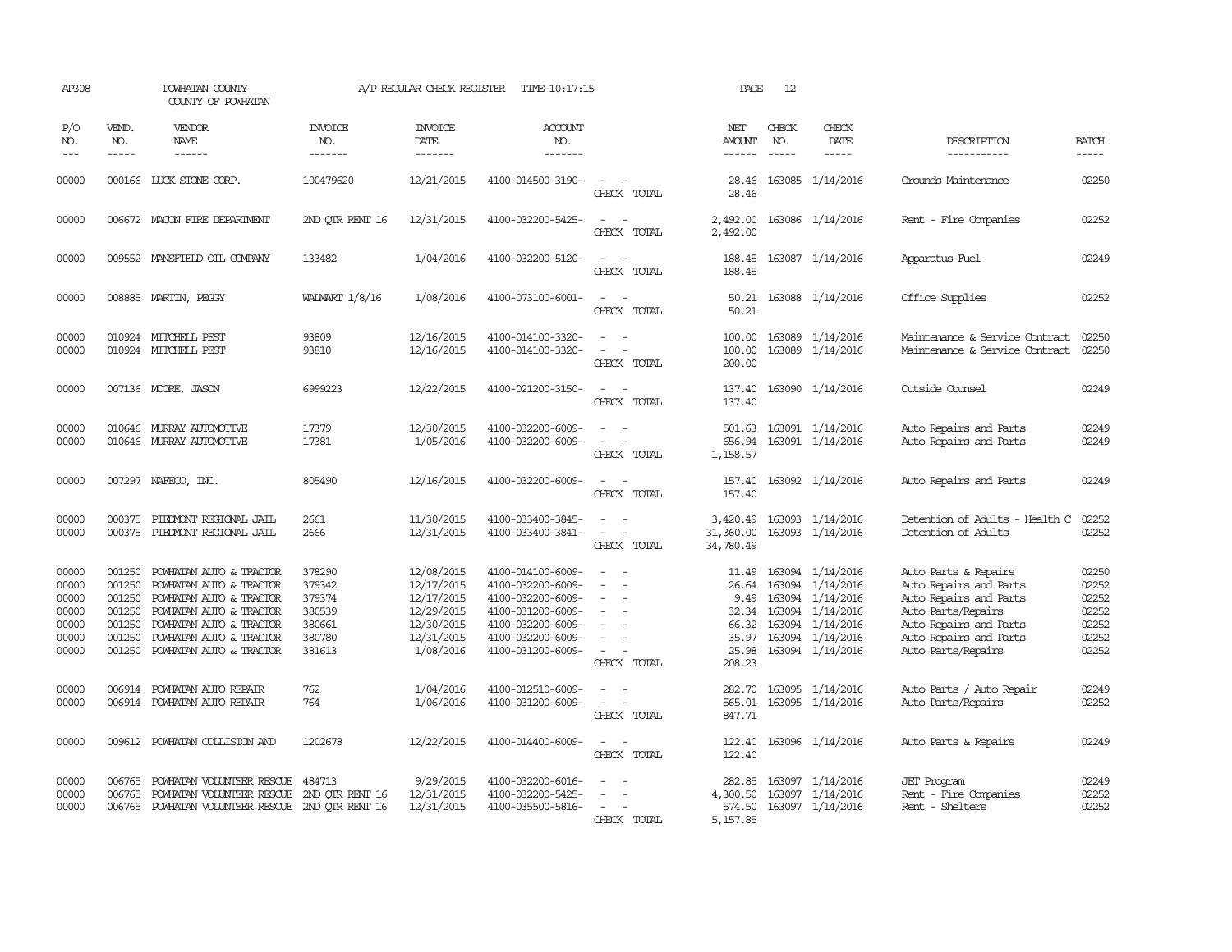| AP308                                                       |                                                                    | POWHATAN COUNTY<br>COUNTY OF POWHATAN                                                                                                                                                     |                                                                    | A/P REGULAR CHECK REGISTER                                                                    | TIME-10:17:15                                                                                                                                   |                                                | PAGE                                                                 | 12                            |                                                                                                                                   |                                                                                                                                                                          |                                                             |
|-------------------------------------------------------------|--------------------------------------------------------------------|-------------------------------------------------------------------------------------------------------------------------------------------------------------------------------------------|--------------------------------------------------------------------|-----------------------------------------------------------------------------------------------|-------------------------------------------------------------------------------------------------------------------------------------------------|------------------------------------------------|----------------------------------------------------------------------|-------------------------------|-----------------------------------------------------------------------------------------------------------------------------------|--------------------------------------------------------------------------------------------------------------------------------------------------------------------------|-------------------------------------------------------------|
| P/O<br>NO.<br>$---$                                         | VEND.<br>NO.<br>$- - - - -$                                        | <b>VENDOR</b><br>NAME<br>$- - - - - -$                                                                                                                                                    | <b>INVOICE</b><br>NO.<br>-------                                   | <b>INVOICE</b><br><b>DATE</b><br>-------                                                      | <b>ACCOUNT</b><br>NO.<br>-------                                                                                                                |                                                | NET<br><b>AMOUNT</b><br>------                                       | CHECK<br>NO.<br>$\frac{1}{2}$ | CHECK<br>DATE<br>$- - - - -$                                                                                                      | DESCRIPTION<br>-----------                                                                                                                                               | <b>BATCH</b><br>-----                                       |
| 00000                                                       |                                                                    | 000166 LUCK STONE CORP.                                                                                                                                                                   | 100479620                                                          | 12/21/2015                                                                                    | 4100-014500-3190-                                                                                                                               | $\sim$<br>CHECK TOTAL                          | 28.46<br>28.46                                                       |                               | 163085 1/14/2016                                                                                                                  | Grounds Maintenance                                                                                                                                                      | 02250                                                       |
| 00000                                                       |                                                                    | 006672 MACON FIRE DEPARTMENT                                                                                                                                                              | 2ND OTR RENT 16                                                    | 12/31/2015                                                                                    | 4100-032200-5425-                                                                                                                               | $\sim$<br>CHECK TOTAL                          | 2,492.00<br>2,492.00                                                 |                               | 163086 1/14/2016                                                                                                                  | Rent - Fire Companies                                                                                                                                                    | 02252                                                       |
| 00000                                                       |                                                                    | 009552 MANSFIELD OIL COMPANY                                                                                                                                                              | 133482                                                             | 1/04/2016                                                                                     | 4100-032200-5120-                                                                                                                               | $\equiv$<br>CHECK TOTAL                        | 188.45<br>188.45                                                     |                               | 163087 1/14/2016                                                                                                                  | Apparatus Fuel                                                                                                                                                           | 02249                                                       |
| 00000                                                       |                                                                    | 008885 MARTIN, PEGGY                                                                                                                                                                      | WALMART 1/8/16                                                     | 1/08/2016                                                                                     | 4100-073100-6001-                                                                                                                               | $\sim$ $-$<br>CHECK TOTAL                      | 50.21<br>50.21                                                       |                               | 163088 1/14/2016                                                                                                                  | Office Supplies                                                                                                                                                          | 02252                                                       |
| 00000<br>00000                                              |                                                                    | 010924 MITCHELL PEST<br>010924 MITCHELL PEST                                                                                                                                              | 93809<br>93810                                                     | 12/16/2015<br>12/16/2015                                                                      | 4100-014100-3320-<br>4100-014100-3320-                                                                                                          | $\sim$<br>$\sim$<br>CHECK TOTAL                | 100.00<br>100.00<br>200.00                                           | 163089                        | 163089 1/14/2016<br>1/14/2016                                                                                                     | Maintenance & Service Contract<br>Maintenance & Service Contract                                                                                                         | 02250<br>02250                                              |
| 00000                                                       |                                                                    | 007136 MOORE, JASON                                                                                                                                                                       | 6999223                                                            | 12/22/2015                                                                                    | 4100-021200-3150-                                                                                                                               | $\overline{\phantom{a}}$<br>CHECK TOTAL        | 137.40<br>137.40                                                     |                               | 163090 1/14/2016                                                                                                                  | Outside Counsel                                                                                                                                                          | 02249                                                       |
| 00000<br>00000                                              | 010646<br>010646                                                   | MURRAY AUTOMOTTVE<br>MURRAY AUTOMOTTVE                                                                                                                                                    | 17379<br>17381                                                     | 12/30/2015<br>1/05/2016                                                                       | 4100-032200-6009-<br>4100-032200-6009-                                                                                                          | $\equiv$<br>CHECK TOTAL                        | 501.63<br>656.94<br>1,158.57                                         |                               | 163091 1/14/2016<br>163091 1/14/2016                                                                                              | Auto Repairs and Parts<br>Auto Repairs and Parts                                                                                                                         | 02249<br>02249                                              |
| 00000                                                       |                                                                    | 007297 NAFECO, INC.                                                                                                                                                                       | 805490                                                             | 12/16/2015                                                                                    | 4100-032200-6009-                                                                                                                               | $\sim$<br>CHECK TOTAL                          | 157.40<br>157.40                                                     |                               | 163092 1/14/2016                                                                                                                  | Auto Repairs and Parts                                                                                                                                                   | 02249                                                       |
| 00000<br>00000                                              | 000375                                                             | PIEDMONT REGIONAL JAIL<br>000375 PIEDMONT REGIONAL JAIL                                                                                                                                   | 2661<br>2666                                                       | 11/30/2015<br>12/31/2015                                                                      | 4100-033400-3845-<br>4100-033400-3841-                                                                                                          | $\sim$ $\sim$<br>$\sim$ $ \sim$<br>CHECK TOTAL | 3,420.49<br>31,360.00<br>34,780.49                                   |                               | 163093 1/14/2016<br>163093 1/14/2016                                                                                              | Detention of Adults - Health C<br>Detention of Adults                                                                                                                    | 02252<br>02252                                              |
| 00000<br>00000<br>00000<br>00000<br>00000<br>00000<br>00000 | 001250<br>001250<br>001250<br>001250<br>001250<br>001250<br>001250 | POWHATAN AUTO & TRACTOR<br>POWHATAN AUTO & TRACTOR<br>POWHATAN AUTO & TRACTOR<br>POWHATAN AUTO & TRACTOR<br>POWHATAN AUTO & TRACTOR<br>POWHATAN AUTO & TRACTOR<br>POWHATAN AUTO & TRACTOR | 378290<br>379342<br>379374<br>380539<br>380661<br>380780<br>381613 | 12/08/2015<br>12/17/2015<br>12/17/2015<br>12/29/2015<br>12/30/2015<br>12/31/2015<br>1/08/2016 | 4100-014100-6009-<br>4100-032200-6009-<br>4100-032200-6009-<br>4100-031200-6009-<br>4100-032200-6009-<br>4100-032200-6009-<br>4100-031200-6009- | $\sim$<br>$\equiv$<br>$\sim$<br>CHECK TOTAL    | 11.49<br>26.64<br>9.49<br>32.34<br>66.32<br>35.97<br>25.98<br>208.23 | 163094                        | 163094 1/14/2016<br>163094 1/14/2016<br>163094 1/14/2016<br>1/14/2016<br>163094 1/14/2016<br>163094 1/14/2016<br>163094 1/14/2016 | Auto Parts & Repairs<br>Auto Repairs and Parts<br>Auto Repairs and Parts<br>Auto Parts/Repairs<br>Auto Repairs and Parts<br>Auto Repairs and Parts<br>Auto Parts/Repairs | 02250<br>02252<br>02252<br>02252<br>02252<br>02252<br>02252 |
| 00000<br>00000                                              | 006914                                                             | POWHATAN AUTO REPAIR<br>006914 POWHATAN AUTO REPAIR                                                                                                                                       | 762<br>764                                                         | 1/04/2016<br>1/06/2016                                                                        | 4100-012510-6009-<br>4100-031200-6009-                                                                                                          | $\equiv$<br>CHECK TOTAL                        | 282.70<br>565.01<br>847.71                                           |                               | 163095 1/14/2016<br>163095 1/14/2016                                                                                              | Auto Parts / Auto Repair<br>Auto Parts/Repairs                                                                                                                           | 02249<br>02252                                              |
| 00000                                                       | 009612                                                             | POWHATAN COLLISION AND                                                                                                                                                                    | 1202678                                                            | 12/22/2015                                                                                    | 4100-014400-6009-                                                                                                                               | CHECK TOTAL                                    | 122,40<br>122.40                                                     |                               | 163096 1/14/2016                                                                                                                  | Auto Parts & Repairs                                                                                                                                                     | 02249                                                       |
| 00000<br>00000<br>00000                                     | 006765<br>006765                                                   | POWHATAN VOLUNTEER RESCUE<br>POWHATAN VOLUNTEER RESCUE<br>006765 POWHATAN VOLUNTEER RESCUE 2ND QTR RENT 16                                                                                | 484713<br>2ND OTR RENT 16                                          | 9/29/2015<br>12/31/2015<br>12/31/2015                                                         | 4100-032200-6016-<br>4100-032200-5425-<br>4100-035500-5816-                                                                                     | CHECK TOTAL                                    | 282.85<br>4,300.50<br>574.50<br>5,157.85                             |                               | 163097 1/14/2016<br>163097 1/14/2016<br>163097 1/14/2016                                                                          | <b>JET</b> Program<br>Rent - Fire Companies<br>Rent - Shelters                                                                                                           | 02249<br>02252<br>02252                                     |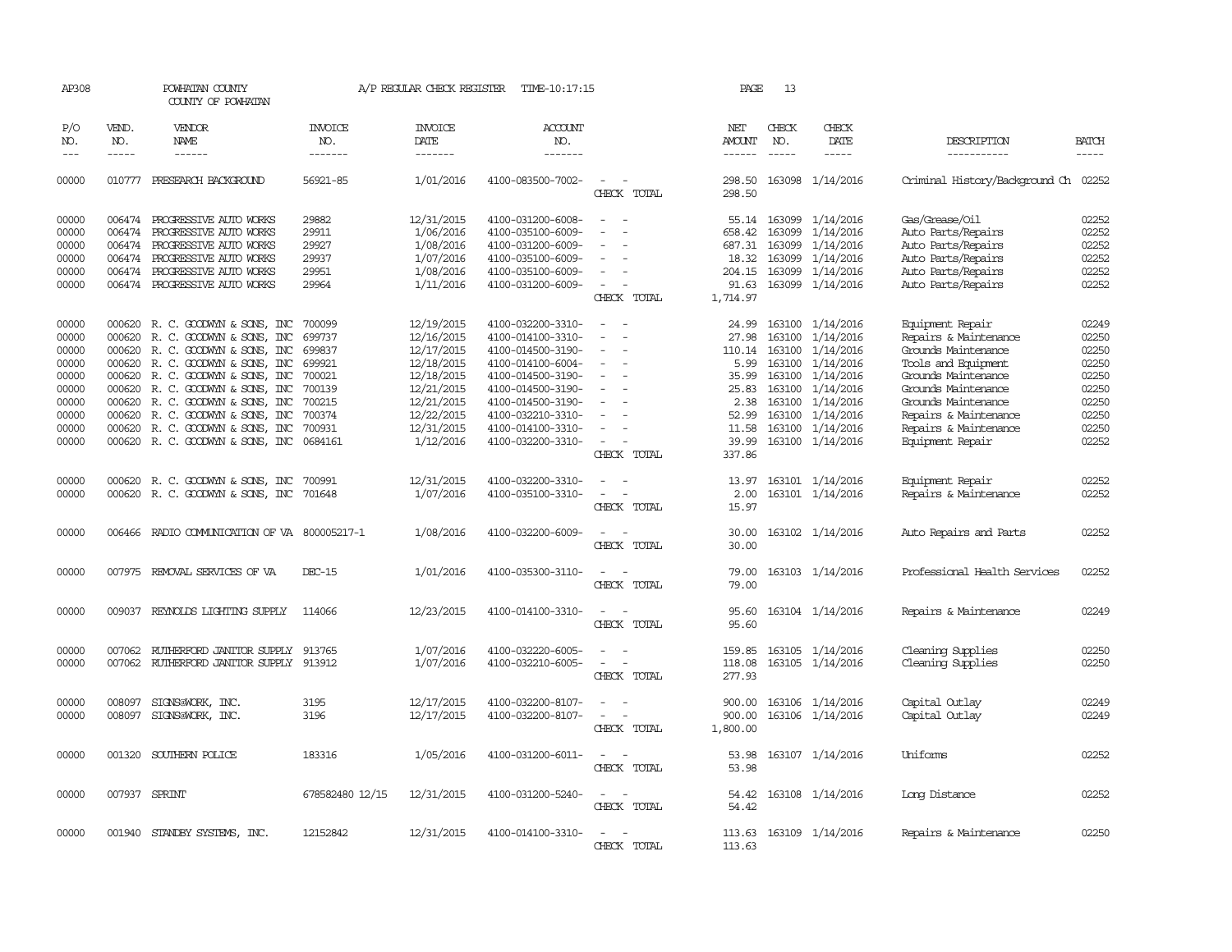| AP308                                                                                  |                             | POWHATAN COUNTY<br>COUNTY OF POWHATAN                                                                                                                                                                                                                                                                                                                 |                                                                                        | A/P REGULAR CHECK REGISTER                                                                                                              | TIME-10:17:15                                                                                                                                                                                                  |                                                                                                                                               | PAGE                                                                         | -13                                                                                                 |                                                                                                                                       |                                                                                                                                                                                                                                    |                                                                                        |
|----------------------------------------------------------------------------------------|-----------------------------|-------------------------------------------------------------------------------------------------------------------------------------------------------------------------------------------------------------------------------------------------------------------------------------------------------------------------------------------------------|----------------------------------------------------------------------------------------|-----------------------------------------------------------------------------------------------------------------------------------------|----------------------------------------------------------------------------------------------------------------------------------------------------------------------------------------------------------------|-----------------------------------------------------------------------------------------------------------------------------------------------|------------------------------------------------------------------------------|-----------------------------------------------------------------------------------------------------|---------------------------------------------------------------------------------------------------------------------------------------|------------------------------------------------------------------------------------------------------------------------------------------------------------------------------------------------------------------------------------|----------------------------------------------------------------------------------------|
| P/O<br>NO.<br>$---$                                                                    | VEND.<br>NO.<br>$- - - - -$ | VENDOR<br>NAME<br>$- - - - - -$                                                                                                                                                                                                                                                                                                                       | INVOICE<br>NO.<br>-------                                                              | <b>INVOICE</b><br>DATE<br>-------                                                                                                       | <b>ACCOUNT</b><br>NO.<br>-------                                                                                                                                                                               |                                                                                                                                               | NET<br>AMOUNT<br>$- - - - - -$                                               | CHECK<br>NO.<br>$\frac{1}{2}$                                                                       | CHECK<br>DATE<br>$- - - - -$                                                                                                          | DESCRIPTION<br>-----------                                                                                                                                                                                                         | <b>BATCH</b><br>$- - - - -$                                                            |
| 00000                                                                                  |                             | 010777 PRESEARCH BACKGROUND                                                                                                                                                                                                                                                                                                                           | 56921-85                                                                               | 1/01/2016                                                                                                                               | 4100-083500-7002-                                                                                                                                                                                              | $\sim$<br>$\sim$<br>CHECK TOTAL                                                                                                               | 298.50<br>298.50                                                             |                                                                                                     | 163098 1/14/2016                                                                                                                      | Criminal History/Background Ch 02252                                                                                                                                                                                               |                                                                                        |
| 00000<br>00000<br>00000<br>00000<br>00000<br>00000                                     | 006474                      | 006474 PROGRESSIVE AUTO WORKS<br>PROGRESSIVE AUIO WORKS<br>006474 PROGRESSIVE AUTO WORKS<br>006474 PROGRESSIVE AUTO WORKS<br>006474 PROGRESSIVE AUTO WORKS<br>006474 PROGRESSIVE AUTO WORKS                                                                                                                                                           | 29882<br>29911<br>29927<br>29937<br>29951<br>29964                                     | 12/31/2015<br>1/06/2016<br>1/08/2016<br>1/07/2016<br>1/08/2016<br>1/11/2016                                                             | 4100-031200-6008-<br>4100-035100-6009-<br>4100-031200-6009-<br>4100-035100-6009-<br>4100-035100-6009-<br>4100-031200-6009-                                                                                     | $\sim$<br>$\sim$<br>$\overline{\phantom{a}}$<br>CHECK TOTAL                                                                                   | 658.42<br>687.31<br>18.32<br>91.63<br>1,714.97                               | 55.14 163099<br>163099<br>163099<br>163099<br>204.15 163099                                         | 1/14/2016<br>1/14/2016<br>1/14/2016<br>1/14/2016<br>1/14/2016<br>163099 1/14/2016                                                     | Gas/Grease/Oil<br>Auto Parts/Repairs<br>Auto Parts/Repairs<br>Auto Parts/Repairs<br>Auto Parts/Repairs<br>Auto Parts/Repairs                                                                                                       | 02252<br>02252<br>02252<br>02252<br>02252<br>02252                                     |
| 00000<br>00000<br>00000<br>00000<br>00000<br>00000<br>00000<br>00000<br>00000<br>00000 | 000620<br>000620<br>000620  | 000620 R. C. GOODWYN & SONS, INC<br>R. C. GOODWYN & SONS, INC<br>R. C. GOODWYN & SONS, INC<br>000620 R.C. GOODWYN & SONS, INC<br>000620 R. C. GOODWYN & SONS, INC<br>000620 R. C. GOODWYN & SONS, INC<br>R. C. GOODWYN & SONS, INC<br>000620 R.C. GOODWYN & SONS, INC<br>000620 R. C. GOODWYN & SONS, INC<br>000620 R. C. GOODWYN & SONS, INC 0684161 | 700099<br>699737<br>699837<br>699921<br>700021<br>700139<br>700215<br>700374<br>700931 | 12/19/2015<br>12/16/2015<br>12/17/2015<br>12/18/2015<br>12/18/2015<br>12/21/2015<br>12/21/2015<br>12/22/2015<br>12/31/2015<br>1/12/2016 | 4100-032200-3310-<br>4100-014100-3310-<br>4100-014500-3190-<br>4100-014100-6004-<br>4100-014500-3190-<br>4100-014500-3190-<br>4100-014500-3190-<br>4100-032210-3310-<br>4100-014100-3310-<br>4100-032200-3310- | $\overline{\phantom{a}}$<br>$\equiv$<br>$\overline{\phantom{a}}$<br>$\equiv$<br>$\equiv$<br>$\sim$<br>$\overline{\phantom{a}}$<br>CHECK TOTAL | 24.99<br>27.98<br>5.99<br>35.99<br>2.38<br>52.99<br>11.58<br>39.99<br>337.86 | 163100<br>163100<br>110.14 163100<br>163100<br>163100<br>25.83 163100<br>163100<br>163100<br>163100 | 1/14/2016<br>1/14/2016<br>1/14/2016<br>1/14/2016<br>1/14/2016<br>1/14/2016<br>1/14/2016<br>1/14/2016<br>1/14/2016<br>163100 1/14/2016 | Equipment Repair<br>Repairs & Maintenance<br>Grounds Maintenance<br>Tools and Equipment<br>Grounds Maintenance<br>Grounds Maintenance<br>Grounds Maintenance<br>Repairs & Maintenance<br>Repairs & Maintenance<br>Equipment Repair | 02249<br>02250<br>02250<br>02250<br>02250<br>02250<br>02250<br>02250<br>02250<br>02252 |
| 00000<br>00000                                                                         |                             | 000620 R. C. GOODWYN & SONS, INC<br>000620 R. C. GOODWYN & SONS, INC 701648                                                                                                                                                                                                                                                                           | 700991                                                                                 | 12/31/2015<br>1/07/2016                                                                                                                 | 4100-032200-3310-<br>4100-035100-3310-                                                                                                                                                                         | $\sim$<br>$\equiv$<br>$\sim$<br>CHECK TOTAL                                                                                                   | 13.97<br>2.00<br>15.97                                                       |                                                                                                     | 163101 1/14/2016<br>163101 1/14/2016                                                                                                  | Equipment Repair<br>Repairs & Maintenance                                                                                                                                                                                          | 02252<br>02252                                                                         |
| 00000                                                                                  | 006466                      | RADIO COMMUNICATION OF VA 800005217-1                                                                                                                                                                                                                                                                                                                 |                                                                                        | 1/08/2016                                                                                                                               | 4100-032200-6009-                                                                                                                                                                                              | CHECK TOTAL                                                                                                                                   | 30.00<br>30.00                                                               |                                                                                                     | 163102 1/14/2016                                                                                                                      | Auto Repairs and Parts                                                                                                                                                                                                             | 02252                                                                                  |
| 00000                                                                                  | 007975                      | REMOVAL SERVICES OF VA                                                                                                                                                                                                                                                                                                                                | DEC-15                                                                                 | 1/01/2016                                                                                                                               | 4100-035300-3110-                                                                                                                                                                                              | $\overline{\phantom{a}}$<br>CHECK TOTAL                                                                                                       | 79.00<br>79.00                                                               |                                                                                                     | 163103 1/14/2016                                                                                                                      | Professional Health Services                                                                                                                                                                                                       | 02252                                                                                  |
| 00000                                                                                  | 009037                      | REYNOLDS LIGHTING SUPPLY                                                                                                                                                                                                                                                                                                                              | 114066                                                                                 | 12/23/2015                                                                                                                              | 4100-014100-3310-                                                                                                                                                                                              | $\overline{\phantom{a}}$<br>$\overline{\phantom{a}}$<br>CHECK TOTAL                                                                           | 95.60<br>95.60                                                               |                                                                                                     | 163104 1/14/2016                                                                                                                      | Repairs & Maintenance                                                                                                                                                                                                              | 02249                                                                                  |
| 00000<br>00000                                                                         | 007062                      | RUTHERFORD JANITOR SUPPLY 913765<br>007062 RUIHERFORD JANITOR SUPPLY                                                                                                                                                                                                                                                                                  | 913912                                                                                 | 1/07/2016<br>1/07/2016                                                                                                                  | 4100-032220-6005-<br>4100-032210-6005-                                                                                                                                                                         | $\sim$<br>$\sim$<br>$\sim$<br>$\overline{\phantom{a}}$<br>CHECK TOTAL                                                                         | 159.85<br>118.08<br>277.93                                                   |                                                                                                     | 163105 1/14/2016<br>163105 1/14/2016                                                                                                  | Cleaning Supplies<br>Cleaning Supplies                                                                                                                                                                                             | 02250<br>02250                                                                         |
| 00000<br>00000                                                                         | 008097<br>008097            | SIGNS@WORK, INC.<br>SIGNS@WORK, INC.                                                                                                                                                                                                                                                                                                                  | 3195<br>3196                                                                           | 12/17/2015<br>12/17/2015                                                                                                                | 4100-032200-8107-<br>4100-032200-8107-                                                                                                                                                                         | $\sim$<br>$\sim$<br>$\overline{\phantom{a}}$<br>CHECK TOTAL                                                                                   | 900.00<br>900.00<br>1,800.00                                                 | 163106                                                                                              | 163106 1/14/2016<br>1/14/2016                                                                                                         | Capital Outlay<br>Capital Outlay                                                                                                                                                                                                   | 02249<br>02249                                                                         |
| 00000                                                                                  | 001320                      | SOUTHERN POLICE                                                                                                                                                                                                                                                                                                                                       | 183316                                                                                 | 1/05/2016                                                                                                                               | 4100-031200-6011-                                                                                                                                                                                              | $\overline{\phantom{a}}$<br>CHECK TOTAL                                                                                                       | 53.98<br>53.98                                                               |                                                                                                     | 163107 1/14/2016                                                                                                                      | Uniforms                                                                                                                                                                                                                           | 02252                                                                                  |
| 00000                                                                                  |                             | 007937 SPRINT                                                                                                                                                                                                                                                                                                                                         | 678582480 12/15                                                                        | 12/31/2015                                                                                                                              | 4100-031200-5240-                                                                                                                                                                                              | CHECK TOTAL                                                                                                                                   | 54.42                                                                        |                                                                                                     | 54.42 163108 1/14/2016                                                                                                                | Long Distance                                                                                                                                                                                                                      | 02252                                                                                  |
| 00000                                                                                  |                             | 001940 STANDBY SYSTEMS, INC.                                                                                                                                                                                                                                                                                                                          | 12152842                                                                               | 12/31/2015                                                                                                                              | 4100-014100-3310-                                                                                                                                                                                              | $\overline{\phantom{a}}$<br>CHECK<br>TOTAL                                                                                                    | 113.63                                                                       |                                                                                                     | 113.63 163109 1/14/2016                                                                                                               | Repairs & Maintenance                                                                                                                                                                                                              | 02250                                                                                  |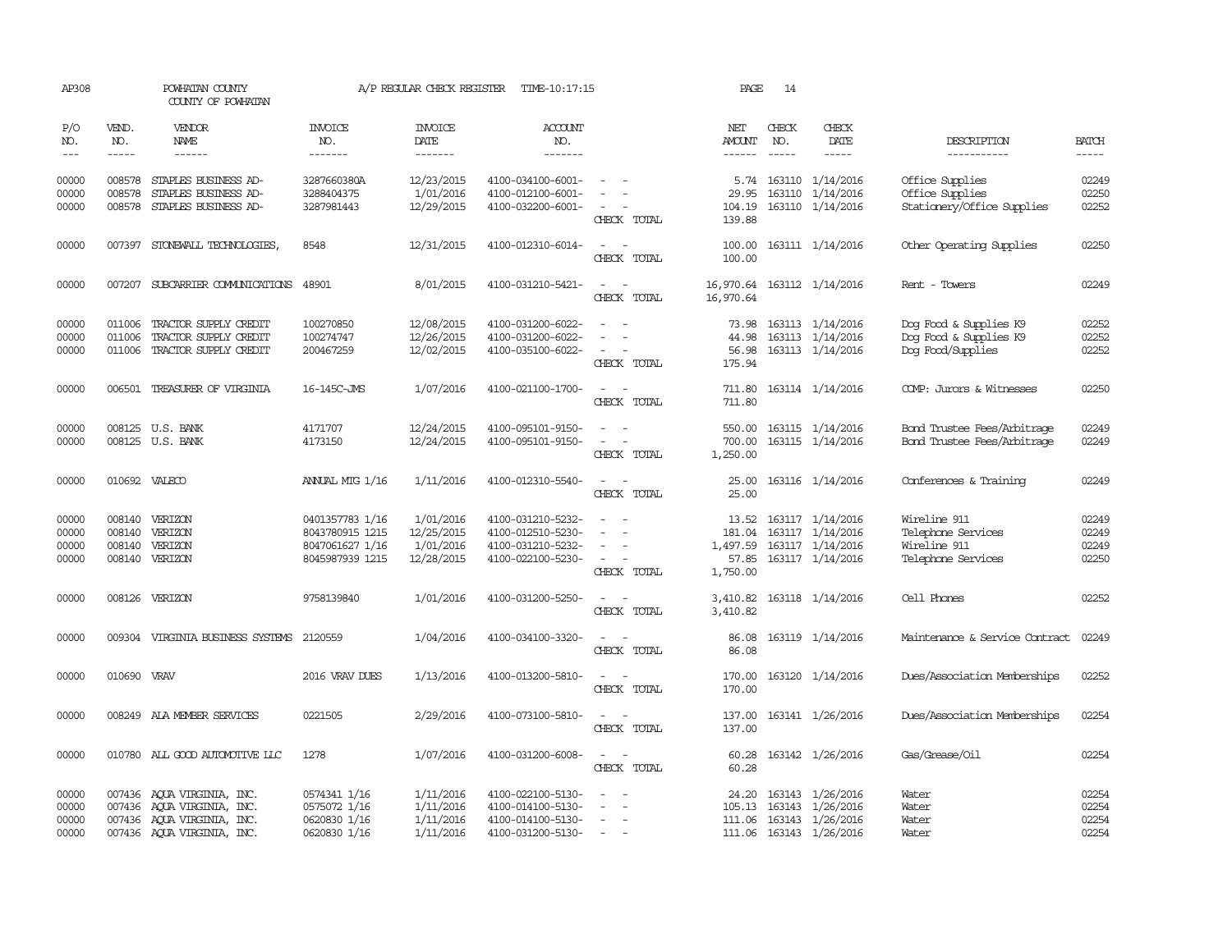| AP308                            |                                                                                                                                                                                                                                                                                                                                                                                                                                                                         | POWHATAN COUNTY<br>COUNTY OF POWHATAN                                                                                |                                                                          | A/P REGULAR CHECK REGISTER                         | TIME-10:17:15                                                                    |                                                                                                                             | PAGE                                    | 14                            |                                                                                            |                                                                          |                                  |
|----------------------------------|-------------------------------------------------------------------------------------------------------------------------------------------------------------------------------------------------------------------------------------------------------------------------------------------------------------------------------------------------------------------------------------------------------------------------------------------------------------------------|----------------------------------------------------------------------------------------------------------------------|--------------------------------------------------------------------------|----------------------------------------------------|----------------------------------------------------------------------------------|-----------------------------------------------------------------------------------------------------------------------------|-----------------------------------------|-------------------------------|--------------------------------------------------------------------------------------------|--------------------------------------------------------------------------|----------------------------------|
| P/O<br>NO.<br>$---$              | VEND.<br>NO.<br>$\begin{tabular}{ccccc} \multicolumn{2}{c }{\multicolumn{2}{c }{\multicolumn{2}{c }{\multicolumn{2}{c}}{\hspace{-2.2cm}}}} \multicolumn{2}{c }{\multicolumn{2}{c }{\hspace{-2.2cm}}\hline} \multicolumn{2}{c }{\hspace{-2.2cm}}\hline \multicolumn{2}{c }{\hspace{-2.2cm}}\hline \multicolumn{2}{c }{\hspace{-2.2cm}}\hline \multicolumn{2}{c }{\hspace{-2.2cm}}\hline \multicolumn{2}{c }{\hspace{-2.2cm}}\hline \multicolumn{2}{c }{\hspace{-2.2cm}}$ | <b>VENDOR</b><br>NAME<br>------                                                                                      | <b>INVOICE</b><br>NO.<br>-------                                         | <b>INVOICE</b><br><b>DATE</b><br>-------           | <b>ACCOUNT</b><br>NO.<br>-------                                                 |                                                                                                                             | NET<br>AMOUNT<br>------                 | CHECK<br>NO.<br>$\frac{1}{2}$ | CHECK<br>DATE<br>-----                                                                     | DESCRIPTION<br>-----------                                               | <b>BATCH</b><br>-----            |
| 00000<br>00000<br>00000          | 008578                                                                                                                                                                                                                                                                                                                                                                                                                                                                  | 008578 STAPLES BUSINESS AD-<br>STAPLES BUSINESS AD-<br>008578 STAPLES BUSINESS AD-                                   | 3287660380A<br>3288404375<br>3287981443                                  | 12/23/2015<br>1/01/2016<br>12/29/2015              | 4100-034100-6001-<br>4100-012100-6001-<br>4100-032200-6001-                      | CHECK TOTAL                                                                                                                 | 5.74<br>29.95<br>104.19<br>139.88       |                               | 163110 1/14/2016<br>163110 1/14/2016<br>163110 1/14/2016                                   | Office Supplies<br>Office Supplies<br>Stationery/Office Supplies         | 02249<br>02250<br>02252          |
| 00000                            |                                                                                                                                                                                                                                                                                                                                                                                                                                                                         | 007397 STONEWALL TECHNOLOGIES,                                                                                       | 8548                                                                     | 12/31/2015                                         | 4100-012310-6014-                                                                | $\sim$<br>- -<br>CHECK TOTAL                                                                                                | 100.00<br>100.00                        |                               | 163111 1/14/2016                                                                           | Other Operating Supplies                                                 | 02250                            |
| 00000                            |                                                                                                                                                                                                                                                                                                                                                                                                                                                                         | 007207 SUBCARRIER COMUNICATIONS 48901                                                                                |                                                                          | 8/01/2015                                          | 4100-031210-5421-                                                                | CHECK TOTAL                                                                                                                 | 16,970.64                               |                               | 16,970.64 163112 1/14/2016                                                                 | Rent - Towers                                                            | 02249                            |
| 00000<br>00000<br>00000          | 011006<br>011006                                                                                                                                                                                                                                                                                                                                                                                                                                                        | TRACTOR SUPPLY CREDIT<br>TRACTOR SUPPLY CREDIT<br>011006 TRACTOR SUPPLY CREDIT                                       | 100270850<br>100274747<br>200467259                                      | 12/08/2015<br>12/26/2015<br>12/02/2015             | 4100-031200-6022-<br>4100-031200-6022-<br>4100-035100-6022-                      | $\equiv$<br>CHECK TOTAL                                                                                                     | 73.98<br>44.98<br>56.98<br>175.94       |                               | 163113 1/14/2016<br>163113 1/14/2016<br>163113 1/14/2016                                   | Dog Food & Supplies K9<br>Dog Food & Supplies K9<br>Dog Food/Supplies    | 02252<br>02252<br>02252          |
| 00000                            |                                                                                                                                                                                                                                                                                                                                                                                                                                                                         | 006501 TREASURER OF VIRGINIA                                                                                         | 16-145C-JMS                                                              | 1/07/2016                                          | 4100-021100-1700-                                                                | $\sim$ 10 $\,$<br>CHECK TOTAL                                                                                               | 711.80<br>711.80                        |                               | 163114 1/14/2016                                                                           | COMP: Jurors & Witnesses                                                 | 02250                            |
| 00000<br>00000                   |                                                                                                                                                                                                                                                                                                                                                                                                                                                                         | 008125 U.S. BANK<br>008125 U.S. BANK                                                                                 | 4171707<br>4173150                                                       | 12/24/2015<br>12/24/2015                           | 4100-095101-9150-<br>4100-095101-9150-                                           | $\sim$<br>$\sim$<br>CHECK TOTAL                                                                                             | 550.00<br>700.00<br>1,250.00            |                               | 163115 1/14/2016<br>163115 1/14/2016                                                       | Bond Trustee Fees/Arbitrage<br>Bond Trustee Fees/Arbitrage               | 02249<br>02249                   |
| 00000                            |                                                                                                                                                                                                                                                                                                                                                                                                                                                                         | 010692 VALECO                                                                                                        | ANNUAL MTG 1/16                                                          | 1/11/2016                                          | 4100-012310-5540-                                                                | $\frac{1}{2} \left( \frac{1}{2} \right) \left( \frac{1}{2} \right) = \frac{1}{2} \left( \frac{1}{2} \right)$<br>CHECK TOTAL | 25.00<br>25.00                          |                               | 163116 1/14/2016                                                                           | Conferences & Training                                                   | 02249                            |
| 00000<br>00000<br>00000<br>00000 |                                                                                                                                                                                                                                                                                                                                                                                                                                                                         | 008140 VERIZON<br>008140 VERIZON<br>008140 VERIZON<br>008140 VERIZON                                                 | 0401357783 1/16<br>8043780915 1215<br>8047061627 1/16<br>8045987939 1215 | 1/01/2016<br>12/25/2015<br>1/01/2016<br>12/28/2015 | 4100-031210-5232-<br>4100-012510-5230-<br>4100-031210-5232-<br>4100-022100-5230- | $\sim$<br>CHECK TOTAL                                                                                                       | 13.52<br>181.04<br>1,497.59<br>1,750.00 |                               | 163117 1/14/2016<br>163117 1/14/2016<br>163117 1/14/2016<br>57.85 163117 1/14/2016         | Wireline 911<br>Telephone Services<br>Wireline 911<br>Telephone Services | 02249<br>02249<br>02249<br>02250 |
| 00000                            |                                                                                                                                                                                                                                                                                                                                                                                                                                                                         | 008126 VERIZON                                                                                                       | 9758139840                                                               | 1/01/2016                                          | 4100-031200-5250-                                                                | $\sim$<br>$\sim$<br>CHECK TOTAL                                                                                             | 3,410.82                                |                               | 3,410.82 163118 1/14/2016                                                                  | Cell Phones                                                              | 02252                            |
| 00000                            |                                                                                                                                                                                                                                                                                                                                                                                                                                                                         | 009304 VIRGINIA BUSINESS SYSTEMS                                                                                     | 2120559                                                                  | 1/04/2016                                          | 4100-034100-3320-                                                                | $\overline{\phantom{a}}$<br>$\sim$<br>CHECK TOTAL                                                                           | 86.08<br>86.08                          |                               | 163119 1/14/2016                                                                           | Maintenance & Service Contract                                           | 02249                            |
| 00000                            | 010690 VRAV                                                                                                                                                                                                                                                                                                                                                                                                                                                             |                                                                                                                      | 2016 VRAV DUES                                                           | 1/13/2016                                          | 4100-013200-5810-                                                                | $\sim$<br>CHECK TOTAL                                                                                                       | 170.00<br>170.00                        |                               | 163120 1/14/2016                                                                           | Dues/Association Memberships                                             | 02252                            |
| 00000                            |                                                                                                                                                                                                                                                                                                                                                                                                                                                                         | 008249 ALA MEMBER SERVICES                                                                                           | 0221505                                                                  | 2/29/2016                                          | 4100-073100-5810-                                                                | $\sim$ 100 $\mu$<br>CHECK TOTAL                                                                                             | 137.00<br>137.00                        |                               | 163141 1/26/2016                                                                           | Dues/Association Memberships                                             | 02254                            |
| 00000                            |                                                                                                                                                                                                                                                                                                                                                                                                                                                                         | 010780 ALL GOOD AUTOMOTTVE LLC                                                                                       | 1278                                                                     | 1/07/2016                                          | 4100-031200-6008-                                                                | $\sim$<br>CHECK TOTAL                                                                                                       | 60.28<br>60.28                          |                               | 163142 1/26/2016                                                                           | Gas/Grease/Oil                                                           | 02254                            |
| 00000<br>00000<br>00000<br>00000 |                                                                                                                                                                                                                                                                                                                                                                                                                                                                         | 007436 AQUA VIRGINIA, INC.<br>007436 AQUA VIRGINIA, INC.<br>007436 AQUA VIRGINIA, INC.<br>007436 AQUA VIRGINIA, INC. | 0574341 1/16<br>0575072 1/16<br>0620830 1/16<br>0620830 1/16             | 1/11/2016<br>1/11/2016<br>1/11/2016<br>1/11/2016   | 4100-022100-5130-<br>4100-014100-5130-<br>4100-014100-5130-<br>4100-031200-5130- | $\sim$<br>$\overline{\phantom{a}}$<br>$\sim$                                                                                | 24.20<br>105.13                         |                               | 163143 1/26/2016<br>163143 1/26/2016<br>111.06 163143 1/26/2016<br>111.06 163143 1/26/2016 | Water<br>Water<br>Water<br>Water                                         | 02254<br>02254<br>02254<br>02254 |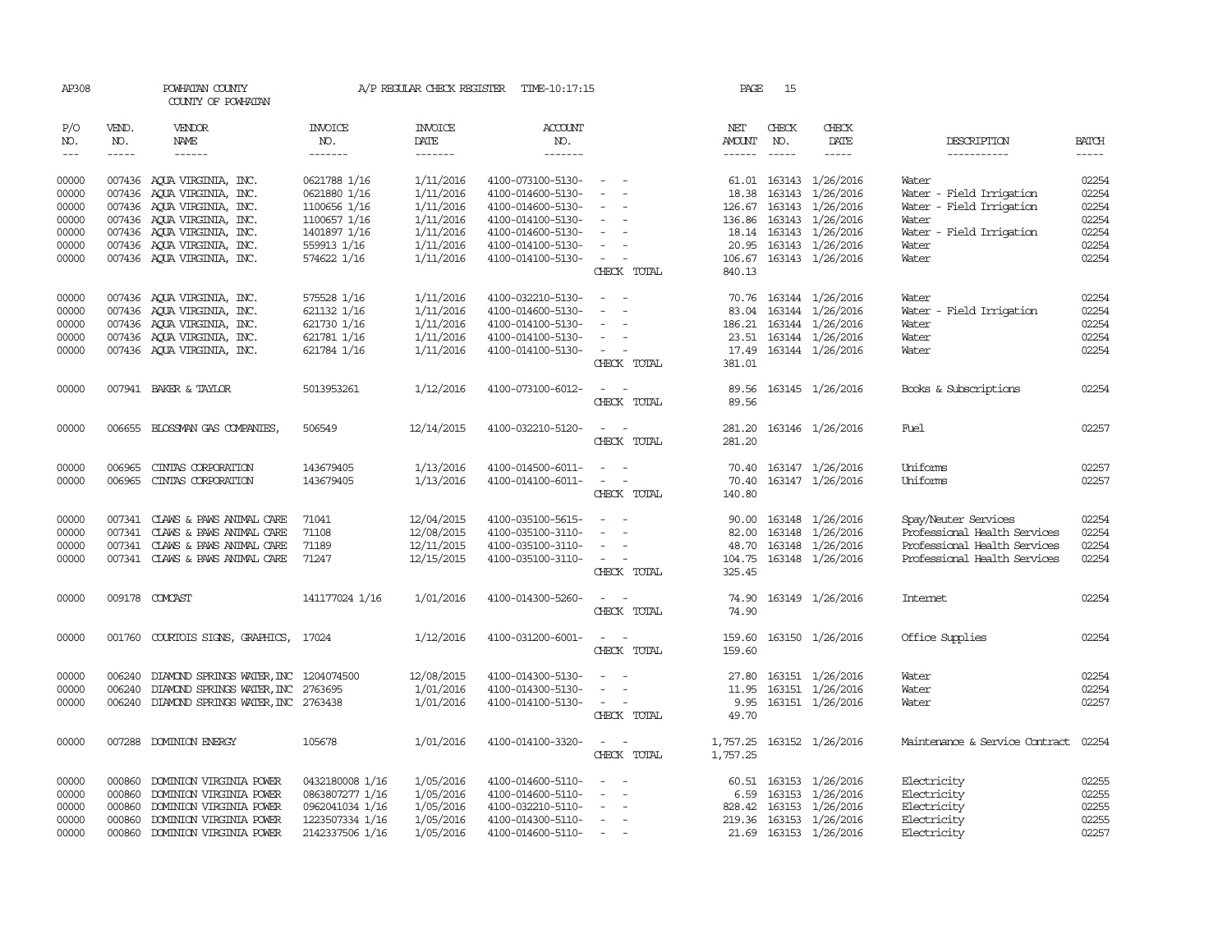| AP308                |              | POWHATAN COUNTY<br>COUNTY OF POWHATAN        |                       | A/P REGULAR CHECK REGISTER | TIME-10:17:15     |                                             | PAGE          | 15           |                           |                                |              |
|----------------------|--------------|----------------------------------------------|-----------------------|----------------------------|-------------------|---------------------------------------------|---------------|--------------|---------------------------|--------------------------------|--------------|
| P/O<br>NO.           | VEND.<br>NO. | VENDOR<br>NAME                               | <b>INVOICE</b><br>NO. | <b>INVOICE</b><br>DATE     | ACCOUNT<br>NO.    |                                             | NET<br>AMOUNT | CHECK<br>NO. | CHECK<br>DATE             | DESCRIPTION                    | <b>BATCH</b> |
| $\sim$ $\sim$ $\sim$ | $- - - - -$  | $- - - - - -$                                | -------               | --------                   | $- - - - - - -$   |                                             | $- - - - - -$ |              | $\cdots$                  | -----------                    | $- - - - -$  |
| 00000                |              | 007436 AQUA VIRGINIA, INC.                   | 0621788 1/16          | 1/11/2016                  | 4100-073100-5130- | and the state of                            |               |              | 61.01 163143 1/26/2016    | Water                          | 02254        |
| 00000                |              | 007436 AQUA VIRGINIA, INC.                   | 0621880 1/16          | 1/11/2016                  | 4100-014600-5130- | $\sim$                                      |               | 18.38 163143 | 1/26/2016                 | Water - Field Irrigation       | 02254        |
| 00000                |              | 007436 AQUA VIRGINIA, INC.                   | 1100656 1/16          | 1/11/2016                  | 4100-014600-5130- | $\sim$                                      |               |              | 126.67 163143 1/26/2016   | Water - Field Irrigation       | 02254        |
| 00000                |              | 007436 AQUA VIRGINIA, INC.                   | 1100657 1/16          | 1/11/2016                  | 4100-014100-5130- | $\sim$ $ \sim$<br>$\overline{\phantom{a}}$  |               |              | 136.86 163143 1/26/2016   | Water                          | 02254        |
| 00000                |              | 007436 AQUA VIRGINIA, INC.                   | 1401897 1/16          | 1/11/2016                  | 4100-014600-5130- | $\sim$ $ -$                                 |               |              | 18.14 163143 1/26/2016    | Water - Field Irrigation       | 02254        |
| 00000                |              | 007436 AQUA VIRGINIA, INC.                   | 559913 1/16           | 1/11/2016                  | 4100-014100-5130- | $\sim$                                      |               |              | 20.95 163143 1/26/2016    | Water                          | 02254        |
| 00000                |              | 007436 AQUA VIRGINIA, INC.                   | 574622 1/16           | 1/11/2016                  | 4100-014100-5130- | $\alpha = 1$ , $\alpha = 1$                 |               |              | 106.67 163143 1/26/2016   | Water                          | 02254        |
|                      |              |                                              |                       |                            |                   | CHECK TOTAL                                 | 840.13        |              |                           |                                |              |
|                      |              |                                              |                       |                            |                   |                                             |               |              |                           |                                |              |
| 00000                |              | 007436 AQUA VIRGINIA, INC.                   | 575528 1/16           | 1/11/2016                  | 4100-032210-5130- | $\sim$<br>$\sim$                            |               |              | 70.76 163144 1/26/2016    | Water                          | 02254        |
| 00000                |              | 007436 AQUA VIRGINIA, INC.                   | 621132 1/16           | 1/11/2016                  | 4100-014600-5130- | $\sim$<br>$\sim$                            |               |              | 83.04 163144 1/26/2016    | Water - Field Irrigation       | 02254        |
| 00000                |              | 007436 AQUA VIRGINIA, INC.                   | 621730 1/16           | 1/11/2016                  | 4100-014100-5130- | $\sim$                                      |               |              | 186.21 163144 1/26/2016   | Water                          | 02254        |
| 00000                |              | 007436 AQUA VIRGINIA, INC.                   | 621781 1/16           | 1/11/2016                  | 4100-014100-5130- | $\sim$                                      |               |              | 23.51 163144 1/26/2016    | Water                          | 02254        |
| 00000                |              | 007436 AQUA VIRGINIA, INC.                   | 621784 1/16           | 1/11/2016                  | 4100-014100-5130- | $\sim$ $ -$                                 |               |              | 17.49 163144 1/26/2016    | Water                          | 02254        |
|                      |              |                                              |                       |                            |                   | CHECK TOTAL                                 | 381.01        |              |                           |                                |              |
| 00000                |              | 007941 BAKER & TAYLOR                        | 5013953261            | 1/12/2016                  | 4100-073100-6012- | $\omega_{\rm{max}}$ and $\omega_{\rm{max}}$ |               |              | 89.56 163145 1/26/2016    | Books & Subscriptions          | 02254        |
|                      |              |                                              |                       |                            |                   | CHECK TOTAL                                 | 89.56         |              |                           |                                |              |
| 00000                |              | 006655 BLOSSMAN GAS COMPANIES,               | 506549                | 12/14/2015                 | 4100-032210-5120- | $\sim$ 100 $\sim$                           |               |              | 281.20 163146 1/26/2016   | Fuel                           | 02257        |
|                      |              |                                              |                       |                            |                   | CHECK TOTAL                                 | 281.20        |              |                           |                                |              |
|                      |              |                                              |                       |                            |                   |                                             |               |              |                           |                                |              |
| 00000                | 006965       | CINIAS CORPORATION                           | 143679405             | 1/13/2016                  | 4100-014500-6011- | $\sim$ $  -$                                |               |              | 70.40 163147 1/26/2016    | Uniforms                       | 02257        |
| 00000                |              | 006965 CINIAS CORPORATION                    | 143679405             | 1/13/2016                  | 4100-014100-6011- | $\sim$ $ -$                                 |               |              | 70.40 163147 1/26/2016    | Uniforms                       | 02257        |
|                      |              |                                              |                       |                            |                   | CHECK TOTAL                                 | 140.80        |              |                           |                                |              |
| 00000                |              | 007341 CLAWS & PAWS ANIMAL CARE              | 71041                 | 12/04/2015                 | 4100-035100-5615- | $\overline{\phantom{a}}$<br>$\sim$          |               |              | 90.00 163148 1/26/2016    | Spay/Neuter Services           | 02254        |
| 00000                |              | 007341 CLAWS & PAWS ANIMAL CARE              | 71108                 | 12/08/2015                 | 4100-035100-3110- | $\sim$<br>$\sim$                            |               |              | 82.00 163148 1/26/2016    | Professional Health Services   | 02254        |
| 00000                |              | 007341 CLAWS & PAWS ANIMAL CARE              | 71189                 | 12/11/2015                 | 4100-035100-3110- | $\sim$ $ \sim$                              | 48.70         |              | 163148 1/26/2016          | Professional Health Services   | 02254        |
| 00000                |              | 007341 CLAWS & PAWS ANIMAL CARE              | 71247                 | 12/15/2015                 | 4100-035100-3110- | $\alpha = 1$ , $\alpha = 1$                 |               |              | 104.75 163148 1/26/2016   | Professional Health Services   | 02254        |
|                      |              |                                              |                       |                            |                   | CHECK TOTAL                                 | 325.45        |              |                           |                                |              |
|                      |              |                                              |                       |                            |                   |                                             |               |              |                           |                                |              |
| 00000                |              | 009178 COMCAST                               | 141177024 1/16        | 1/01/2016                  | 4100-014300-5260- | $\sim$ $  -$                                |               |              | 74.90 163149 1/26/2016    | Internet.                      | 02254        |
|                      |              |                                              |                       |                            |                   | CHECK TOTAL                                 | 74.90         |              |                           |                                |              |
| 00000                |              | 001760 COURTOIS SIGNS, GRAPHICS,             | 17024                 | 1/12/2016                  | 4100-031200-6001- | $\sim$ $ -$                                 | 159.60        |              | 163150 1/26/2016          | Office Supplies                | 02254        |
|                      |              |                                              |                       |                            |                   | CHECK TOTAL                                 | 159.60        |              |                           |                                |              |
|                      |              |                                              |                       |                            |                   |                                             |               |              |                           |                                |              |
| 00000                |              | 006240 DIAMOND SPRINGS WATER, INC 1204074500 |                       | 12/08/2015                 | 4100-014300-5130- | $\sim$ $ -$                                 |               |              | 27.80 163151 1/26/2016    | Water                          | 02254        |
| 00000                |              | 006240 DIAMOND SPRINGS WATER, INC 2763695    |                       | 1/01/2016                  | 4100-014300-5130- | $\sim$<br>$\sim$ $-$                        |               |              | 11.95 163151 1/26/2016    | Water                          | 02254        |
| 00000                |              | 006240 DIAMOND SPRINGS WATER, INC 2763438    |                       | 1/01/2016                  | 4100-014100-5130- | $\alpha = 1$ , $\alpha = 1$                 |               |              | 9.95 163151 1/26/2016     | Water                          | 02257        |
|                      |              |                                              |                       |                            |                   | CHECK TOTAL                                 | 49.70         |              |                           |                                |              |
| 00000                |              | 007288 DOMINION ENERGY                       | 105678                | 1/01/2016                  | 4100-014100-3320- | $\omega_{\rm{max}}$ and $\omega_{\rm{max}}$ |               |              | 1,757.25 163152 1/26/2016 | Maintenance & Service Contract | 02254        |
|                      |              |                                              |                       |                            |                   | CHECK TOTAL                                 | 1,757.25      |              |                           |                                |              |
|                      |              |                                              |                       |                            |                   |                                             |               |              |                           |                                |              |
| 00000                |              | 000860 DOMINION VIRGINIA POWER               | 0432180008 1/16       | 1/05/2016                  | 4100-014600-5110- | $\overline{\phantom{a}}$                    |               |              | 60.51 163153 1/26/2016    | Electricity                    | 02255        |
| 00000                | 000860       | DOMINION VIRGINIA POWER                      | 0863807277 1/16       | 1/05/2016                  | 4100-014600-5110- | $\sim$                                      |               |              | 6.59 163153 1/26/2016     | Electricity                    | 02255        |
| 00000                | 000860       | DOMINION VIRGINIA POWER                      | 0962041034 1/16       | 1/05/2016                  | 4100-032210-5110- | $\overline{\phantom{a}}$                    |               |              | 828.42 163153 1/26/2016   | Electricity                    | 02255        |
| 00000                |              | 000860 DOMINION VIRGINIA POWER               | 1223507334 1/16       | 1/05/2016                  | 4100-014300-5110- | $\sim$                                      |               |              | 219.36 163153 1/26/2016   | Electricity                    | 02255        |
| 00000                |              | 000860 DOMINION VIRGINIA POWER               | 2142337506 1/16       | 1/05/2016                  | 4100-014600-5110- | $\sim$                                      |               |              | 21.69 163153 1/26/2016    | Electricity                    | 02257        |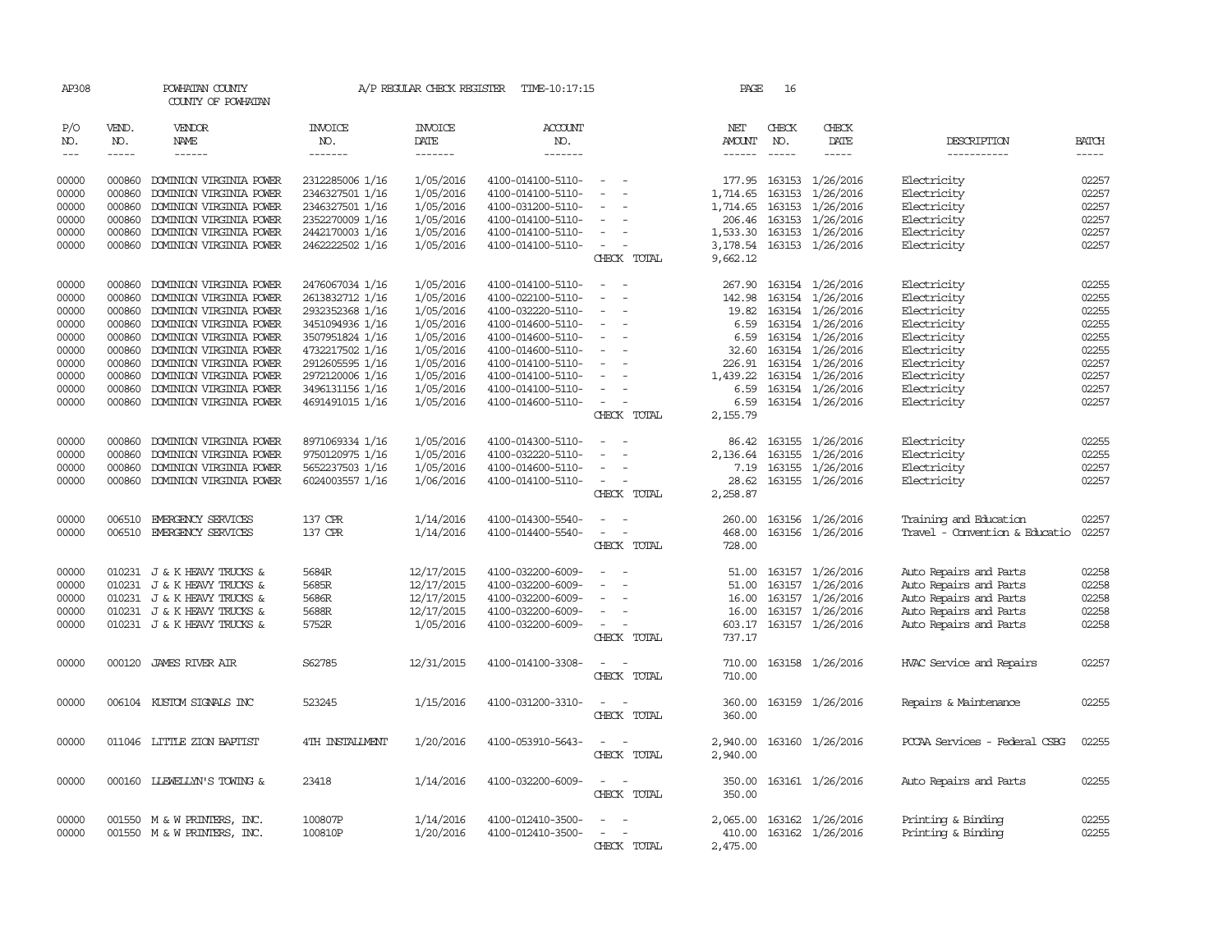| AP308    |             | POWHATAN COUNTY<br>COUNTY OF POWHATAN |                 | A/P REGULAR CHECK REGISTER | TIME-10:17:15     |                                                                                                              | PAGE             | 16          |                  |                                |              |
|----------|-------------|---------------------------------------|-----------------|----------------------------|-------------------|--------------------------------------------------------------------------------------------------------------|------------------|-------------|------------------|--------------------------------|--------------|
| P/O      | VEND.       | VENDOR                                | INVOICE         | <b>INVOICE</b>             | <b>ACCOUNT</b>    |                                                                                                              | NET              | CHECK       | CHECK            |                                |              |
| NO.      | NO.         | NAME                                  | NO.             | DATE                       | NO.               |                                                                                                              | AMOUNT           | NO.         | DATE             | DESCRIPTION                    | <b>BATCH</b> |
| $\cdots$ | $- - - - -$ | $- - - - - -$                         | -------         | -------                    | $- - - - - - -$   |                                                                                                              | $- - - - - -$    | $- - - - -$ | $- - - - -$      | -----------                    | $- - - - -$  |
| 00000    | 000860      | DOMINION VIRGINIA POWER               | 2312285006 1/16 | 1/05/2016                  | 4100-014100-5110- | $\overline{\phantom{a}}$                                                                                     | 177.95           |             | 163153 1/26/2016 | Electricity                    | 02257        |
| 00000    | 000860      | DOMINION VIRGINIA POWER               | 2346327501 1/16 | 1/05/2016                  | 4100-014100-5110- | $\overline{\phantom{a}}$<br>$\overline{\phantom{a}}$                                                         | 1,714.65         | 163153      | 1/26/2016        | Electricity                    | 02257        |
| 00000    | 000860      | DOMINION VIRGINIA POWER               | 2346327501 1/16 | 1/05/2016                  | 4100-031200-5110- | $\overline{\phantom{a}}$                                                                                     | 1,714.65         | 163153      | 1/26/2016        | Electricity                    | 02257        |
| 00000    | 000860      |                                       | 2352270009 1/16 | 1/05/2016                  |                   |                                                                                                              |                  |             |                  |                                | 02257        |
|          |             | DOMINION VIRGINIA POWER               |                 |                            | 4100-014100-5110- | $\overline{\phantom{a}}$                                                                                     | 206.46           |             | 163153 1/26/2016 | Electricity                    | 02257        |
| 00000    | 000860      | DOMINION VIRGINIA POWER               | 2442170003 1/16 | 1/05/2016                  | 4100-014100-5110- |                                                                                                              | 1,533.30         |             | 163153 1/26/2016 | Electricity                    |              |
| 00000    | 000860      | DOMINION VIRGINIA POWER               | 2462222502 1/16 | 1/05/2016                  | 4100-014100-5110- | $\equiv$                                                                                                     | 3,178.54         |             | 163153 1/26/2016 | Electricity                    | 02257        |
|          |             |                                       |                 |                            |                   | CHECK TOTAL                                                                                                  | 9,662.12         |             |                  |                                |              |
| 00000    | 000860      | DOMINION VIRGINIA POWER               | 2476067034 1/16 | 1/05/2016                  | 4100-014100-5110- | $\sim$ $\sim$                                                                                                | 267.90           |             | 163154 1/26/2016 | Electricity                    | 02255        |
| 00000    | 000860      | DOMINION VIRGINIA POWER               | 2613832712 1/16 | 1/05/2016                  | 4100-022100-5110- | $\sim$                                                                                                       | 142.98           |             | 163154 1/26/2016 | Electricity                    | 02255        |
| 00000    | 000860      | DOMINION VIRGINIA POWER               | 2932352368 1/16 | 1/05/2016                  | 4100-032220-5110- | $\overline{\phantom{a}}$                                                                                     | 19.82            |             | 163154 1/26/2016 | Electricity                    | 02255        |
| 00000    | 000860      | DOMINION VIRGINIA POWER               | 3451094936 1/16 | 1/05/2016                  | 4100-014600-5110- | $\overline{\phantom{a}}$                                                                                     | 6.59             |             | 163154 1/26/2016 | Electricity                    | 02255        |
| 00000    | 000860      | DOMINION VIRGINIA POWER               | 3507951824 1/16 | 1/05/2016                  | 4100-014600-5110- | $\sim$                                                                                                       | 6.59             |             | 163154 1/26/2016 | Electricity                    | 02255        |
| 00000    | 000860      | DOMINION VIRGINIA POWER               | 4732217502 1/16 | 1/05/2016                  | 4100-014600-5110- | $\overline{\phantom{a}}$                                                                                     | 32.60            |             | 163154 1/26/2016 | Electricity                    | 02255        |
| 00000    | 000860      | DOMINION VIRGINIA POWER               | 2912605595 1/16 | 1/05/2016                  | 4100-014100-5110- |                                                                                                              | 226.91           |             | 163154 1/26/2016 | Electricity                    | 02257        |
| 00000    | 000860      | DOMINION VIRGINIA POWER               | 2972120006 1/16 | 1/05/2016                  | 4100-014100-5110- | $\sim$                                                                                                       | 1,439.22         |             | 163154 1/26/2016 | Electricity                    | 02257        |
| 00000    | 000860      | DOMINION VIRGINIA POWER               | 3496131156 1/16 | 1/05/2016                  | 4100-014100-5110- | $\sim$                                                                                                       | 6.59             |             | 163154 1/26/2016 | Electricity                    | 02257        |
| 00000    |             | 000860 DOMINION VIRGINIA POWER        | 4691491015 1/16 | 1/05/2016                  | 4100-014600-5110- | $\sim$ $ \sim$                                                                                               | 6.59             |             | 163154 1/26/2016 | Electricity                    | 02257        |
|          |             |                                       |                 |                            |                   | CHECK TOTAL                                                                                                  | 2,155.79         |             |                  |                                |              |
|          |             |                                       |                 |                            |                   |                                                                                                              |                  |             |                  |                                |              |
| 00000    | 000860      | DOMINION VIRGINIA POWER               | 8971069334 1/16 | 1/05/2016                  | 4100-014300-5110- | $\overline{\phantom{a}}$                                                                                     | 86.42            |             | 163155 1/26/2016 | Electricity                    | 02255        |
| 00000    | 000860      | DOMINION VIRGINIA POWER               | 9750120975 1/16 | 1/05/2016                  | 4100-032220-5110- |                                                                                                              | 2,136.64         |             | 163155 1/26/2016 | Electricity                    | 02255        |
| 00000    | 000860      | DOMINION VIRGINIA POWER               | 5652237503 1/16 | 1/05/2016                  | 4100-014600-5110- | $\equiv$                                                                                                     | 7.19             |             | 163155 1/26/2016 | Electricity                    | 02257        |
| 00000    | 000860      | DOMINION VIRGINIA POWER               | 6024003557 1/16 | 1/06/2016                  | 4100-014100-5110- | $\overline{\phantom{a}}$                                                                                     | 28.62            |             | 163155 1/26/2016 | Electricity                    | 02257        |
|          |             |                                       |                 |                            |                   | CHECK TOTAL                                                                                                  | 2,258.87         |             |                  |                                |              |
| 00000    |             | 006510 EMERGENCY SERVICES             | 137 CPR         | 1/14/2016                  | 4100-014300-5540- |                                                                                                              | 260.00           |             | 163156 1/26/2016 | Training and Education         | 02257        |
| 00000    |             | 006510 EMERGENCY SERVICES             | 137 CPR         | 1/14/2016                  | 4100-014400-5540- | $\sim$<br>$\overline{\phantom{a}}$                                                                           | 468.00           |             | 163156 1/26/2016 | Travel - Convention & Educatio | 02257        |
|          |             |                                       |                 |                            |                   | CHECK TOTAL                                                                                                  | 728.00           |             |                  |                                |              |
| 00000    |             | 010231 J & K HEAVY TRUCKS &           | 5684R           | 12/17/2015                 | 4100-032200-6009- | $\overline{\phantom{a}}$<br>$\overline{\phantom{a}}$                                                         | 51.00            |             | 163157 1/26/2016 | Auto Repairs and Parts         | 02258        |
| 00000    |             | 010231 J & K HEAVY TRUCKS &           | 5685R           | 12/17/2015                 | 4100-032200-6009- | $\overline{\phantom{a}}$                                                                                     | 51.00            | 163157      | 1/26/2016        | Auto Repairs and Parts         | 02258        |
| 00000    |             | 010231 J & K HEAVY TRUCKS &           | 5686R           | 12/17/2015                 | 4100-032200-6009- |                                                                                                              | 16.00            |             | 163157 1/26/2016 | Auto Repairs and Parts         | 02258        |
| 00000    |             | 010231 J & K HEAVY TRUCKS &           | 5688R           | 12/17/2015                 | 4100-032200-6009- | $\equiv$                                                                                                     | 16.00            |             | 163157 1/26/2016 | Auto Repairs and Parts         | 02258        |
| 00000    |             | 010231 J & K HEAVY TRUCKS &           | 5752R           | 1/05/2016                  | 4100-032200-6009- | $\overline{\phantom{a}}$                                                                                     | 603.17           |             | 163157 1/26/2016 | Auto Repairs and Parts         | 02258        |
|          |             |                                       |                 |                            |                   | CHECK TOTAL                                                                                                  | 737.17           |             |                  |                                |              |
|          |             |                                       |                 |                            |                   |                                                                                                              |                  |             |                  |                                |              |
| 00000    |             | 000120 JAMES RIVER AIR                | S62785          | 12/31/2015                 | 4100-014100-3308- | $ -$<br>CHECK TOTAL                                                                                          | 710.00<br>710.00 |             | 163158 1/26/2016 | HVAC Service and Repairs       | 02257        |
|          |             |                                       |                 |                            |                   |                                                                                                              |                  |             |                  |                                |              |
| 00000    |             | 006104 KUSTOM SIGNALS INC             | 523245          | 1/15/2016                  | 4100-031200-3310- | $\frac{1}{2} \left( \frac{1}{2} \right) \left( \frac{1}{2} \right) = \frac{1}{2} \left( \frac{1}{2} \right)$ | 360.00           |             | 163159 1/26/2016 | Repairs & Maintenance          | 02255        |
|          |             |                                       |                 |                            |                   | CHECK TOTAL                                                                                                  | 360.00           |             |                  |                                |              |
| 00000    |             | 011046 LITTLE ZION BAPTIST            | 4TH INSTALLMENT | 1/20/2016                  | 4100-053910-5643- |                                                                                                              | 2,940.00         |             | 163160 1/26/2016 | PCCAA Services - Federal CSBG  | 02255        |
|          |             |                                       |                 |                            |                   | CHECK TOTAL                                                                                                  | 2,940.00         |             |                  |                                |              |
| 00000    | 000160      | <b>LLEWELLYN'S TOWING &amp;</b>       | 23418           | 1/14/2016                  | 4100-032200-6009- |                                                                                                              | 350.00           |             | 163161 1/26/2016 | Auto Repairs and Parts         | 02255        |
|          |             |                                       |                 |                            |                   | CHECK TOTAL                                                                                                  | 350.00           |             |                  |                                |              |
| 00000    |             | 001550 M & W PRINTERS, INC.           | 100807P         | 1/14/2016                  | 4100-012410-3500- |                                                                                                              | 2,065.00         |             | 163162 1/26/2016 | Printing & Binding             | 02255        |
| 00000    |             | 001550 M & W PRINTERS, INC.           | 100810P         | 1/20/2016                  | 4100-012410-3500- | $\sim$ 10 $\sim$<br>$\overline{a}$                                                                           | 410.00           |             | 163162 1/26/2016 | Printing & Binding             | 02255        |
|          |             |                                       |                 |                            |                   | CHECK TOTAL                                                                                                  | 2,475.00         |             |                  |                                |              |
|          |             |                                       |                 |                            |                   |                                                                                                              |                  |             |                  |                                |              |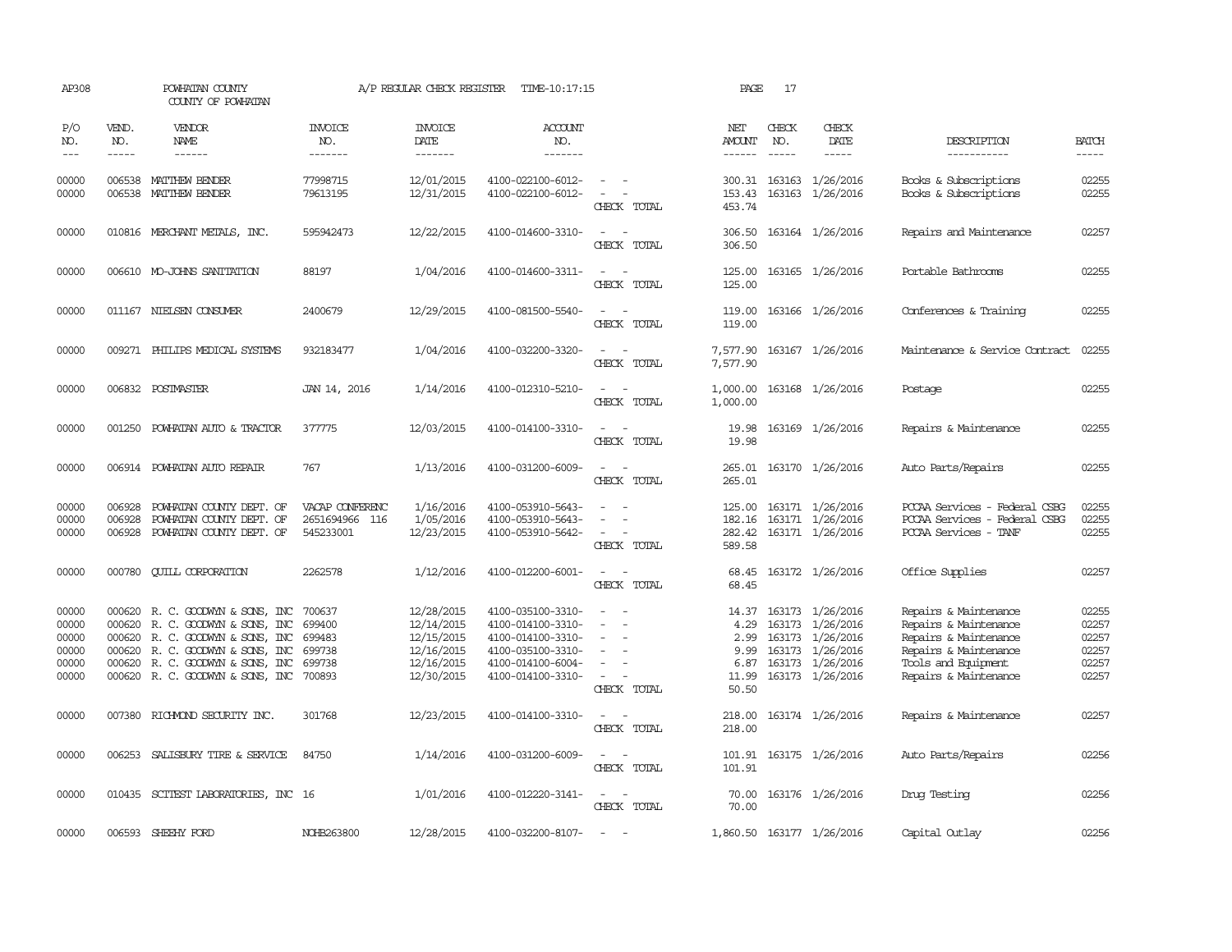| AP308                                              |                                                                                                                                                                                                                                                                                                                                                                                                                                                                         | POWHATAN COUNTY<br>COUNTY OF POWHATAN                                                                                                                                                                  |                                                          | A/P REGULAR CHECK REGISTER                                                       | TIME-10:17:15                                                                                                              |                                                                                                                             | PAGE                                            | 17           |                                                                                                                           |                                                                                                                                                  |                                                    |
|----------------------------------------------------|-------------------------------------------------------------------------------------------------------------------------------------------------------------------------------------------------------------------------------------------------------------------------------------------------------------------------------------------------------------------------------------------------------------------------------------------------------------------------|--------------------------------------------------------------------------------------------------------------------------------------------------------------------------------------------------------|----------------------------------------------------------|----------------------------------------------------------------------------------|----------------------------------------------------------------------------------------------------------------------------|-----------------------------------------------------------------------------------------------------------------------------|-------------------------------------------------|--------------|---------------------------------------------------------------------------------------------------------------------------|--------------------------------------------------------------------------------------------------------------------------------------------------|----------------------------------------------------|
| P/O<br>NO.<br>$\qquad \qquad -$                    | VEND.<br>NO.<br>$\begin{tabular}{ccccc} \multicolumn{2}{c }{\multicolumn{2}{c }{\multicolumn{2}{c }{\multicolumn{2}{c}}{\hspace{-2.2cm}}}} \multicolumn{2}{c }{\multicolumn{2}{c }{\hspace{-2.2cm}}\hline} \multicolumn{2}{c }{\hspace{-2.2cm}}\hline \multicolumn{2}{c }{\hspace{-2.2cm}}\hline \multicolumn{2}{c }{\hspace{-2.2cm}}\hline \multicolumn{2}{c }{\hspace{-2.2cm}}\hline \multicolumn{2}{c }{\hspace{-2.2cm}}\hline \multicolumn{2}{c }{\hspace{-2.2cm}}$ | VENDOR<br>NAME                                                                                                                                                                                         | <b>INVOICE</b><br>NO.<br>-------                         | <b>INVOICE</b><br>DATE<br>-------                                                | <b>ACCOUNT</b><br>NO.<br>-------                                                                                           |                                                                                                                             | NET<br>AMOUNT<br>$- - - - - -$                  | CHECK<br>NO. | CHECK<br>DATE                                                                                                             | DESCRIPTION<br>-----------                                                                                                                       | <b>BATCH</b><br>-----                              |
| 00000<br>00000                                     |                                                                                                                                                                                                                                                                                                                                                                                                                                                                         | 006538 MATTHEW BENDER<br>006538 MATTHEW BENDER                                                                                                                                                         | 77998715<br>79613195                                     | 12/01/2015<br>12/31/2015                                                         | 4100-022100-6012-<br>4100-022100-6012-                                                                                     | $\sim$ 100 $\mu$<br>$\sim$<br>CHECK TOTAL                                                                                   | 153.43<br>453.74                                |              | 300.31 163163 1/26/2016<br>163163 1/26/2016                                                                               | Books & Subscriptions<br>Books & Subscriptions                                                                                                   | 02255<br>02255                                     |
| 00000                                              |                                                                                                                                                                                                                                                                                                                                                                                                                                                                         | 010816 MERCHANT METALS, INC.                                                                                                                                                                           | 595942473                                                | 12/22/2015                                                                       | 4100-014600-3310-                                                                                                          | $\sim$<br>$\sim$<br>CHECK TOTAL                                                                                             | 306.50<br>306.50                                |              | 163164 1/26/2016                                                                                                          | Repairs and Maintenance                                                                                                                          | 02257                                              |
| 00000                                              |                                                                                                                                                                                                                                                                                                                                                                                                                                                                         | 006610 MO-JOHNS SANITATION                                                                                                                                                                             | 88197                                                    | 1/04/2016                                                                        | 4100-014600-3311-                                                                                                          | $\sim$<br>CHECK TOTAL                                                                                                       | 125.00<br>125.00                                |              | 163165 1/26/2016                                                                                                          | Portable Bathrooms                                                                                                                               | 02255                                              |
| 00000                                              |                                                                                                                                                                                                                                                                                                                                                                                                                                                                         | 011167 NIELSEN CONSUMER                                                                                                                                                                                | 2400679                                                  | 12/29/2015                                                                       | 4100-081500-5540-                                                                                                          | $\sim$<br>CHECK TOTAL                                                                                                       | 119.00<br>119.00                                |              | 163166 1/26/2016                                                                                                          | Conferences & Training                                                                                                                           | 02255                                              |
| 00000                                              |                                                                                                                                                                                                                                                                                                                                                                                                                                                                         | 009271 PHILIPS MEDICAL SYSTEMS                                                                                                                                                                         | 932183477                                                | 1/04/2016                                                                        | 4100-032200-3320-                                                                                                          | $\frac{1}{2} \left( \frac{1}{2} \right) \left( \frac{1}{2} \right) = \frac{1}{2} \left( \frac{1}{2} \right)$<br>CHECK TOTAL | 7,577.90<br>7,577.90                            |              | 163167 1/26/2016                                                                                                          | Maintenance & Service Contract                                                                                                                   | 02255                                              |
| 00000                                              |                                                                                                                                                                                                                                                                                                                                                                                                                                                                         | 006832 POSTMASTER                                                                                                                                                                                      | JAN 14, 2016                                             | 1/14/2016                                                                        | 4100-012310-5210-                                                                                                          | $\sim$ $-$<br>CHECK TOTAL                                                                                                   | 1,000.00<br>1,000.00                            |              | 163168 1/26/2016                                                                                                          | Postage                                                                                                                                          | 02255                                              |
| 00000                                              |                                                                                                                                                                                                                                                                                                                                                                                                                                                                         | 001250 POWHATAN AUTO & TRACTOR                                                                                                                                                                         | 377775                                                   | 12/03/2015                                                                       | 4100-014100-3310-                                                                                                          | CHECK TOTAL                                                                                                                 | 19.98<br>19.98                                  |              | 163169 1/26/2016                                                                                                          | Repairs & Maintenance                                                                                                                            | 02255                                              |
| 00000                                              |                                                                                                                                                                                                                                                                                                                                                                                                                                                                         | 006914 POWHATAN AUTO REPAIR                                                                                                                                                                            | 767                                                      | 1/13/2016                                                                        | 4100-031200-6009-                                                                                                          | $\sim$<br>CHECK TOTAL                                                                                                       | 265.01<br>265.01                                |              | 163170 1/26/2016                                                                                                          | Auto Parts/Repairs                                                                                                                               | 02255                                              |
| 00000<br>00000<br>00000                            | 006928<br>006928<br>006928                                                                                                                                                                                                                                                                                                                                                                                                                                              | POWHATAN COUNTY DEPT. OF<br>POWHATAN COUNTY DEPT. OF<br>POWHATAN COUNTY DEPT. OF                                                                                                                       | VACAP CONFERENC<br>2651694966 116<br>545233001           | 1/16/2016<br>1/05/2016<br>12/23/2015                                             | 4100-053910-5643-<br>4100-053910-5643-<br>4100-053910-5642-                                                                | $\overline{\phantom{a}}$<br>CHECK TOTAL                                                                                     | 125.00<br>182.16<br>282.42<br>589.58            |              | 163171 1/26/2016<br>163171 1/26/2016<br>163171 1/26/2016                                                                  | PCCAA Services - Federal CSBG<br>PCCAA Services - Federal CSBG<br>PCCAA Services - TANF                                                          | 02255<br>02255<br>02255                            |
| 00000                                              |                                                                                                                                                                                                                                                                                                                                                                                                                                                                         | 000780 CUILL CORPORATION                                                                                                                                                                               | 2262578                                                  | 1/12/2016                                                                        | 4100-012200-6001-                                                                                                          | $\sim$<br>CHECK TOTAL                                                                                                       | 68.45<br>68.45                                  |              | 163172 1/26/2016                                                                                                          | Office Supplies                                                                                                                                  | 02257                                              |
| 00000<br>00000<br>00000<br>00000<br>00000<br>00000 | 000620<br>000620                                                                                                                                                                                                                                                                                                                                                                                                                                                        | R. C. GOODWYN & SONS, INC<br>R. C. GOODWYN & SONS, INC<br>000620 R. C. GOODWYN & SONS, INC<br>000620 R. C. GOODWYN & SONS, INC<br>000620 R. C. GOODWYN & SONS, INC<br>000620 R. C. GOODWYN & SONS, INC | 700637<br>699400<br>699483<br>699738<br>699738<br>700893 | 12/28/2015<br>12/14/2015<br>12/15/2015<br>12/16/2015<br>12/16/2015<br>12/30/2015 | 4100-035100-3310-<br>4100-014100-3310-<br>4100-014100-3310-<br>4100-035100-3310-<br>4100-014100-6004-<br>4100-014100-3310- | $\sim$<br>$\overline{\phantom{a}}$<br>$\sim$<br>$\sim$<br>CHECK TOTAL                                                       | 14.37<br>4.29<br>2.99<br>9.99<br>11.99<br>50.50 |              | 163173 1/26/2016<br>163173 1/26/2016<br>163173 1/26/2016<br>163173 1/26/2016<br>6.87 163173 1/26/2016<br>163173 1/26/2016 | Repairs & Maintenance<br>Repairs & Maintenance<br>Repairs & Maintenance<br>Repairs & Maintenance<br>Tools and Equipment<br>Repairs & Maintenance | 02255<br>02257<br>02257<br>02257<br>02257<br>02257 |
| 00000                                              |                                                                                                                                                                                                                                                                                                                                                                                                                                                                         | 007380 RICHMOND SECURITY INC.                                                                                                                                                                          | 301768                                                   | 12/23/2015                                                                       | 4100-014100-3310-                                                                                                          | $\frac{1}{2} \left( \frac{1}{2} \right) \left( \frac{1}{2} \right) = \frac{1}{2} \left( \frac{1}{2} \right)$<br>CHECK TOTAL | 218.00<br>218.00                                |              | 163174 1/26/2016                                                                                                          | Repairs & Maintenance                                                                                                                            | 02257                                              |
| 00000                                              |                                                                                                                                                                                                                                                                                                                                                                                                                                                                         | 006253 SALISBURY TIRE & SERVICE                                                                                                                                                                        | 84750                                                    | 1/14/2016                                                                        | 4100-031200-6009-                                                                                                          | $\frac{1}{2} \left( \frac{1}{2} \right) \left( \frac{1}{2} \right) = \frac{1}{2} \left( \frac{1}{2} \right)$<br>CHECK TOTAL | 101.91                                          |              | 101.91 163175 1/26/2016                                                                                                   | Auto Parts/Repairs                                                                                                                               | 02256                                              |
| 00000                                              |                                                                                                                                                                                                                                                                                                                                                                                                                                                                         | 010435 SCITEST LABORATORIES, INC 16                                                                                                                                                                    |                                                          | 1/01/2016                                                                        | 4100-012220-3141-                                                                                                          | $\sim$<br>CHECK TOTAL                                                                                                       | 70.00                                           |              | 70.00 163176 1/26/2016                                                                                                    | Drug Testing                                                                                                                                     | 02256                                              |
| 00000                                              |                                                                                                                                                                                                                                                                                                                                                                                                                                                                         | 006593 SHEEHY FORD                                                                                                                                                                                     | NOHB263800                                               | 12/28/2015                                                                       | 4100-032200-8107-                                                                                                          | <b><i><u>Participate</u></i></b>                                                                                            |                                                 |              | 1,860.50 163177 1/26/2016                                                                                                 | Capital Outlay                                                                                                                                   | 02256                                              |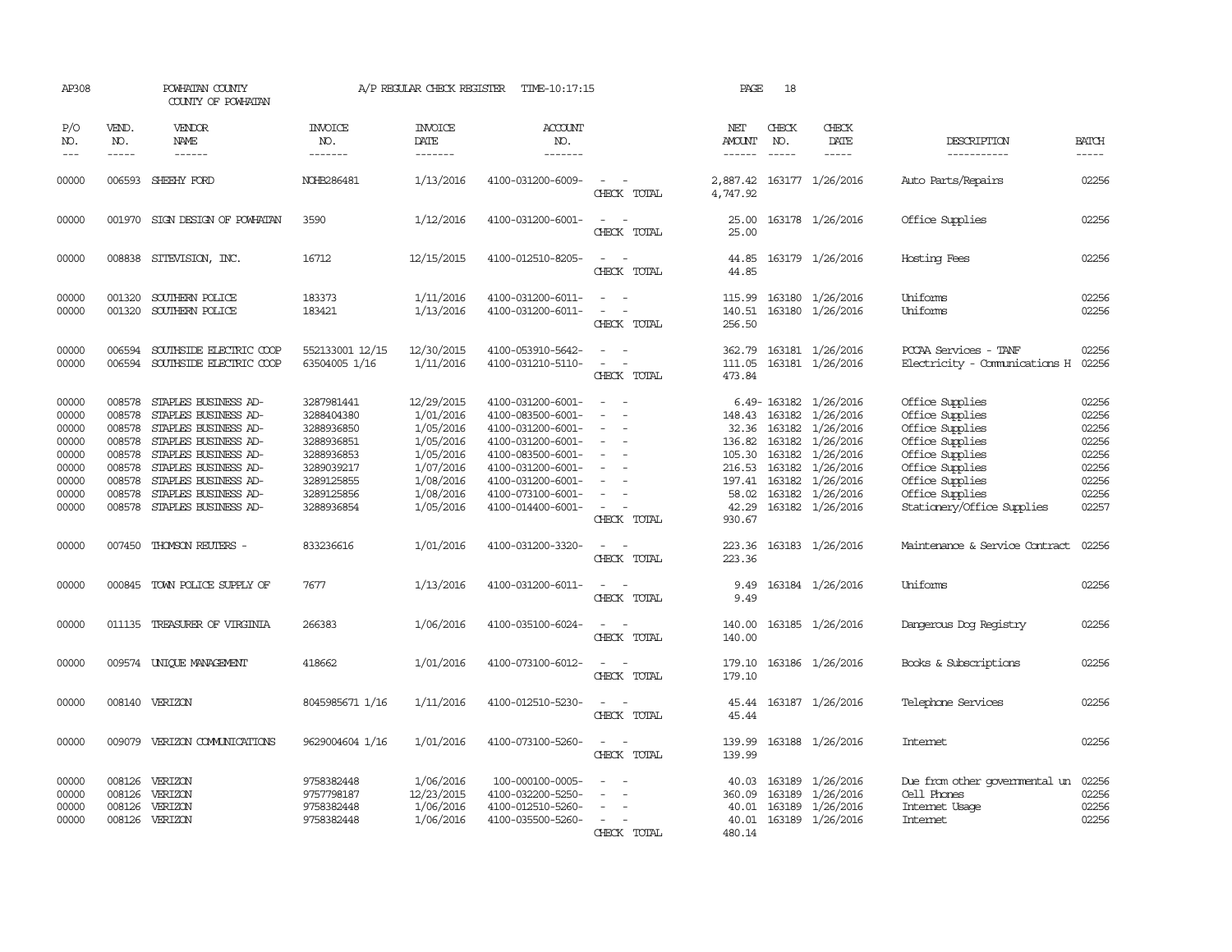| AP308               |                             | POWHATAN COUNTY<br>COUNTY OF POWHATAN               |                                  | A/P REGULAR CHECK REGISTER               | TIME-10:17:15                          |                                         | PAGE                                  | 18                            |                                      |                                               |                |
|---------------------|-----------------------------|-----------------------------------------------------|----------------------------------|------------------------------------------|----------------------------------------|-----------------------------------------|---------------------------------------|-------------------------------|--------------------------------------|-----------------------------------------------|----------------|
| P/O<br>NO.<br>$---$ | VEND.<br>NO.<br>$- - - - -$ | VENDOR<br>NAME                                      | <b>INVOICE</b><br>NO.<br>------- | <b>INVOICE</b><br><b>DATE</b><br>------- | <b>ACCOUNT</b><br>NO.<br>-------       |                                         | NET<br><b>AMOUNT</b><br>$- - - - - -$ | CHECK<br>NO.<br>$\frac{1}{2}$ | CHECK<br>DATE                        | DESCRIPTION<br>-----------                    | <b>BATCH</b>   |
|                     |                             | $- - - - - -$                                       |                                  |                                          |                                        |                                         |                                       |                               | $- - - - -$                          |                                               | -----          |
| 00000               |                             | 006593 SHEEHY FORD                                  | NOHB286481                       | 1/13/2016                                | 4100-031200-6009-                      | $\overline{\phantom{a}}$<br>CHECK TOTAL | 4,747.92                              |                               | 2,887.42 163177 1/26/2016            | Auto Parts/Repairs                            | 02256          |
| 00000               |                             | 001970 SIGN DESIGN OF POWHATAN                      | 3590                             | 1/12/2016                                | 4100-031200-6001-                      | CHECK TOTAL                             | 25.00                                 |                               | 25.00 163178 1/26/2016               | Office Supplies                               | 02256          |
| 00000               |                             | 008838 SITEVISION, INC.                             | 16712                            | 12/15/2015                               | 4100-012510-8205-                      | $\sim$<br>CHECK TOTAL                   | 44.85<br>44.85                        |                               | 163179 1/26/2016                     | Hosting Fees                                  | 02256          |
| 00000               | 001320                      | SOUTHERN POLICE                                     | 183373                           | 1/11/2016                                | 4100-031200-6011-                      |                                         | 115.99                                |                               | 163180 1/26/2016                     | Uniforms                                      | 02256          |
| 00000               | 001320                      | SOUTHERN POLICE                                     | 183421                           | 1/13/2016                                | 4100-031200-6011-                      | $\equiv$<br>CHECK TOTAL                 | 140.51<br>256.50                      |                               | 163180 1/26/2016                     | Uniforms                                      | 02256          |
| 00000               | 006594                      | SOUTHSIDE ELECTRIC COOP                             | 552133001 12/15                  | 12/30/2015                               | 4100-053910-5642-                      | $\sim$                                  | 362.79                                |                               | 163181 1/26/2016                     | PCCAA Services - TANF                         | 02256          |
| 00000               |                             | 006594 SOUTHSIDE ELECTRIC COOP                      | 63504005 1/16                    | 1/11/2016                                | 4100-031210-5110-                      | $\sim$<br>CHECK TOTAL                   | 473.84                                |                               | 111.05 163181 1/26/2016              | Electricity - Comunications H                 | 02256          |
| 00000               | 008578                      | STAPLES BUSINESS AD-                                | 3287981441                       | 12/29/2015                               | 4100-031200-6001-                      | $\equiv$                                |                                       |                               | 6.49-163182 1/26/2016                | Office Supplies                               | 02256          |
| 00000<br>00000      | 008578<br>008578            | STAPLES BUSINESS AD-<br>STAPLES BUSINESS AD-        | 3288404380<br>3288936850         | 1/01/2016<br>1/05/2016                   | 4100-083500-6001-<br>4100-031200-6001- | $\overline{\phantom{a}}$                | 148.43                                | 163182<br>32.36 163182        | 1/26/2016<br>1/26/2016               | Office Supplies<br>Office Supplies            | 02256<br>02256 |
| 00000               | 008578                      | STAPLES BUSINESS AD-                                | 3288936851                       | 1/05/2016                                | 4100-031200-6001-                      |                                         | 136.82                                |                               | 163182 1/26/2016                     | Office Supplies                               | 02256          |
| 00000               |                             | 008578 STAPLES BUSINESS AD-                         | 3288936853                       | 1/05/2016                                | 4100-083500-6001-                      | $\overline{\phantom{a}}$                |                                       |                               | 105.30 163182 1/26/2016              | Office Supplies                               | 02256          |
| 00000               |                             | 008578 STAPLES BUSINESS AD-                         | 3289039217                       | 1/07/2016                                | 4100-031200-6001-                      |                                         |                                       |                               | 216.53 163182 1/26/2016              | Office Supplies                               | 02256          |
| 00000               | 008578                      | STAPLES BUSINESS AD-                                | 3289125855                       | 1/08/2016                                | 4100-031200-6001-                      |                                         |                                       |                               | 197.41 163182 1/26/2016              | Office Supplies                               | 02256          |
| 00000<br>00000      | 008578                      | STAPLES BUSINESS AD-<br>008578 STAPLES BUSINESS AD- | 3289125856<br>3288936854         | 1/08/2016<br>1/05/2016                   | 4100-073100-6001-<br>4100-014400-6001- | $\overline{\phantom{a}}$                | 58.02<br>42.29                        |                               | 163182 1/26/2016<br>163182 1/26/2016 | Office Supplies<br>Stationery/Office Supplies | 02256<br>02257 |
|                     |                             |                                                     |                                  |                                          |                                        | CHECK TOTAL                             | 930.67                                |                               |                                      |                                               |                |
| 00000               |                             | 007450 THOMSON REUTERS -                            | 833236616                        | 1/01/2016                                | 4100-031200-3320-                      | $\equiv$<br>CHECK TOTAL                 | 223.36<br>223.36                      |                               | 163183 1/26/2016                     | Maintenance & Service Contract                | 02256          |
| 00000               |                             | 000845 TOWN POLICE SUPPLY OF                        | 7677                             | 1/13/2016                                | 4100-031200-6011-                      | $\sim$ $\sim$<br>CHECK TOTAL            | 9.49<br>9.49                          |                               | 163184 1/26/2016                     | Uniforms                                      | 02256          |
| 00000               |                             | 011135 TREASURER OF VIRGINIA                        | 266383                           | 1/06/2016                                | 4100-035100-6024-                      | $\sim$                                  | 140.00                                |                               | 163185 1/26/2016                     | Dangerous Dog Registry                        | 02256          |
|                     |                             |                                                     |                                  |                                          |                                        | CHECK TOTAL                             | 140.00                                |                               |                                      |                                               |                |
| 00000               |                             | 009574 UNIQUE MANAGEMENT                            | 418662                           | 1/01/2016                                | 4100-073100-6012-                      | CHECK TOTAL                             | 179.10<br>179.10                      |                               | 163186 1/26/2016                     | Books & Subscriptions                         | 02256          |
| 00000               |                             | 008140 VERIZON                                      | 8045985671 1/16                  | 1/11/2016                                | 4100-012510-5230-                      | $\sim$<br>CHECK TOTAL                   | 45.44<br>45.44                        |                               | 163187 1/26/2016                     | Telephone Services                            | 02256          |
| 00000               |                             | 009079 VERIZON COMUNICATIONS                        | 9629004604 1/16                  | 1/01/2016                                | 4100-073100-5260-                      | $\sim$<br>CHECK TOTAL                   | 139.99<br>139.99                      |                               | 163188 1/26/2016                     | Intemet                                       | 02256          |
| 00000               |                             | 008126 VERIZON                                      | 9758382448                       | 1/06/2016                                | 100-000100-0005-                       |                                         | 40.03                                 |                               | 163189 1/26/2016                     | Due from other governmental un 02256          |                |
| 00000               | 008126                      | VERIZON                                             | 9757798187                       | 12/23/2015                               | 4100-032200-5250-                      |                                         | 360.09                                | 163189                        | 1/26/2016                            | Cell Phones                                   | 02256          |
| 00000               | 008126                      | VERIZON                                             | 9758382448                       | 1/06/2016                                | 4100-012510-5260-                      |                                         | 40.01                                 | 163189                        | 1/26/2016                            | Internet Usage                                | 02256          |
| 00000               |                             | 008126 VERIZON                                      | 9758382448                       | 1/06/2016                                | 4100-035500-5260-                      | CHECK TOTAL                             | 40.01<br>480.14                       |                               | 163189 1/26/2016                     | Intemet                                       | 02256          |
|                     |                             |                                                     |                                  |                                          |                                        |                                         |                                       |                               |                                      |                                               |                |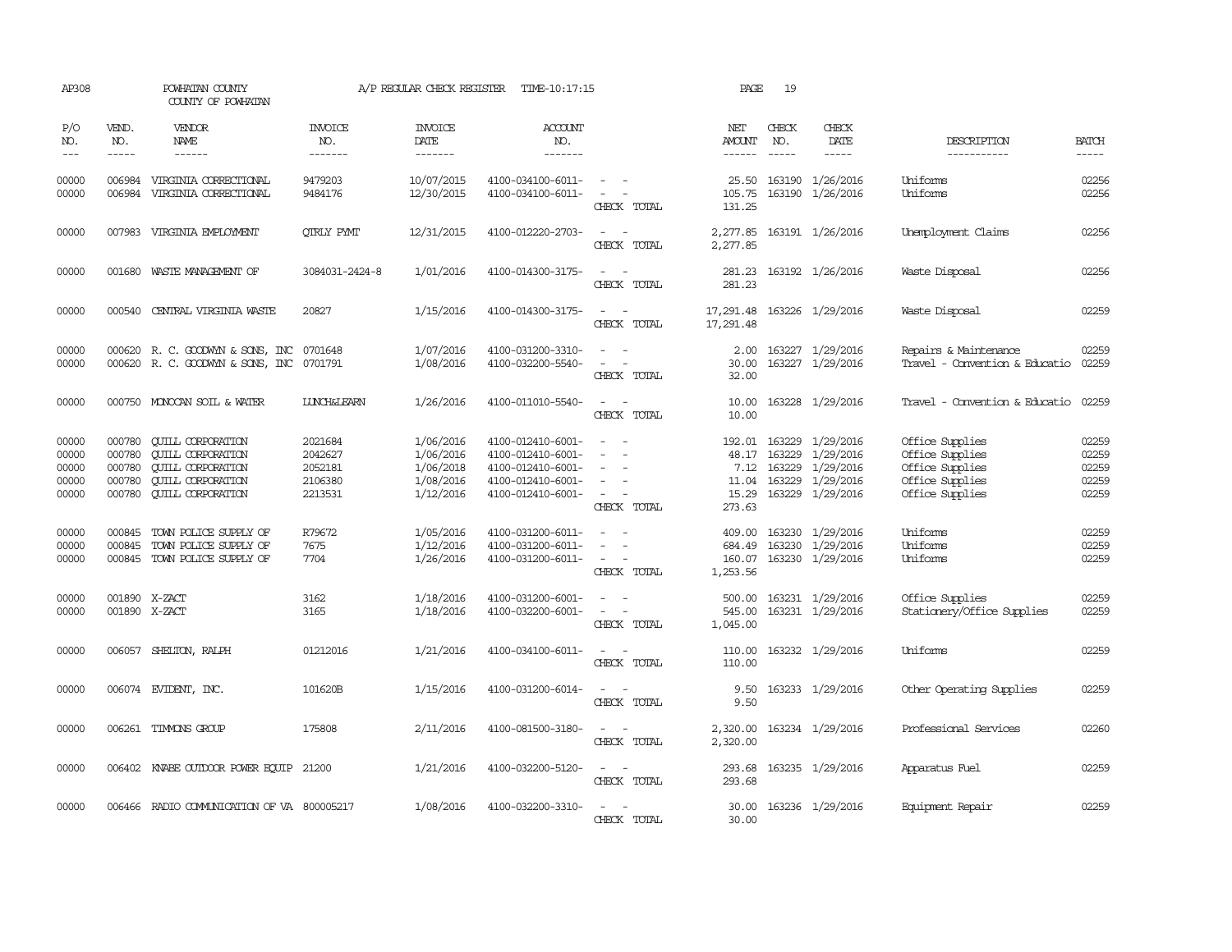| AP308                                     |                                      | POWHATAN COUNTY<br>COUNTY OF POWHATAN                                                                                                                                                                                                                                                                                                                                                                                                                                                        |                                                     | A/P REGULAR CHECK REGISTER                                    | TIME-10:17:15                                                                                         |                                                                                                                             | PAGE                                   | 19                            |                                                                                                       |                                                                                             |                                           |
|-------------------------------------------|--------------------------------------|----------------------------------------------------------------------------------------------------------------------------------------------------------------------------------------------------------------------------------------------------------------------------------------------------------------------------------------------------------------------------------------------------------------------------------------------------------------------------------------------|-----------------------------------------------------|---------------------------------------------------------------|-------------------------------------------------------------------------------------------------------|-----------------------------------------------------------------------------------------------------------------------------|----------------------------------------|-------------------------------|-------------------------------------------------------------------------------------------------------|---------------------------------------------------------------------------------------------|-------------------------------------------|
| P/O<br>NO.<br>$---$                       | VEND.<br>NO.<br>$\frac{1}{2}$        | VENDOR<br>NAME<br>$\frac{1}{2} \left( \frac{1}{2} \right) \left( \frac{1}{2} \right) \left( \frac{1}{2} \right) \left( \frac{1}{2} \right) \left( \frac{1}{2} \right) \left( \frac{1}{2} \right) \left( \frac{1}{2} \right) \left( \frac{1}{2} \right) \left( \frac{1}{2} \right) \left( \frac{1}{2} \right) \left( \frac{1}{2} \right) \left( \frac{1}{2} \right) \left( \frac{1}{2} \right) \left( \frac{1}{2} \right) \left( \frac{1}{2} \right) \left( \frac{1}{2} \right) \left( \frac$ | <b>INVOICE</b><br>NO.<br>--------                   | <b>INVOICE</b><br><b>DATE</b><br>--------                     | ACCOUNT<br>NO.<br>$- - - - - - -$                                                                     |                                                                                                                             | NET<br>$\frac{1}{2}$                   | CHECK<br>NO.<br>$\frac{1}{2}$ | CHECK<br>DATE<br>$- - - - -$                                                                          | DESCRIPTION<br>-----------                                                                  | <b>BATCH</b><br>-----                     |
| 00000<br>00000                            | 006984<br>006984                     | VIRGINIA CORRECTIONAL<br>VIRGINIA CORRECTIONAL                                                                                                                                                                                                                                                                                                                                                                                                                                               | 9479203<br>9484176                                  | 10/07/2015<br>12/30/2015                                      | 4100-034100-6011-<br>4100-034100-6011-                                                                | $\overline{\phantom{a}}$<br>CHECK TOTAL                                                                                     | 105.75<br>131.25                       |                               | 25.50 163190 1/26/2016<br>163190 1/26/2016                                                            | Uniforms<br>Uniforms                                                                        | 02256<br>02256                            |
| 00000                                     |                                      | 007983 VIRGINIA EMPLOYMENT                                                                                                                                                                                                                                                                                                                                                                                                                                                                   | <b>OTRLY PYMT</b>                                   | 12/31/2015                                                    | 4100-012220-2703-                                                                                     | $\sim$<br>$\sim$<br>CHECK TOTAL                                                                                             | 2,277.85                               |                               | 2,277.85 163191 1/26/2016                                                                             | Unemployment Claims                                                                         | 02256                                     |
| 00000                                     |                                      | 001680 WASTE MANAGEMENT OF                                                                                                                                                                                                                                                                                                                                                                                                                                                                   | 3084031-2424-8                                      | 1/01/2016                                                     | 4100-014300-3175-                                                                                     | $\sim$<br>$\sim$<br>CHECK TOTAL                                                                                             | 281.23                                 |                               | 281.23 163192 1/26/2016                                                                               | Waste Disposal                                                                              | 02256                                     |
| 00000                                     | 000540                               | CENTRAL VIRGINIA WASTE                                                                                                                                                                                                                                                                                                                                                                                                                                                                       | 20827                                               | 1/15/2016                                                     | 4100-014300-3175-                                                                                     | $ -$<br>CHECK TOTAL                                                                                                         | 17,291.48<br>17,291.48                 |                               | 163226 1/29/2016                                                                                      | Waste Disposal                                                                              | 02259                                     |
| 00000<br>00000                            |                                      | 000620 R. C. GOODWYN & SONS, INC<br>000620 R. C. GOODWYN & SONS, INC                                                                                                                                                                                                                                                                                                                                                                                                                         | 0701648<br>0701791                                  | 1/07/2016<br>1/08/2016                                        | 4100-031200-3310-<br>4100-032200-5540-                                                                | CHECK TOTAL                                                                                                                 | 2.00<br>30.00<br>32.00                 |                               | 163227 1/29/2016<br>163227 1/29/2016                                                                  | Repairs & Maintenance<br>Travel - Convention & Educatio                                     | 02259<br>02259                            |
| 00000                                     |                                      | 000750 MONOCAN SOIL & WATER                                                                                                                                                                                                                                                                                                                                                                                                                                                                  | <b>LUNCH&amp;LEARN</b>                              | 1/26/2016                                                     | 4100-011010-5540-                                                                                     | $\frac{1}{2} \left( \frac{1}{2} \right) \left( \frac{1}{2} \right) = \frac{1}{2} \left( \frac{1}{2} \right)$<br>CHECK TOTAL | 10.00<br>10.00                         |                               | 163228 1/29/2016                                                                                      | Travel - Convention & Educatio                                                              | 02259                                     |
| 00000<br>00000<br>00000<br>00000<br>00000 | 000780<br>000780<br>000780<br>000780 | <b>CUILL CORPORATION</b><br><b>QUILL CORPORATION</b><br><b>CUILL CORPORATION</b><br><b>CUILL CORPORATION</b><br>000780 QUILL CORPORATION                                                                                                                                                                                                                                                                                                                                                     | 2021684<br>2042627<br>2052181<br>2106380<br>2213531 | 1/06/2016<br>1/06/2016<br>1/06/2018<br>1/08/2016<br>1/12/2016 | 4100-012410-6001-<br>4100-012410-6001-<br>4100-012410-6001-<br>4100-012410-6001-<br>4100-012410-6001- | $\sim$<br>$\overline{\phantom{a}}$<br>CHECK TOTAL                                                                           | 192.01<br>7.12<br>11.04<br>273.63      | 163229                        | 163229 1/29/2016<br>48.17 163229 1/29/2016<br>1/29/2016<br>163229 1/29/2016<br>15.29 163229 1/29/2016 | Office Supplies<br>Office Supplies<br>Office Supplies<br>Office Supplies<br>Office Supplies | 02259<br>02259<br>02259<br>02259<br>02259 |
| 00000<br>00000<br>00000                   | 000845<br>000845                     | TOWN POLICE SUPPLY OF<br>TOWN POLICE SUPPLY OF<br>000845 TOWN POLICE SUPPLY OF                                                                                                                                                                                                                                                                                                                                                                                                               | R79672<br>7675<br>7704                              | 1/05/2016<br>1/12/2016<br>1/26/2016                           | 4100-031200-6011-<br>4100-031200-6011-<br>4100-031200-6011-                                           | $\sim$<br>CHECK TOTAL                                                                                                       | 409.00<br>684.49<br>160.07<br>1,253.56 |                               | 163230 1/29/2016<br>163230 1/29/2016<br>163230 1/29/2016                                              | Uniforms<br>Uniforms<br>Uniforms                                                            | 02259<br>02259<br>02259                   |
| 00000<br>00000                            | 001890 X-ZACT                        | 001890 X-ZACT                                                                                                                                                                                                                                                                                                                                                                                                                                                                                | 3162<br>3165                                        | 1/18/2016<br>1/18/2016                                        | 4100-031200-6001-<br>4100-032200-6001-                                                                | $\frac{1}{2} \left( \frac{1}{2} \right) \left( \frac{1}{2} \right) = \frac{1}{2} \left( \frac{1}{2} \right)$<br>CHECK TOTAL | 500.00<br>545.00<br>1,045.00           |                               | 163231 1/29/2016<br>163231 1/29/2016                                                                  | Office Supplies<br>Stationery/Office Supplies                                               | 02259<br>02259                            |
| 00000                                     |                                      | 006057 SHELTON, RALPH                                                                                                                                                                                                                                                                                                                                                                                                                                                                        | 01212016                                            | 1/21/2016                                                     | 4100-034100-6011-                                                                                     | CHECK TOTAL                                                                                                                 | 110.00<br>110.00                       |                               | 163232 1/29/2016                                                                                      | <b>Uniforms</b>                                                                             | 02259                                     |
| 00000                                     |                                      | 006074 EVIDENT, INC.                                                                                                                                                                                                                                                                                                                                                                                                                                                                         | 101620B                                             | 1/15/2016                                                     | 4100-031200-6014-                                                                                     | $\sim$ 10 $\sim$ 10 $\sim$<br>CHECK TOTAL                                                                                   | 9.50<br>9.50                           |                               | 163233 1/29/2016                                                                                      | Other Operating Supplies                                                                    | 02259                                     |
| 00000                                     |                                      | 006261 TIMMONS GROUP                                                                                                                                                                                                                                                                                                                                                                                                                                                                         | 175808                                              | 2/11/2016                                                     | 4100-081500-3180-                                                                                     | $\sim$ $\sim$<br>CHECK TOTAL                                                                                                | 2,320.00<br>2,320.00                   |                               | 163234 1/29/2016                                                                                      | Professional Services                                                                       | 02260                                     |
| 00000                                     |                                      | 006402 KNABE OUIDOOR POWER EQUIP 21200                                                                                                                                                                                                                                                                                                                                                                                                                                                       |                                                     | 1/21/2016                                                     | 4100-032200-5120-                                                                                     | $\frac{1}{2} \left( \frac{1}{2} \right) \left( \frac{1}{2} \right) = \frac{1}{2} \left( \frac{1}{2} \right)$<br>CHECK TOTAL | 293.68<br>293.68                       |                               | 163235 1/29/2016                                                                                      | Apparatus Fuel                                                                              | 02259                                     |
| 00000                                     |                                      | 006466 RADIO COMMUNICATION OF VA 800005217                                                                                                                                                                                                                                                                                                                                                                                                                                                   |                                                     | 1/08/2016                                                     | 4100-032200-3310-                                                                                     | $\sim$<br>CHECK TOTAL                                                                                                       | 30.00<br>30.00                         |                               | 163236 1/29/2016                                                                                      | Equipment Repair                                                                            | 02259                                     |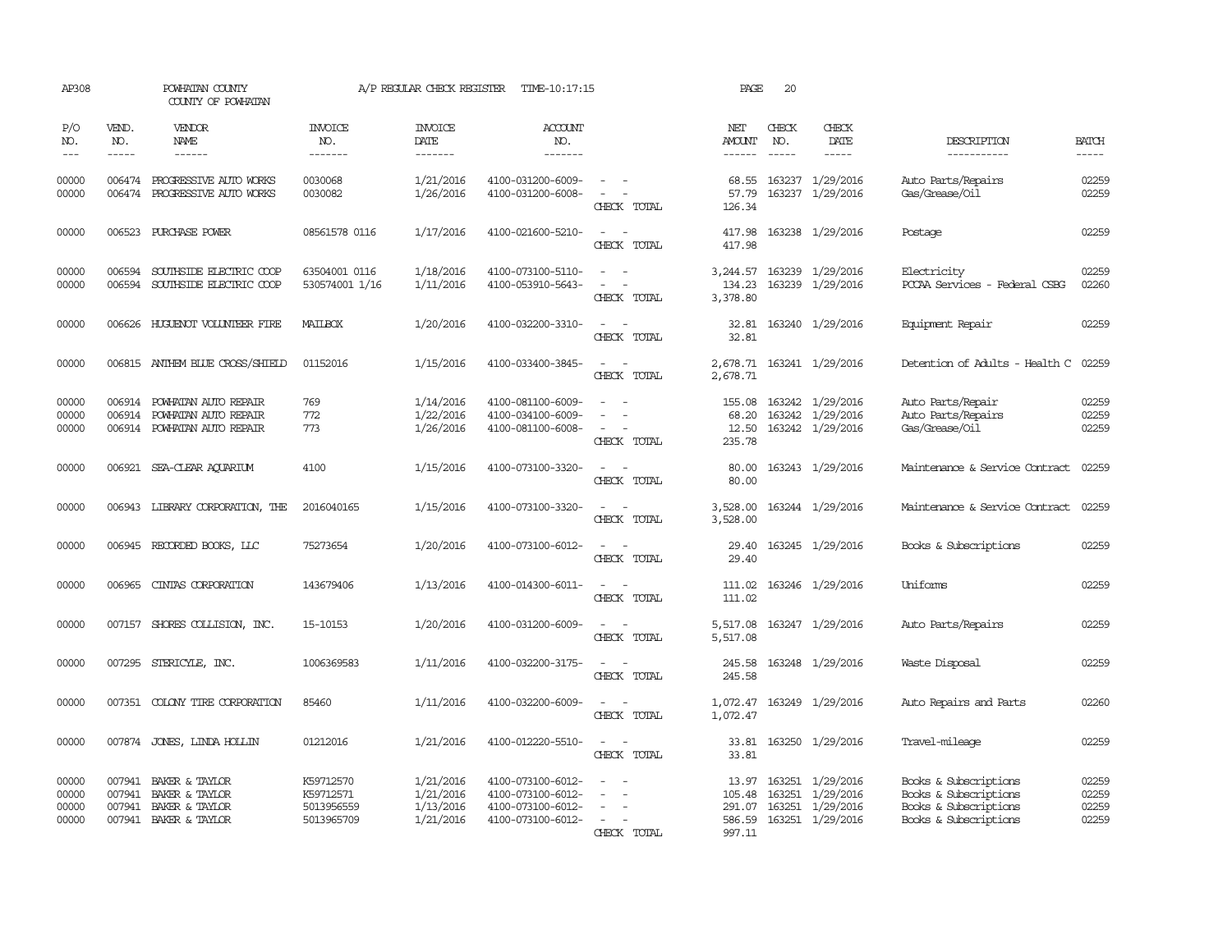| AP308                            |                             | POWHATAN COUNTY<br>COUNTY OF POWHATAN                                                     |                                                    | A/P REGULAR CHECK REGISTER                       | TIME-10:17:15                                                                    |                                                                                                                             | PAGE                                  | 20                            |                                                                                            |                                                                                                  |                                  |
|----------------------------------|-----------------------------|-------------------------------------------------------------------------------------------|----------------------------------------------------|--------------------------------------------------|----------------------------------------------------------------------------------|-----------------------------------------------------------------------------------------------------------------------------|---------------------------------------|-------------------------------|--------------------------------------------------------------------------------------------|--------------------------------------------------------------------------------------------------|----------------------------------|
| P/O<br>NO.<br>$---$              | VEND.<br>NO.<br>$- - - - -$ | VENDOR<br>NAME<br>------                                                                  | <b>INVOICE</b><br>NO.<br>--------                  | <b>INVOICE</b><br>DATE<br>$- - - - - - -$        | <b>ACCOUNT</b><br>NO.<br>-------                                                 |                                                                                                                             | NET<br><b>AMOUNT</b><br>$- - - - - -$ | CHECK<br>NO.<br>$\frac{1}{2}$ | CHECK<br>DATE                                                                              | DESCRIPTION<br>-----------                                                                       | <b>BATCH</b><br>-----            |
| 00000<br>00000                   |                             | 006474 PROGRESSIVE AUTO WORKS<br>006474 PROGRESSIVE AUTO WORKS                            | 0030068<br>0030082                                 | 1/21/2016<br>1/26/2016                           | 4100-031200-6009-<br>4100-031200-6008-                                           | $\sim$ $-$<br>$\sim$<br>CHECK TOTAL                                                                                         | 68.55<br>57.79<br>126.34              |                               | 163237 1/29/2016<br>163237 1/29/2016                                                       | Auto Parts/Repairs<br>Gas/Grease/Oil                                                             | 02259<br>02259                   |
| 00000                            | 006523                      | PURCHASE POWER                                                                            | 08561578 0116                                      | 1/17/2016                                        | 4100-021600-5210-                                                                | $\sim$<br>CHECK TOTAL                                                                                                       | 417.98<br>417.98                      |                               | 163238 1/29/2016                                                                           | Postage                                                                                          | 02259                            |
| 00000<br>00000                   | 006594<br>006594            | SOUTHSIDE ELECTRIC COOP<br>SOUTHSIDE ELECTRIC COOP                                        | 63504001 0116<br>530574001 1/16                    | 1/18/2016<br>1/11/2016                           | 4100-073100-5110-<br>4100-053910-5643-                                           | CHECK TOTAL                                                                                                                 | 3,244.57<br>134.23<br>3,378.80        |                               | 163239 1/29/2016<br>163239 1/29/2016                                                       | Electricity<br>PCCAA Services - Federal CSBG                                                     | 02259<br>02260                   |
| 00000                            |                             | 006626 HUGUENOT VOLUNTEER FIRE                                                            | MAILBOX                                            | 1/20/2016                                        | 4100-032200-3310-                                                                | $\sim$<br>CHECK TOTAL                                                                                                       | 32.81<br>32.81                        |                               | 163240 1/29/2016                                                                           | Equipment Repair                                                                                 | 02259                            |
| 00000                            |                             | 006815 ANTHEM BLUE CROSS/SHIELD                                                           | 01152016                                           | 1/15/2016                                        | 4100-033400-3845-                                                                | $\frac{1}{2} \left( \frac{1}{2} \right) \left( \frac{1}{2} \right) = \frac{1}{2} \left( \frac{1}{2} \right)$<br>CHECK TOTAL | 2,678.71                              |                               | 2,678.71 163241 1/29/2016                                                                  | Detention of Adults - Health C 02259                                                             |                                  |
| 00000<br>00000<br>00000          |                             | 006914 POWHATAN AUTO REPAIR<br>006914 POWHATAN AUTO REPAIR<br>006914 POWHATAN AUTO REPAIR | 769<br>772<br>773                                  | 1/14/2016<br>1/22/2016<br>1/26/2016              | 4100-081100-6009-<br>4100-034100-6009-<br>4100-081100-6008-                      | $\sim$<br>CHECK TOTAL                                                                                                       | 155.08<br>68.20<br>12.50<br>235.78    |                               | 163242 1/29/2016<br>163242 1/29/2016<br>163242 1/29/2016                                   | Auto Parts/Repair<br>Auto Parts/Repairs<br>Gas/Grease/Oil                                        | 02259<br>02259<br>02259          |
| 00000                            |                             | 006921 SEA-CLEAR AQUARIUM                                                                 | 4100                                               | 1/15/2016                                        | 4100-073100-3320-                                                                | $\overline{\phantom{a}}$<br>CHECK TOTAL                                                                                     | 80.00<br>80.00                        |                               | 163243 1/29/2016                                                                           | Maintenance & Service Contract                                                                   | 02259                            |
| 00000                            |                             | 006943 LIBRARY CORPORATION, THE                                                           | 2016040165                                         | 1/15/2016                                        | 4100-073100-3320-                                                                | $\sim$<br>CHECK TOTAL                                                                                                       | 3,528.00<br>3,528.00                  |                               | 163244 1/29/2016                                                                           | Maintenance & Service Contract                                                                   | 02259                            |
| 00000                            |                             | 006945 RECORDED BOOKS, LLC                                                                | 75273654                                           | 1/20/2016                                        | 4100-073100-6012-                                                                | $\sim$<br>CHECK TOTAL                                                                                                       | 29.40<br>29.40                        |                               | 163245 1/29/2016                                                                           | Books & Subscriptions                                                                            | 02259                            |
| 00000                            | 006965                      | CINIAS CORPORATION                                                                        | 143679406                                          | 1/13/2016                                        | 4100-014300-6011-                                                                | $\sim$<br>CHECK TOTAL                                                                                                       | 111.02<br>111.02                      |                               | 163246 1/29/2016                                                                           | Uniforms                                                                                         | 02259                            |
| 00000                            |                             | 007157 SHORES COLLISION, INC.                                                             | 15-10153                                           | 1/20/2016                                        | 4100-031200-6009-                                                                | CHECK TOTAL                                                                                                                 | 5,517.08<br>5,517.08                  |                               | 163247 1/29/2016                                                                           | Auto Parts/Repairs                                                                               | 02259                            |
| 00000                            |                             | 007295 STERICYLE, INC.                                                                    | 1006369583                                         | 1/11/2016                                        | 4100-032200-3175-                                                                | $\sim$ $ \sim$<br>CHECK TOTAL                                                                                               | 245.58<br>245.58                      |                               | 163248 1/29/2016                                                                           | Waste Disposal                                                                                   | 02259                            |
| 00000                            |                             | 007351 COLONY TIRE CORPORATION                                                            | 85460                                              | 1/11/2016                                        | 4100-032200-6009-                                                                | CHECK TOTAL                                                                                                                 | 1,072.47<br>1,072.47                  |                               | 163249 1/29/2016                                                                           | Auto Repairs and Parts                                                                           | 02260                            |
| 00000                            |                             | 007874 JONES, LINDA HOLLIN                                                                | 01212016                                           | 1/21/2016                                        | 4100-012220-5510-                                                                | $\sim$<br>CHECK TOTAL                                                                                                       | 33.81<br>33.81                        |                               | 163250 1/29/2016                                                                           | Travel-mileage                                                                                   | 02259                            |
| 00000<br>00000<br>00000<br>00000 | 007941<br>007941<br>007941  | BAKER & TAYLOR<br>BAKER & TAYLOR<br>BAKER & TAYLOR<br>007941 BAKER & TAYLOR               | K59712570<br>K59712571<br>5013956559<br>5013965709 | 1/21/2016<br>1/21/2016<br>1/13/2016<br>1/21/2016 | 4100-073100-6012-<br>4100-073100-6012-<br>4100-073100-6012-<br>4100-073100-6012- | $\overline{\phantom{a}}$<br>$\equiv$<br>CHECK TOTAL                                                                         | 13.97<br>105.48<br>997.11             |                               | 163251 1/29/2016<br>163251 1/29/2016<br>291.07 163251 1/29/2016<br>586.59 163251 1/29/2016 | Books & Subscriptions<br>Books & Subscriptions<br>Books & Subscriptions<br>Books & Subscriptions | 02259<br>02259<br>02259<br>02259 |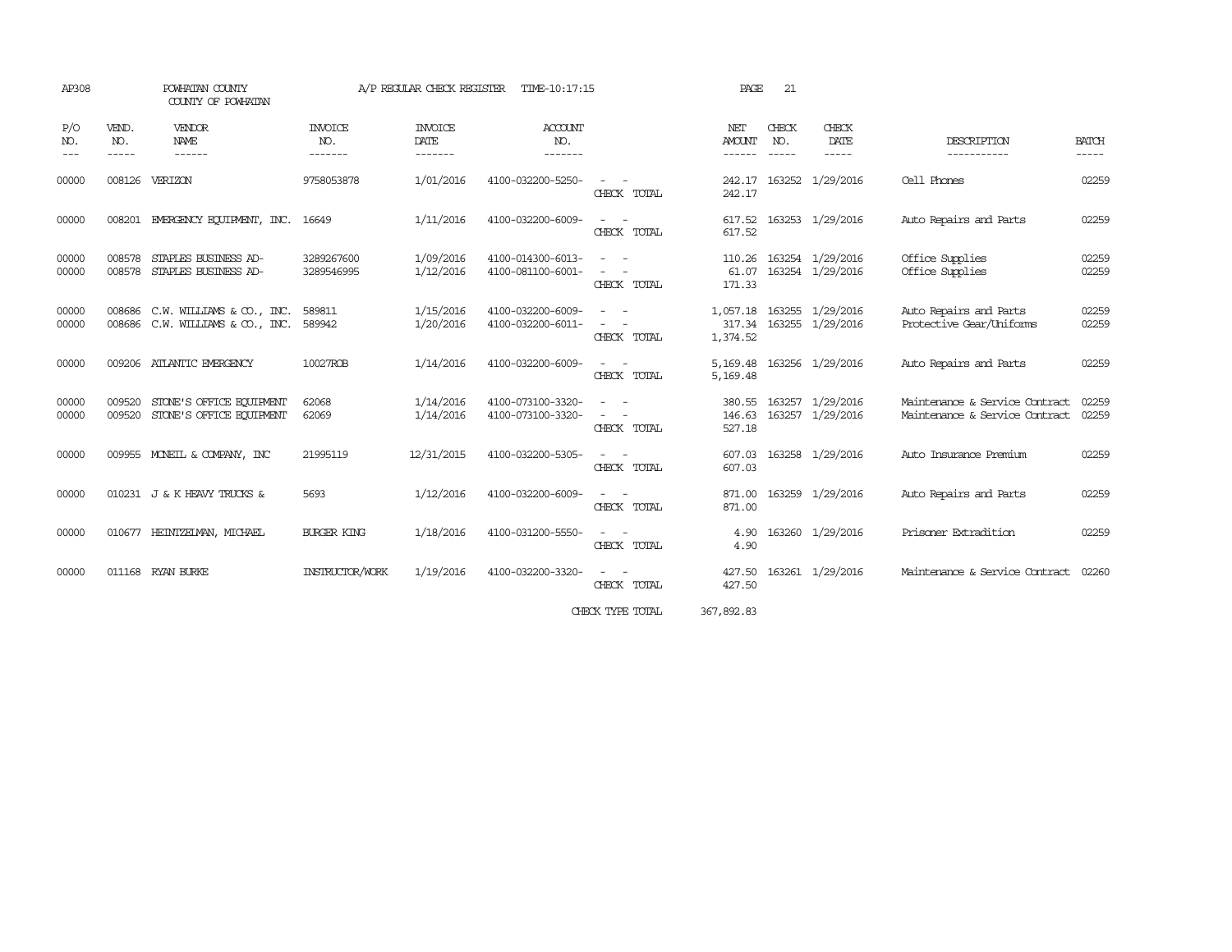| AP308               |                             | POWHATAN COUNTY<br>COUNTY OF POWHATAN                                |                                  | A/P REGULAR CHECK REGISTER        | TIME-10:17:15                          |                           | PAGE                           | 21                            |                                             |                                                                  |                                                                                |
|---------------------|-----------------------------|----------------------------------------------------------------------|----------------------------------|-----------------------------------|----------------------------------------|---------------------------|--------------------------------|-------------------------------|---------------------------------------------|------------------------------------------------------------------|--------------------------------------------------------------------------------|
| P/O<br>NO.<br>$---$ | VEND.<br>NO.<br>$- - - - -$ | VENDOR<br>NAME<br>------                                             | <b>INVOICE</b><br>NO.<br>------- | <b>INVOICE</b><br>DATE<br>------- | ACCOUNT<br>NO.<br>-------              |                           | NET<br><b>AMOUNT</b><br>------ | CHECK<br>NO.<br>$- - - - - -$ | CHECK<br>DATE<br>$- - - - -$                | DESCRIPTION<br>-----------                                       | <b>BATCH</b><br>$\begin{tabular}{ccccc} - & - & - & - \\ \hline \end{tabular}$ |
| 00000               |                             | 008126 VERIZON                                                       | 9758053878                       | 1/01/2016                         | 4100-032200-5250-                      | CHECK TOTAL               | 242.17<br>242.17               |                               | 163252 1/29/2016                            | Cell Phones                                                      | 02259                                                                          |
| 00000               | 008201                      | EMERGENCY EQUIPMENT, INC.                                            | 16649                            | 1/11/2016                         | 4100-032200-6009-                      | $\sim$ $-$<br>CHECK TOTAL | 617.52<br>617.52               |                               | 163253 1/29/2016                            | Auto Repairs and Parts                                           | 02259                                                                          |
| 00000<br>00000      | 008578<br>008578            | STAPLES BUSINESS AD-<br>STAPLES BUSINESS AD-                         | 3289267600<br>3289546995         | 1/09/2016<br>1/12/2016            | 4100-014300-6013-<br>4100-081100-6001- | CHECK TOTAL               | 110.26<br>61.07<br>171.33      |                               | 163254 1/29/2016<br>163254 1/29/2016        | Office Supplies<br>Office Supplies                               | 02259<br>02259                                                                 |
| 00000<br>00000      |                             | 008686 C.W. WILLIAMS & CO., INC.<br>008686 C.W. WILLIAMS & CO., INC. | 589811<br>589942                 | 1/15/2016<br>1/20/2016            | 4100-032200-6009-<br>4100-032200-6011- | CHECK TOTAL               | 1,057.18<br>1,374.52           |                               | 163255 1/29/2016<br>317.34 163255 1/29/2016 | Auto Repairs and Parts<br>Protective Gear/Uniforms               | 02259<br>02259                                                                 |
| 00000               |                             | 009206 ATLANTIC EMERGENCY                                            | 10027ROB                         | 1/14/2016                         | 4100-032200-6009-                      | CHECK TOTAL               | 5,169.48<br>5,169.48           |                               | 163256 1/29/2016                            | Auto Repairs and Parts                                           | 02259                                                                          |
| 00000<br>00000      | 009520<br>009520            | STONE'S OFFICE EQUIPMENT<br>STONE'S OFFICE EQUIPMENT                 | 62068<br>62069                   | 1/14/2016<br>1/14/2016            | 4100-073100-3320-<br>4100-073100-3320- | CHECK TOTAL               | 380.55<br>146.63<br>527.18     |                               | 163257 1/29/2016<br>163257 1/29/2016        | Maintenance & Service Contract<br>Maintenance & Service Contract | 02259<br>02259                                                                 |
| 00000               |                             | 009955 MONEIL & COMPANY, INC                                         | 21995119                         | 12/31/2015                        | 4100-032200-5305-                      | CHECK TOTAL               | 607.03<br>607.03               |                               | 163258 1/29/2016                            | Auto Insurance Premium                                           | 02259                                                                          |
| 00000               |                             | 010231 J & K HEAVY TRUCKS &                                          | 5693                             | 1/12/2016                         | 4100-032200-6009-                      | CHECK TOTAL               | 871.00<br>871.00               |                               | 163259 1/29/2016                            | Auto Repairs and Parts                                           | 02259                                                                          |
| 00000               |                             | 010677 HEINTZEIMAN, MICHAEL                                          | <b>BURGER KING</b>               | 1/18/2016                         | 4100-031200-5550-                      | CHECK TOTAL               | 4.90<br>4.90                   |                               | 163260 1/29/2016                            | Prisoner Extradition                                             | 02259                                                                          |
| 00000               |                             | 011168 RYAN BURKE                                                    | INSTRUCTOR/WORK                  | 1/19/2016                         | 4100-032200-3320-                      | $\sim$<br>CHECK TOTAL     | 427.50<br>427.50               |                               | 163261 1/29/2016                            | Maintenance & Service Contract                                   | 02260                                                                          |
|                     |                             |                                                                      |                                  |                                   |                                        | CHECK TYPE TOTAL          | 367,892.83                     |                               |                                             |                                                                  |                                                                                |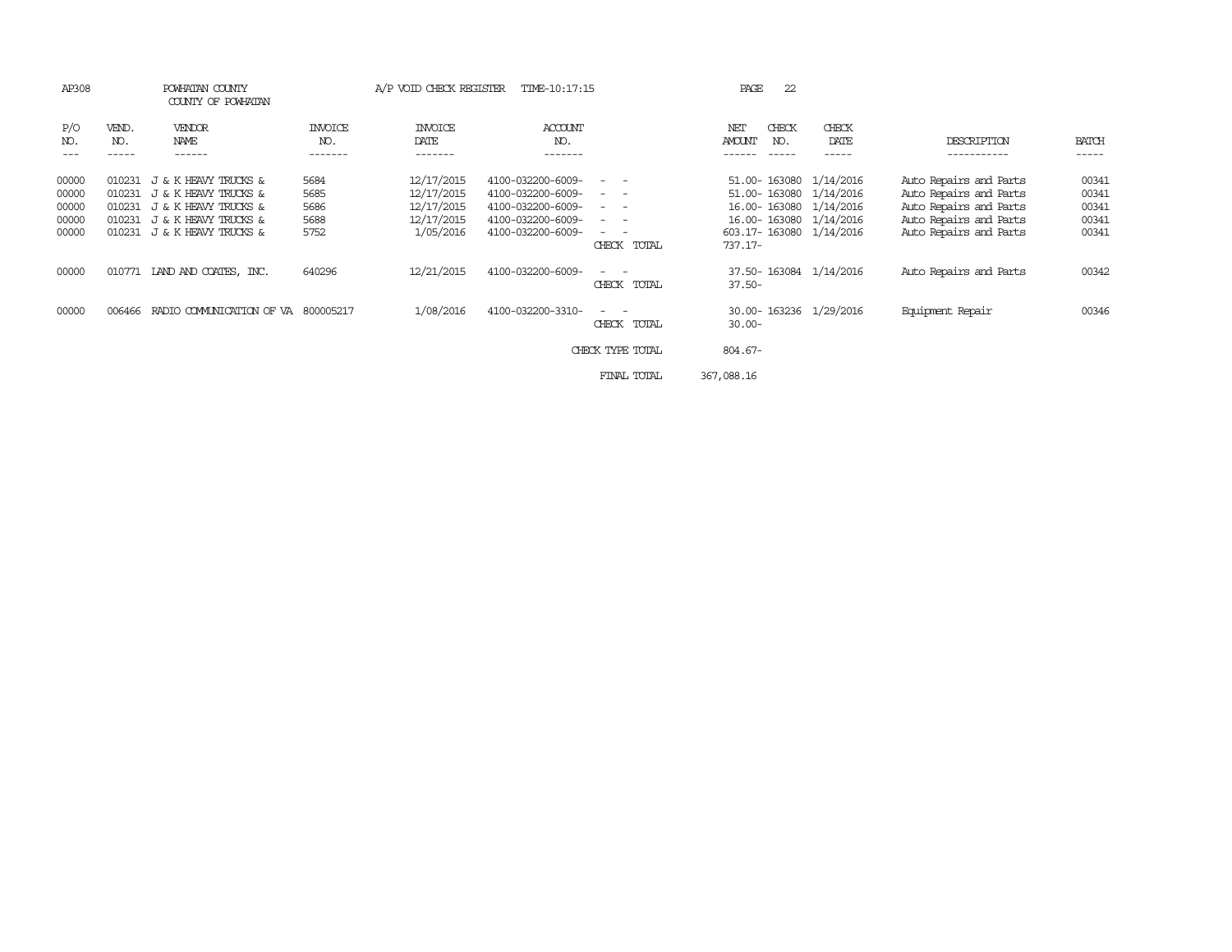| AP308                                     |                                                | POWHATAN COUNTY<br>COUNTY OF POWHATAN                                                                                |                                      | A/P VOID CHECK REGISTER                                           | TIME-10:17:15                                                                                         |                                                                                                                                                                                                                                                                                                                                                                                                                    | 22<br>PAGE                           |                                                                                                                    |                                                                                                                                |                                           |
|-------------------------------------------|------------------------------------------------|----------------------------------------------------------------------------------------------------------------------|--------------------------------------|-------------------------------------------------------------------|-------------------------------------------------------------------------------------------------------|--------------------------------------------------------------------------------------------------------------------------------------------------------------------------------------------------------------------------------------------------------------------------------------------------------------------------------------------------------------------------------------------------------------------|--------------------------------------|--------------------------------------------------------------------------------------------------------------------|--------------------------------------------------------------------------------------------------------------------------------|-------------------------------------------|
| P/O<br>NO.<br>$- - -$                     | VEND.<br>NO.<br>-----                          | <b>VENDOR</b><br>NAME<br>------                                                                                      | <b>INVOICE</b><br>NO.<br>-------     | <b>INVOICE</b><br>DATE<br>-------                                 | ACCOUNT<br>NO.<br>-------                                                                             |                                                                                                                                                                                                                                                                                                                                                                                                                    | CHECK<br>NET<br>NO.<br><b>AMOUNT</b> | CHECK<br>DATE<br>-----                                                                                             | DESCRIPTION<br>-----------                                                                                                     | <b>BATCH</b><br>-----                     |
| 00000<br>00000<br>00000<br>00000<br>00000 | 010231<br>010231<br>010231<br>010231<br>010231 | J & K HEAVY TRUCKS &<br>J & K HEAVY TRUCKS &<br>J & K HEAVY TRUCKS &<br>J & K HEAVY TRUCKS &<br>J & K HEAVY TRUCKS & | 5684<br>5685<br>5686<br>5688<br>5752 | 12/17/2015<br>12/17/2015<br>12/17/2015<br>12/17/2015<br>1/05/2016 | 4100-032200-6009-<br>4100-032200-6009-<br>4100-032200-6009-<br>4100-032200-6009-<br>4100-032200-6009- | $\frac{1}{2} \left( \frac{1}{2} \right) \left( \frac{1}{2} \right) \left( \frac{1}{2} \right) \left( \frac{1}{2} \right)$<br>$\frac{1}{2} \left( \frac{1}{2} \right) \left( \frac{1}{2} \right) \left( \frac{1}{2} \right) \left( \frac{1}{2} \right)$<br>$ -$<br>$ -$<br>$\frac{1}{2} \left( \frac{1}{2} \right) \left( \frac{1}{2} \right) \left( \frac{1}{2} \right) \left( \frac{1}{2} \right)$<br>CHECK TOTAL | 51.00-163080<br>$737.17-$            | 51.00-163080 1/14/2016<br>1/14/2016<br>16.00-163080 1/14/2016<br>16.00-163080 1/14/2016<br>603.17-163080 1/14/2016 | Auto Repairs and Parts<br>Auto Repairs and Parts<br>Auto Repairs and Parts<br>Auto Repairs and Parts<br>Auto Repairs and Parts | 00341<br>00341<br>00341<br>00341<br>00341 |
| 00000                                     |                                                | 010771 LAND AND COATES, INC.                                                                                         | 640296                               | 12/21/2015                                                        | 4100-032200-6009-                                                                                     | $\sim$<br>$\overline{\phantom{a}}$<br>CHECK<br>TOTAL                                                                                                                                                                                                                                                                                                                                                               | $37.50 -$                            | 37.50-163084 1/14/2016                                                                                             | Auto Repairs and Parts                                                                                                         | 00342                                     |
| 00000                                     | 006466                                         | RADIO COMMUNICATION OF VA 800005217                                                                                  |                                      | 1/08/2016                                                         | 4100-032200-3310-                                                                                     | $\sim$ $\sim$<br>TOTAL<br>CHECK                                                                                                                                                                                                                                                                                                                                                                                    | $30.00 -$                            | 30.00-163236 1/29/2016                                                                                             | Equipment Repair                                                                                                               | 00346                                     |
|                                           |                                                |                                                                                                                      |                                      |                                                                   |                                                                                                       | CHECK TYPE TOTAL                                                                                                                                                                                                                                                                                                                                                                                                   | 804.67-                              |                                                                                                                    |                                                                                                                                |                                           |
|                                           |                                                |                                                                                                                      |                                      |                                                                   |                                                                                                       | FINAL TOTAL                                                                                                                                                                                                                                                                                                                                                                                                        | 367,088.16                           |                                                                                                                    |                                                                                                                                |                                           |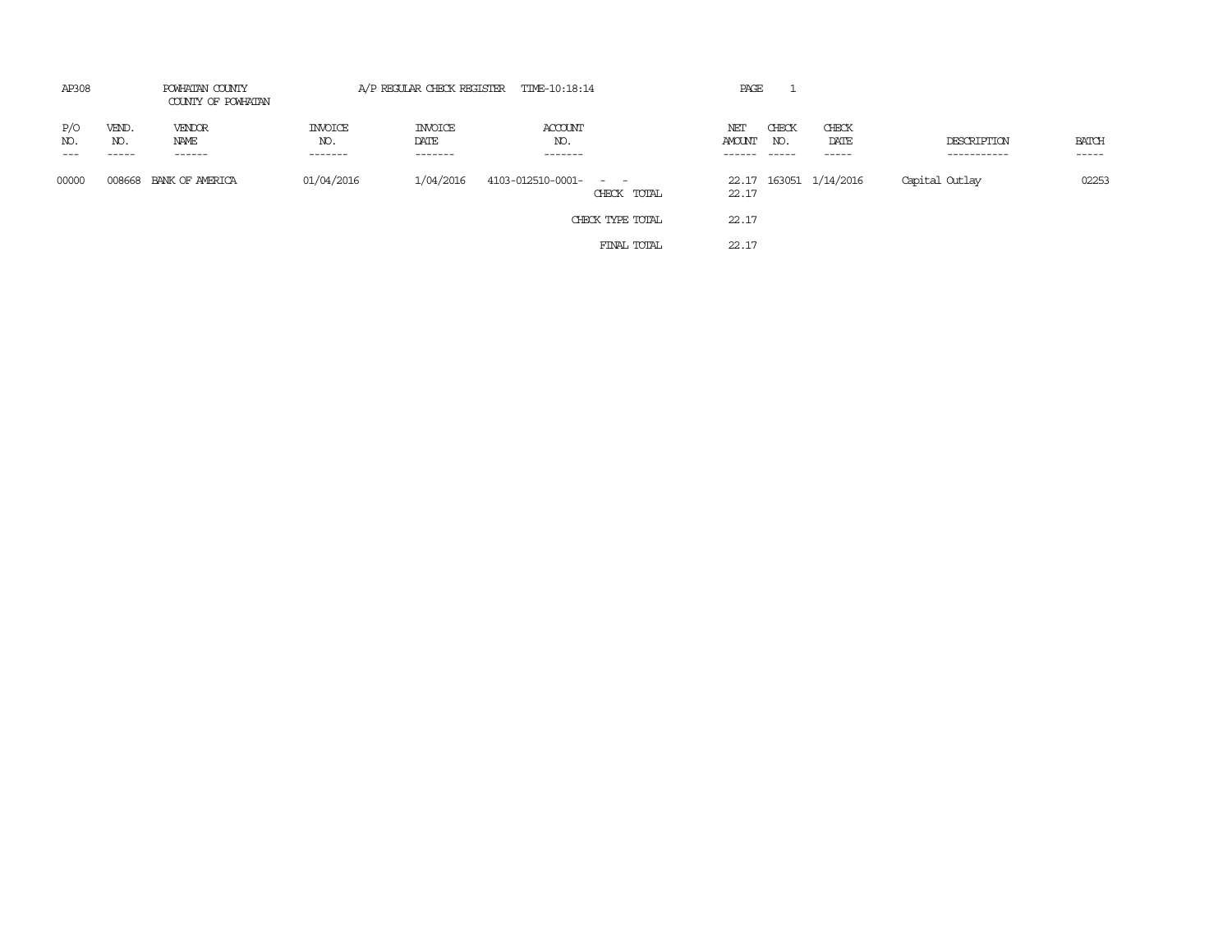| AP308               | POWHATAN COUNTY<br>COUNTY OF POWHATAN |                          | A/P REGULAR CHECK REGISTER TIME-10:18:14 |                                    |                            |                  | PAGE                    |                        |                        |                            |                             |
|---------------------|---------------------------------------|--------------------------|------------------------------------------|------------------------------------|----------------------------|------------------|-------------------------|------------------------|------------------------|----------------------------|-----------------------------|
| P/O<br>NO.<br>$---$ | VEND.<br>NO.<br>-----                 | VENDOR<br>NAME<br>------ | <b>INVOICE</b><br>NO.<br>-------         | <b>INVOICE</b><br>DATE<br>-------- | ACCOUNT<br>NO.<br>-------- |                  | NET<br>AMOUNT<br>------ | CHECK<br>NO.<br>------ | CHECK<br>DATE<br>----- | DESCRIPTION<br>----------- | <b>BATCH</b><br>$- - - - -$ |
| 00000               |                                       | 008668 BANK OF AMERICA   | 01/04/2016                               | 1/04/2016                          | 4103-012510-0001-          | CHECK TOTAL      | 22.17                   |                        | 22.17 163051 1/14/2016 | Capital Outlay             | 02253                       |
|                     |                                       |                          |                                          |                                    |                            | CHECK TYPE TOTAL | 22.17                   |                        |                        |                            |                             |
|                     |                                       |                          |                                          |                                    |                            | FINAL TOTAL      | 22.17                   |                        |                        |                            |                             |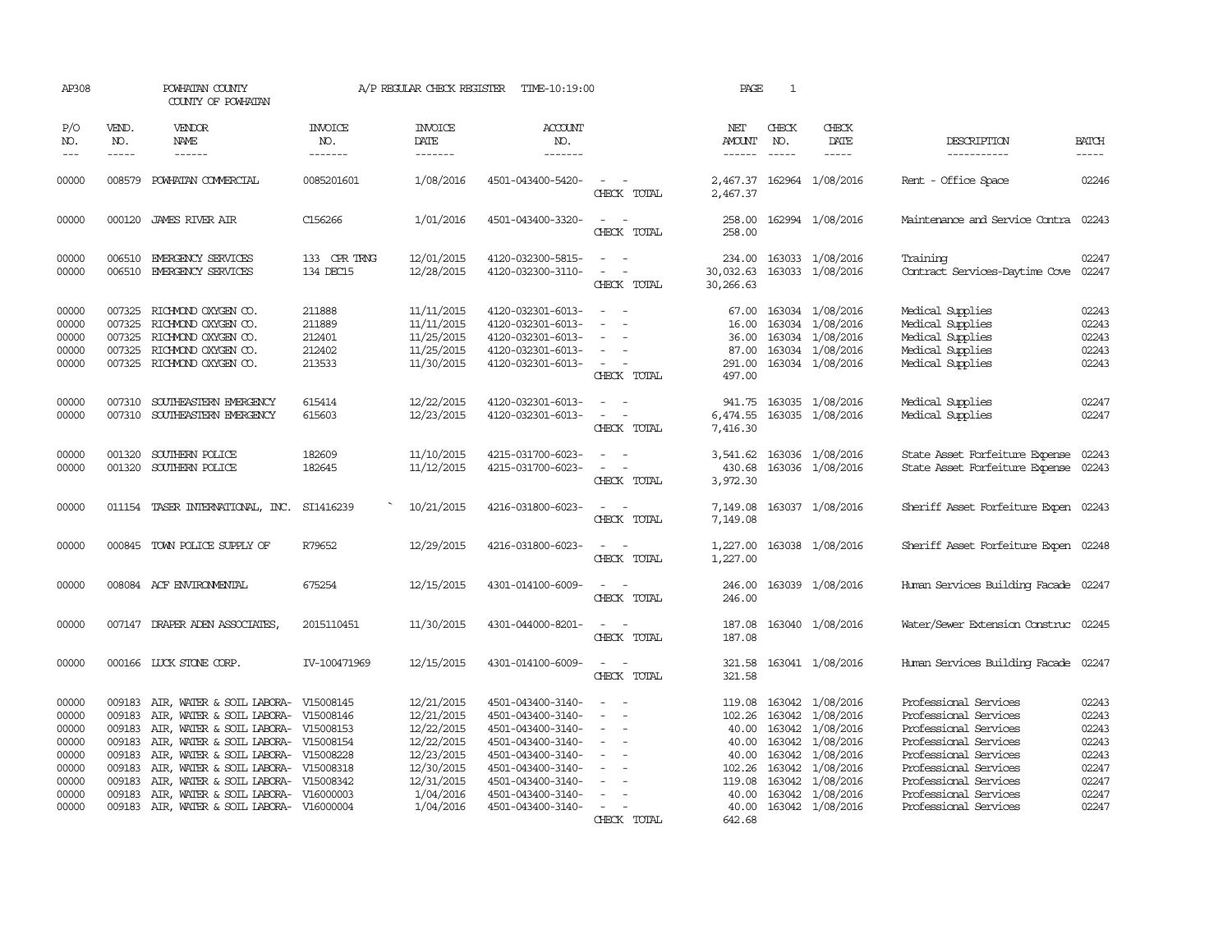| AP308                                                                |                                                                              | POWHATAN COUNTY<br>COUNTY OF POWHATAN                                                                                                                                                                                                                                                                                |                                                | A/P REGULAR CHECK REGISTER                                                                                  | TIME-10:19:00                                                                                                                                                        |                                                                                                                                                                            | PAGE                                                  | $\mathbf{1}$                  |                                                                                                                                                                           |                                                                                                                                                                                                      |                                                                      |
|----------------------------------------------------------------------|------------------------------------------------------------------------------|----------------------------------------------------------------------------------------------------------------------------------------------------------------------------------------------------------------------------------------------------------------------------------------------------------------------|------------------------------------------------|-------------------------------------------------------------------------------------------------------------|----------------------------------------------------------------------------------------------------------------------------------------------------------------------|----------------------------------------------------------------------------------------------------------------------------------------------------------------------------|-------------------------------------------------------|-------------------------------|---------------------------------------------------------------------------------------------------------------------------------------------------------------------------|------------------------------------------------------------------------------------------------------------------------------------------------------------------------------------------------------|----------------------------------------------------------------------|
| P/O<br>NO.<br>$--\,$                                                 | VEND.<br>NO.<br>$- - - - -$                                                  | VENDOR<br>NAME<br>$- - - - - -$                                                                                                                                                                                                                                                                                      | <b>INVOICE</b><br>NO.<br>-------               | <b>INVOICE</b><br>DATE<br>-------                                                                           | <b>ACCOUNT</b><br>NO.<br>$- - - - - - -$                                                                                                                             |                                                                                                                                                                            | NET<br><b>AMOUNT</b><br>------                        | CHECK<br>NO.<br>$\frac{1}{2}$ | CHECK<br>DATE                                                                                                                                                             | DESCRIPTION<br>-----------                                                                                                                                                                           | <b>BATCH</b><br>$- - - - -$                                          |
| 00000                                                                | 008579                                                                       | POWHATAN COMMERCIAL                                                                                                                                                                                                                                                                                                  | 0085201601                                     | 1/08/2016                                                                                                   | 4501-043400-5420-                                                                                                                                                    | $\frac{1}{2} \left( \frac{1}{2} \right) \left( \frac{1}{2} \right) = \frac{1}{2} \left( \frac{1}{2} \right)$<br>CHECK TOTAL                                                | 2,467.37                                              |                               | 2,467.37 162964 1/08/2016                                                                                                                                                 | Rent - Office Space                                                                                                                                                                                  | 02246                                                                |
| 00000                                                                |                                                                              | 000120 JAMES RIVER AIR                                                                                                                                                                                                                                                                                               | C156266                                        | 1/01/2016                                                                                                   | 4501-043400-3320-                                                                                                                                                    | CHECK TOTAL                                                                                                                                                                | 258.00                                                |                               | 258.00 162994 1/08/2016                                                                                                                                                   | Maintenance and Service Contra 02243                                                                                                                                                                 |                                                                      |
| 00000<br>00000                                                       |                                                                              | 006510 EMERGENCY SERVICES<br>006510 EMERGENCY SERVICES                                                                                                                                                                                                                                                               | 133 CPR TRNG<br>134 DEC15                      | 12/01/2015<br>12/28/2015                                                                                    | 4120-032300-5815-<br>4120-032300-3110-                                                                                                                               | $\sim$<br>$\sim$<br>$\omega_{\rm{max}}$ and $\omega_{\rm{max}}$<br>CHECK TOTAL                                                                                             | 30,266.63                                             |                               | 234.00 163033 1/08/2016<br>30,032.63 163033 1/08/2016                                                                                                                     | Training<br>Contract Services-Daytime Cove 02247                                                                                                                                                     | 02247                                                                |
| 00000<br>00000<br>00000<br>00000<br>00000                            | 007325                                                                       | 007325 RICHMOND OXYGEN CO.<br>RICHMOND OXYGEN CO.<br>007325 RICHMOND OXYGEN CO.<br>007325 RICHMOND OXYGEN CO.<br>007325 RICHMOND OXYGEN CO.                                                                                                                                                                          | 211888<br>211889<br>212401<br>212402<br>213533 | 11/11/2015<br>11/11/2015<br>11/25/2015<br>11/25/2015<br>11/30/2015                                          | 4120-032301-6013-<br>4120-032301-6013-<br>4120-032301-6013-<br>4120-032301-6013-<br>4120-032301-6013-                                                                | $\overline{\phantom{a}}$<br>$\sim$<br>$\overline{\phantom{a}}$<br>$\sim$<br>$\overline{\phantom{a}}$<br>$\sim$<br>CHECK TOTAL                                              | 16.00<br>36.00<br>497.00                              |                               | 67.00 163034 1/08/2016<br>163034 1/08/2016<br>163034 1/08/2016<br>87.00 163034 1/08/2016<br>291.00 163034 1/08/2016                                                       | Medical Supplies<br>Medical Supplies<br>Medical Supplies<br>Medical Supplies<br>Medical Supplies                                                                                                     | 02243<br>02243<br>02243<br>02243<br>02243                            |
| 00000<br>00000                                                       | 007310                                                                       | SOUTHEASTERN EMERGENCY<br>007310 SOUTHEASTERN EMERGENCY                                                                                                                                                                                                                                                              | 615414<br>615603                               | 12/22/2015<br>12/23/2015                                                                                    | 4120-032301-6013-<br>4120-032301-6013-                                                                                                                               | $\equiv$<br>$\sim$<br>$\overline{\phantom{a}}$<br>CHECK TOTAL                                                                                                              | 941.75<br>6,474.55<br>7,416.30                        |                               | 163035 1/08/2016<br>163035 1/08/2016                                                                                                                                      | Medical Supplies<br>Medical Supplies                                                                                                                                                                 | 02247<br>02247                                                       |
| 00000<br>00000                                                       | 001320<br>001320                                                             | SOUTHERN POLICE<br>SOUTHERN POLICE                                                                                                                                                                                                                                                                                   | 182609<br>182645                               | 11/10/2015<br>11/12/2015                                                                                    | 4215-031700-6023-<br>4215-031700-6023-                                                                                                                               | $\frac{1}{2} \left( \frac{1}{2} \right) \left( \frac{1}{2} \right) = \frac{1}{2} \left( \frac{1}{2} \right)$<br>$\omega_{\rm{max}}$ and $\omega_{\rm{max}}$<br>CHECK TOTAL | 3,541.62<br>430.68<br>3,972.30                        |                               | 163036 1/08/2016<br>163036 1/08/2016                                                                                                                                      | State Asset Forfeiture Expense<br>State Asset Forfeiture Expense 02243                                                                                                                               | 02243                                                                |
| 00000                                                                |                                                                              | 011154 TASER INTERNATIONAL, INC.                                                                                                                                                                                                                                                                                     | SI1416239                                      | 10/21/2015                                                                                                  | 4216-031800-6023-                                                                                                                                                    | CHECK TOTAL                                                                                                                                                                | 7,149.08<br>7,149.08                                  |                               | 163037 1/08/2016                                                                                                                                                          | Sheriff Asset Forfeiture Expen 02243                                                                                                                                                                 |                                                                      |
| 00000                                                                |                                                                              | 000845 TOWN POLICE SUPPLY OF                                                                                                                                                                                                                                                                                         | R79652                                         | 12/29/2015                                                                                                  | 4216-031800-6023-                                                                                                                                                    | $\overline{\phantom{a}}$<br>$\sim$<br>CHECK TOTAL                                                                                                                          | 1,227.00<br>1,227.00                                  |                               | 163038 1/08/2016                                                                                                                                                          | Sheriff Asset Forfeiture Expen 02248                                                                                                                                                                 |                                                                      |
| 00000                                                                |                                                                              | 008084 ACF ENVIRONENTAL                                                                                                                                                                                                                                                                                              | 675254                                         | 12/15/2015                                                                                                  | 4301-014100-6009-                                                                                                                                                    | $\sim$ $ \sim$<br>CHECK TOTAL                                                                                                                                              | 246.00<br>246.00                                      |                               | 163039 1/08/2016                                                                                                                                                          | Human Services Building Facade 02247                                                                                                                                                                 |                                                                      |
| 00000                                                                |                                                                              | 007147 DRAPER ADEN ASSOCIATES,                                                                                                                                                                                                                                                                                       | 2015110451                                     | 11/30/2015                                                                                                  | 4301-044000-8201-                                                                                                                                                    | $\sim$ $ \sim$<br>CHECK TOTAL                                                                                                                                              | 187.08<br>187.08                                      |                               | 163040 1/08/2016                                                                                                                                                          | Water/Sewer Extension Construc 02245                                                                                                                                                                 |                                                                      |
| 00000                                                                |                                                                              | 000166 LUCK STONE CORP.                                                                                                                                                                                                                                                                                              | IV-100471969                                   | 12/15/2015                                                                                                  | 4301-014100-6009-                                                                                                                                                    | $\sim$<br>CHECK TOTAL                                                                                                                                                      | 321.58<br>321.58                                      |                               | 163041 1/08/2016                                                                                                                                                          | Human Services Building Facade 02247                                                                                                                                                                 |                                                                      |
| 00000<br>00000<br>00000<br>00000<br>00000<br>00000<br>00000<br>00000 | 009183<br>009183<br>009183<br>009183<br>009183<br>009183<br>009183<br>009183 | AIR, WATER & SOIL LABORA- V15008145<br>AIR, WATER & SOIL LABORA- V15008146<br>AIR, WATER & SOIL LABORA- V15008153<br>AIR, WATER & SOIL LABORA- V15008154<br>AIR, WATER & SOIL LABORA- V15008228<br>AIR, WATER & SOIL LABORA- V15008318<br>AIR, WATER & SOIL LABORA- V15008342<br>AIR, WATER & SOIL LABORA- V16000003 |                                                | 12/21/2015<br>12/21/2015<br>12/22/2015<br>12/22/2015<br>12/23/2015<br>12/30/2015<br>12/31/2015<br>1/04/2016 | 4501-043400-3140-<br>4501-043400-3140-<br>4501-043400-3140-<br>4501-043400-3140-<br>4501-043400-3140-<br>4501-043400-3140-<br>4501-043400-3140-<br>4501-043400-3140- | $\overline{\phantom{a}}$<br>$\sim$<br>$\overline{\phantom{a}}$<br>$\sim$<br>$\overline{\phantom{a}}$                                                                       | 119.08<br>40.00<br>40.00<br>102.26<br>119.08<br>40.00 |                               | 163042 1/08/2016<br>102.26 163042 1/08/2016<br>163042 1/08/2016<br>40.00 163042 1/08/2016<br>163042 1/08/2016<br>163042 1/08/2016<br>163042 1/08/2016<br>163042 1/08/2016 | Professional Services<br>Professional Services<br>Professional Services<br>Professional Services<br>Professional Services<br>Professional Services<br>Professional Services<br>Professional Services | 02243<br>02243<br>02243<br>02243<br>02243<br>02247<br>02247<br>02247 |
| 00000                                                                |                                                                              | 009183 AIR, WATER & SOIL LABORA- V16000004                                                                                                                                                                                                                                                                           |                                                | 1/04/2016                                                                                                   | 4501-043400-3140-                                                                                                                                                    | $\sim$<br>CHECK TOTAL                                                                                                                                                      | 40.00<br>642.68                                       |                               | 163042 1/08/2016                                                                                                                                                          | Professional Services                                                                                                                                                                                | 02247                                                                |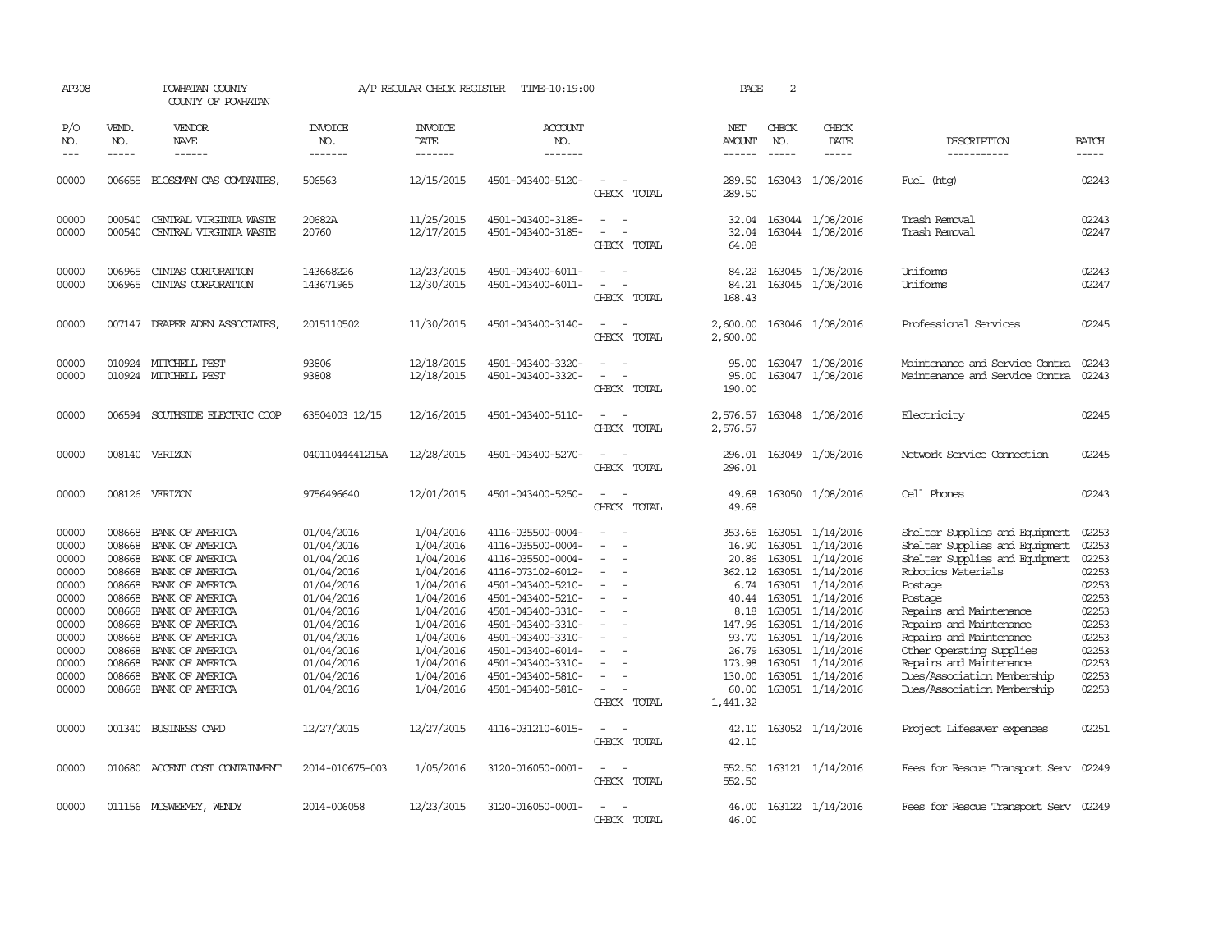| AP308               |                             | POWHATAN COUNTY<br>COUNTY OF POWHATAN |                           | A/P REGULAR CHECK REGISTER        | TIME-10:19:00                          |                                                                     | PAGE                 | 2                             |                               |                                      |                       |
|---------------------|-----------------------------|---------------------------------------|---------------------------|-----------------------------------|----------------------------------------|---------------------------------------------------------------------|----------------------|-------------------------------|-------------------------------|--------------------------------------|-----------------------|
| P/O<br>NO.<br>$---$ | VEND.<br>NO.<br>$- - - - -$ | VENDOR<br>NAME<br>$- - - - - -$       | INVOICE<br>NO.<br>------- | <b>INVOICE</b><br>DATE<br>------- | <b>ACCOUNT</b><br>NO.<br>-------       |                                                                     | NET<br><b>AMOUNT</b> | CHECK<br>NO.<br>$\frac{1}{2}$ | CHECK<br>DATE<br>-----        | DESCRIPTION<br>-----------           | <b>BATCH</b><br>----- |
| 00000               | 006655                      | BLOSSMAN GAS COMPANIES,               | 506563                    | 12/15/2015                        | 4501-043400-5120-                      |                                                                     | 289.50               |                               | 163043 1/08/2016              | Fuel (htg)                           | 02243                 |
|                     |                             |                                       |                           |                                   |                                        | CHECK TOTAL                                                         | 289.50               |                               |                               |                                      |                       |
| 00000               | 000540                      | CENTRAL VIRGINIA WASTE                | 20682A                    | 11/25/2015                        | 4501-043400-3185-                      | $\sim$                                                              | 32.04                |                               | 163044 1/08/2016              | Trash Removal                        | 02243                 |
| 00000               | 000540                      | CENTRAL VIRGINIA WASTE                | 20760                     | 12/17/2015                        | 4501-043400-3185-                      | CHECK TOTAL                                                         | 32.04<br>64.08       |                               | 163044 1/08/2016              | Trash Removal                        | 02247                 |
| 00000               | 006965                      | CINIAS CORPORATION                    | 143668226                 | 12/23/2015                        | 4501-043400-6011-                      |                                                                     | 84.22                |                               | 163045 1/08/2016              | Uniforms                             | 02243                 |
| 00000               | 006965                      | CINIAS CORPORATION                    | 143671965                 | 12/30/2015                        | 4501-043400-6011-                      | CHECK TOTAL                                                         | 84.21<br>168.43      |                               | 163045 1/08/2016              | Uniforms                             | 02247                 |
| 00000               |                             | 007147 DRAPER ADEN ASSOCIATES,        | 2015110502                | 11/30/2015                        | 4501-043400-3140-                      | CHECK TOTAL                                                         | 2,600.00<br>2,600.00 |                               | 163046 1/08/2016              | Professional Services                | 02245                 |
| 00000               |                             | 010924 MITCHELL PEST                  | 93806                     | 12/18/2015                        | 4501-043400-3320-                      |                                                                     | 95.00                |                               | 163047 1/08/2016              | Maintenance and Service Contra       | 02243                 |
| 00000               |                             | 010924 MITCHELL PEST                  | 93808                     | 12/18/2015                        | 4501-043400-3320-                      | $\overline{\phantom{a}}$                                            | 95.00                |                               | 163047 1/08/2016              | Maintenance and Service Contra       | 02243                 |
|                     |                             |                                       |                           |                                   |                                        | CHECK TOTAL                                                         | 190.00               |                               |                               |                                      |                       |
| 00000               |                             | 006594 SOUTHSIDE ELECTRIC COOP        | 63504003 12/15            | 12/16/2015                        | 4501-043400-5110-                      | $\sim$<br>$\sim$<br>CHECK TOTAL                                     | 2,576.57<br>2,576.57 |                               | 163048 1/08/2016              | Electricity                          | 02245                 |
| 00000               |                             | 008140 VERIZON                        | 04011044441215A           | 12/28/2015                        | 4501-043400-5270-                      | $\overline{\phantom{a}}$                                            | 296.01               |                               | 163049 1/08/2016              | Network Service Connection           | 02245                 |
|                     |                             |                                       |                           |                                   |                                        | CHECK TOTAL                                                         | 296.01               |                               |                               |                                      |                       |
| 00000               |                             | 008126 VERIZON                        | 9756496640                | 12/01/2015                        | 4501-043400-5250-                      | - 11<br>$\overline{a}$<br>CHECK TOTAL                               | 49.68<br>49.68       |                               | 163050 1/08/2016              | Cell Phones                          | 02243                 |
| 00000               | 008668                      | BANK OF AMERICA                       | 01/04/2016                | 1/04/2016                         | 4116-035500-0004-                      |                                                                     | 353.65               |                               | 163051 1/14/2016              | Shelter Supplies and Equipment       | 02253                 |
| 00000               | 008668                      | BANK OF AMERICA                       | 01/04/2016                | 1/04/2016                         | 4116-035500-0004-                      |                                                                     | 16.90                |                               | 163051 1/14/2016              | Shelter Supplies and Equipment       | 02253                 |
| 00000               | 008668                      | BANK OF AMERICA                       | 01/04/2016                | 1/04/2016                         | 4116-035500-0004-                      |                                                                     | 20.86                | 163051                        | 1/14/2016                     | Shelter Supplies and Equipment       | 02253                 |
| 00000               | 008668                      | BANK OF AMERICA                       | 01/04/2016                | 1/04/2016                         | 4116-073102-6012-                      |                                                                     | 362.12               | 163051                        | 1/14/2016                     | Robotics Materials                   | 02253                 |
| 00000<br>00000      | 008668<br>008668            | BANK OF AMERICA<br>BANK OF AMERICA    | 01/04/2016<br>01/04/2016  | 1/04/2016<br>1/04/2016            | 4501-043400-5210-<br>4501-043400-5210- | $\overline{\phantom{a}}$                                            | 6.74<br>40.44        | 163051                        | 163051 1/14/2016<br>1/14/2016 | Postage<br>Postage                   | 02253<br>02253        |
| 00000               | 008668                      | BANK OF AMERICA                       | 01/04/2016                | 1/04/2016                         | 4501-043400-3310-                      |                                                                     | 8.18                 | 163051                        | 1/14/2016                     | Repairs and Maintenance              | 02253                 |
| 00000               | 008668                      | BANK OF AMERICA                       | 01/04/2016                | 1/04/2016                         | 4501-043400-3310-                      |                                                                     | 147.96               | 163051                        | 1/14/2016                     | Repairs and Maintenance              | 02253                 |
| 00000               | 008668                      | BANK OF AMERICA                       | 01/04/2016                | 1/04/2016                         | 4501-043400-3310-                      | $\sim$                                                              | 93.70                | 163051                        | 1/14/2016                     | Repairs and Maintenance              | 02253                 |
| 00000               | 008668                      | BANK OF AMERICA                       | 01/04/2016                | 1/04/2016                         | 4501-043400-6014-                      |                                                                     | 26.79                | 163051                        | 1/14/2016                     | Other Operating Supplies             | 02253                 |
| 00000               | 008668                      | BANK OF AMERICA                       | 01/04/2016                | 1/04/2016                         | 4501-043400-3310-                      |                                                                     | 173.98               | 163051                        | 1/14/2016                     | Repairs and Maintenance              | 02253                 |
| 00000               | 008668                      | BANK OF AMERICA                       | 01/04/2016                | 1/04/2016                         | 4501-043400-5810-                      | $\equiv$                                                            | 130.00               | 163051                        | 1/14/2016                     | Dues/Association Membership          | 02253                 |
| 00000               | 008668                      | BANK OF AMERICA                       | 01/04/2016                | 1/04/2016                         | 4501-043400-5810-                      | $\overline{\phantom{a}}$<br>CHECK TOTAL                             | 60.00<br>1,441.32    |                               | 163051 1/14/2016              | Dues/Association Membership          | 02253                 |
|                     |                             |                                       |                           |                                   |                                        |                                                                     |                      |                               |                               |                                      |                       |
| 00000               |                             | 001340 BUSINESS CARD                  | 12/27/2015                | 12/27/2015                        | 4116-031210-6015-                      | $\overline{\phantom{a}}$<br>$\overline{\phantom{a}}$<br>CHECK TOTAL | 42.10<br>42.10       |                               | 163052 1/14/2016              | Project Lifesaver expenses           | 02251                 |
| 00000               |                             | 010680 ACCENT COST CONTAINMENT        | 2014-010675-003           | 1/05/2016                         | 3120-016050-0001-                      | $\equiv$<br>$\overline{\phantom{a}}$<br>CHECK TOTAL                 | 552.50<br>552.50     |                               | 163121 1/14/2016              | Fees for Rescue Transport Serv       | 02249                 |
| 00000               |                             | 011156 MCSWEEMEY, WENDY               | 2014-006058               | 12/23/2015                        | 3120-016050-0001-                      |                                                                     | 46.00                |                               | 163122 1/14/2016              | Fees for Rescue Transport Serv 02249 |                       |
|                     |                             |                                       |                           |                                   |                                        | CHECK TOTAL                                                         | 46.00                |                               |                               |                                      |                       |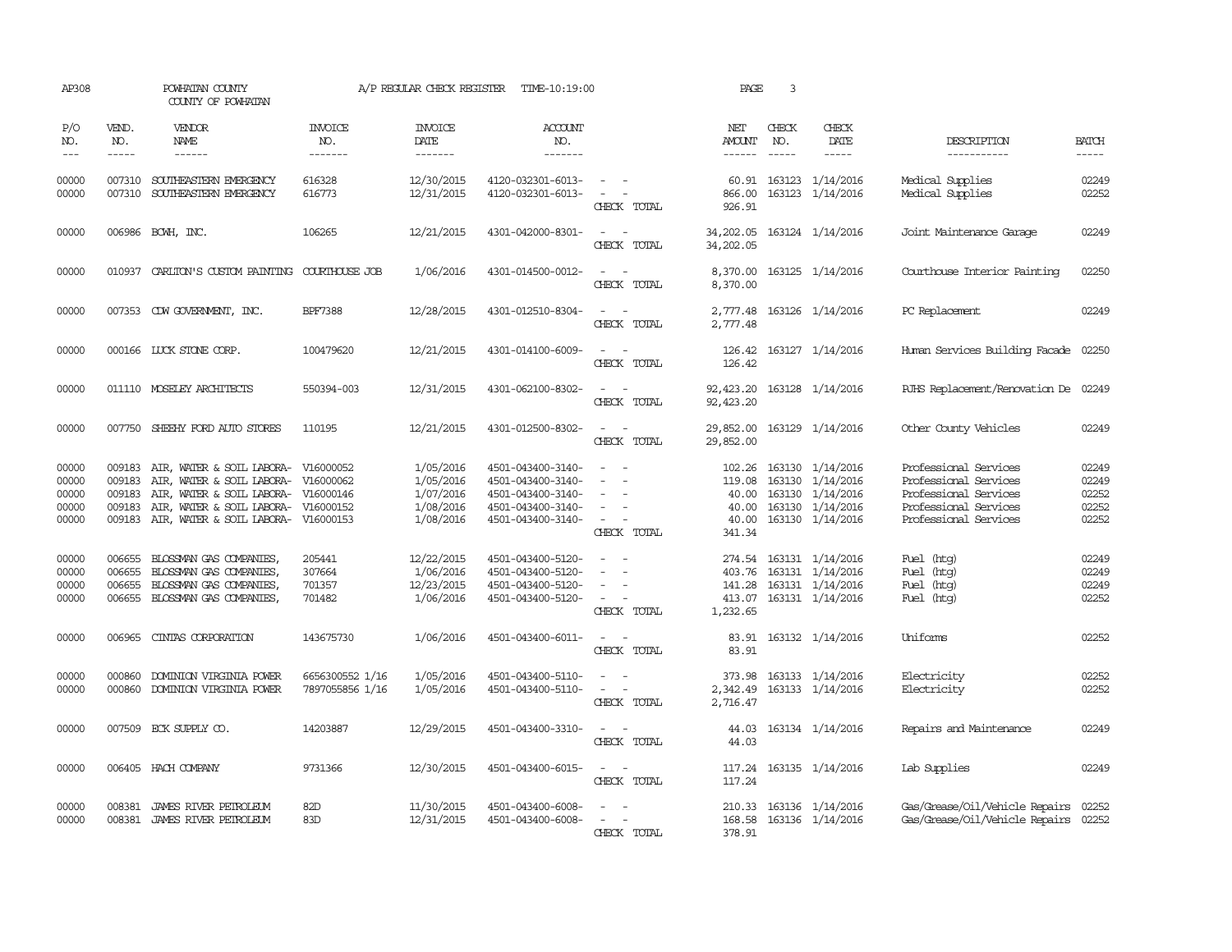| AP308                                     |                                      | POWHATAN COUNTY<br>COUNTY OF POWHATAN                                                                                                                          |                                                  | A/P REGULAR CHECK REGISTER                                    | TIME-10:19:00                                                                                         |                                                                                                                             | PAGE                                                  | 3                           |                                                                                                   |                                                                                                                           |                                           |
|-------------------------------------------|--------------------------------------|----------------------------------------------------------------------------------------------------------------------------------------------------------------|--------------------------------------------------|---------------------------------------------------------------|-------------------------------------------------------------------------------------------------------|-----------------------------------------------------------------------------------------------------------------------------|-------------------------------------------------------|-----------------------------|---------------------------------------------------------------------------------------------------|---------------------------------------------------------------------------------------------------------------------------|-------------------------------------------|
| P/O<br>NO.<br>$---$                       | VEND.<br>NO.<br>$- - - - -$          | VENDOR<br>NAME<br>$- - - - - -$                                                                                                                                | <b>INVOICE</b><br>NO.<br>-------                 | <b>INVOICE</b><br>DATE<br>-------                             | <b>ACCOUNT</b><br>NO.<br>-------                                                                      |                                                                                                                             | NET<br>AMOUNT<br>------                               | CHECK<br>NO.<br>$- - - - -$ | CHECK<br>DATE                                                                                     | DESCRIPTION<br>-----------                                                                                                | <b>BATCH</b><br>-----                     |
| 00000<br>00000                            | 007310<br>007310                     | SOUTHEASTERN EMERGENCY<br>SOUTHEASTERN EMERGENCY                                                                                                               | 616328<br>616773                                 | 12/30/2015<br>12/31/2015                                      | 4120-032301-6013-<br>4120-032301-6013-                                                                | $\sim$ 100 $\sim$ 100 $\sim$<br>$\sim$ $-$<br>CHECK TOTAL                                                                   | 866.00<br>926.91                                      |                             | 60.91 163123 1/14/2016<br>163123 1/14/2016                                                        | Medical Supplies<br>Medical Supplies                                                                                      | 02249<br>02252                            |
| 00000                                     |                                      | 006986 BCWH, INC.                                                                                                                                              | 106265                                           | 12/21/2015                                                    | 4301-042000-8301-                                                                                     | $\sim$ $ \sim$<br>CHECK TOTAL                                                                                               | 34,202.05<br>34,202.05                                |                             | 163124 1/14/2016                                                                                  | Joint Maintenance Garage                                                                                                  | 02249                                     |
| 00000                                     | 010937                               | CARLITON'S CUSTOM PAINTING COURTHOUSE JOB                                                                                                                      |                                                  | 1/06/2016                                                     | 4301-014500-0012-                                                                                     | $\overline{\phantom{a}}$<br>CHECK TOTAL                                                                                     | 8,370.00<br>8,370.00                                  |                             | 163125 1/14/2016                                                                                  | Courthouse Interior Painting                                                                                              | 02250                                     |
| 00000                                     |                                      | 007353 CDW GOVERNMENT, INC.                                                                                                                                    | <b>BPF7388</b>                                   | 12/28/2015                                                    | 4301-012510-8304-                                                                                     | $\sim$ 10 $\sim$ 10 $\sim$<br>CHECK TOTAL                                                                                   | 2,777.48                                              |                             | 2,777.48 163126 1/14/2016                                                                         | PC Replacement                                                                                                            | 02249                                     |
| 00000                                     |                                      | 000166 LUCK STONE CORP.                                                                                                                                        | 100479620                                        | 12/21/2015                                                    | 4301-014100-6009-                                                                                     | $\frac{1}{2} \left( \frac{1}{2} \right) \left( \frac{1}{2} \right) = \frac{1}{2} \left( \frac{1}{2} \right)$<br>CHECK TOTAL | 126.42<br>126.42                                      |                             | 163127 1/14/2016                                                                                  | Human Services Building Facade 02250                                                                                      |                                           |
| 00000                                     |                                      | 011110 MOSELEY ARCHITECTS                                                                                                                                      | 550394-003                                       | 12/31/2015                                                    | 4301-062100-8302-                                                                                     | $ -$<br>CHECK TOTAL                                                                                                         | 92,423.20<br>92, 423.20                               |                             | 163128 1/14/2016                                                                                  | RJHS Replacement/Renovation De 02249                                                                                      |                                           |
| 00000                                     |                                      | 007750 SHEEHY FORD AUTO STORES                                                                                                                                 | 110195                                           | 12/21/2015                                                    | 4301-012500-8302-                                                                                     | CHECK TOTAL                                                                                                                 | 29,852.00<br>29,852.00                                |                             | 163129 1/14/2016                                                                                  | Other County Vehicles                                                                                                     | 02249                                     |
| 00000<br>00000<br>00000<br>00000<br>00000 | 009183<br>009183<br>009183<br>009183 | AIR, WATER & SOIL LABORA-<br>AIR, WATER & SOIL LABORA-<br>AIR, WATER & SOIL LABORA-<br>AIR, WATER & SOIL LABORA-<br>009183 AIR, WATER & SOIL LABORA- V16000153 | V16000052<br>V16000062<br>V16000146<br>V16000152 | 1/05/2016<br>1/05/2016<br>1/07/2016<br>1/08/2016<br>1/08/2016 | 4501-043400-3140-<br>4501-043400-3140-<br>4501-043400-3140-<br>4501-043400-3140-<br>4501-043400-3140- | $\overline{\phantom{a}}$<br>$\sim$<br>CHECK TOTAL                                                                           | 102.26<br>119.08<br>40.00<br>40.00<br>40.00<br>341.34 |                             | 163130 1/14/2016<br>163130 1/14/2016<br>163130 1/14/2016<br>163130 1/14/2016<br>163130 1/14/2016  | Professional Services<br>Professional Services<br>Professional Services<br>Professional Services<br>Professional Services | 02249<br>02249<br>02252<br>02252<br>02252 |
| 00000<br>00000<br>00000<br>00000          | 006655<br>006655<br>006655           | BLOSSMAN GAS COMPANIES,<br>BLOSSMAN GAS COMPANIES,<br>BLOSSMAN GAS COMPANIES,<br>006655 BLOSSMAN GAS COMPANIES,                                                | 205441<br>307664<br>701357<br>701482             | 12/22/2015<br>1/06/2016<br>12/23/2015<br>1/06/2016            | 4501-043400-5120-<br>4501-043400-5120-<br>4501-043400-5120-<br>4501-043400-5120-                      | $\overline{\phantom{a}}$<br>$\sim$<br>CHECK TOTAL                                                                           | 141.28<br>1,232.65                                    |                             | 274.54 163131 1/14/2016<br>403.76 163131 1/14/2016<br>163131 1/14/2016<br>413.07 163131 1/14/2016 | Fuel (htg)<br>Fuel (htg)<br>Fuel (htg)<br>Fuel (htg)                                                                      | 02249<br>02249<br>02249<br>02252          |
| 00000                                     | 006965                               | CINTAS CORPORATION                                                                                                                                             | 143675730                                        | 1/06/2016                                                     | 4501-043400-6011-                                                                                     | $\sim$ 10 $\sim$ 10 $\sim$<br>CHECK TOTAL                                                                                   | 83.91                                                 |                             | 83.91 163132 1/14/2016                                                                            | Uniforms                                                                                                                  | 02252                                     |
| 00000<br>00000                            | 000860<br>000860                     | DOMINION VIRGINIA POWER<br>DOMINION VIRGINIA POWER                                                                                                             | 6656300552 1/16<br>7897055856 1/16               | 1/05/2016<br>1/05/2016                                        | 4501-043400-5110-<br>4501-043400-5110-                                                                | $\sim$<br>$\overline{\phantom{a}}$<br>CHECK TOTAL                                                                           | 373.98<br>2,342.49<br>2,716.47                        |                             | 163133 1/14/2016<br>163133 1/14/2016                                                              | Electricity<br>Electricity                                                                                                | 02252<br>02252                            |
| 00000                                     |                                      | 007509 ECK SUPPLY CO.                                                                                                                                          | 14203887                                         | 12/29/2015                                                    | 4501-043400-3310-                                                                                     | CHECK TOTAL                                                                                                                 | 44.03                                                 |                             | 44.03 163134 1/14/2016                                                                            | Repairs and Maintenance                                                                                                   | 02249                                     |
| 00000                                     |                                      | 006405 HACH COMPANY                                                                                                                                            | 9731366                                          | 12/30/2015                                                    | 4501-043400-6015-                                                                                     | $\sim$ $\sim$<br>CHECK TOTAL                                                                                                | 117.24<br>117.24                                      |                             | 163135 1/14/2016                                                                                  | Lab Supplies                                                                                                              | 02249                                     |
| 00000<br>00000                            |                                      | 008381 JAMES RIVER PETROLEUM<br>008381 JAMES RIVER PETROLEUM                                                                                                   | 82D<br>83D                                       | 11/30/2015<br>12/31/2015                                      | 4501-043400-6008-<br>4501-043400-6008-                                                                | CHECK TOTAL                                                                                                                 | 378.91                                                |                             | 210.33 163136 1/14/2016<br>168.58 163136 1/14/2016                                                | Gas/Grease/011/Vehicle Repairs 02252<br>Gas/Grease/Oil/Vehicle Repairs 02252                                              |                                           |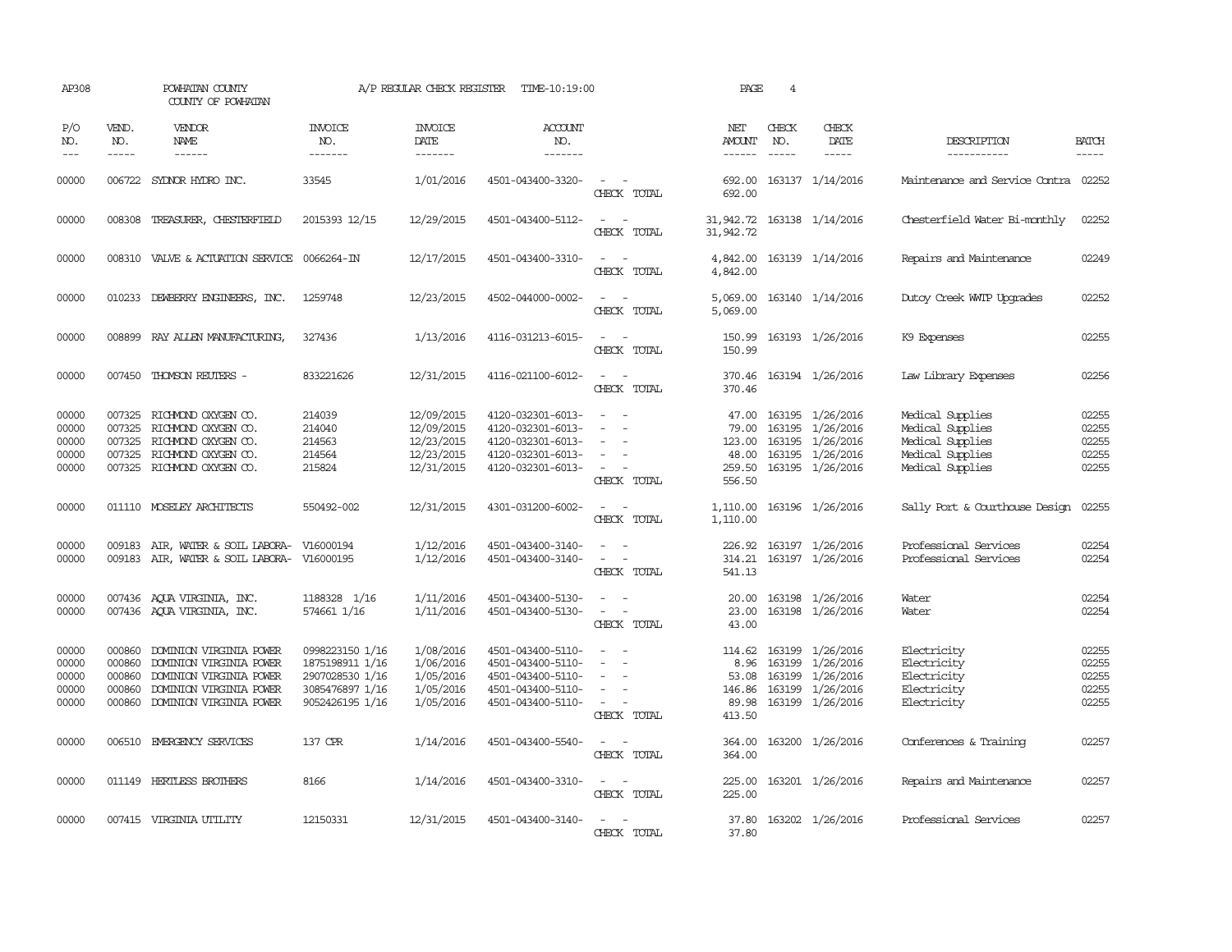| AP308                                     |                                      | POWHATAN COUNTY<br>COUNTY OF POWHATAN                                                                                                      |                                                                                             | A/P REGULAR CHECK REGISTER                                         | TIME-10:19:00                                                                                         |                                                                                                                                                                                        | PAGE                                                 | $\overline{4}$                |                                                                                                        |                                                                                                  |                                           |
|-------------------------------------------|--------------------------------------|--------------------------------------------------------------------------------------------------------------------------------------------|---------------------------------------------------------------------------------------------|--------------------------------------------------------------------|-------------------------------------------------------------------------------------------------------|----------------------------------------------------------------------------------------------------------------------------------------------------------------------------------------|------------------------------------------------------|-------------------------------|--------------------------------------------------------------------------------------------------------|--------------------------------------------------------------------------------------------------|-------------------------------------------|
| P/O<br>NO.<br>$\frac{1}{2}$               | VEND.<br>NO.<br>$- - - - -$          | VENDOR<br>NAME<br>------                                                                                                                   | <b>INVOICE</b><br>NO.<br>-------                                                            | <b>INVOICE</b><br>DATE<br>-------                                  | <b>ACCOUNT</b><br>NO.<br>-------                                                                      |                                                                                                                                                                                        | NET<br>AMOUNT<br>$- - - - - -$                       | CHECK<br>NO.<br>$\frac{1}{2}$ | CHECK<br>DATE<br>$- - - - -$                                                                           | DESCRIPTION<br>-----------                                                                       | <b>BATCH</b><br>$- - - - -$               |
| 00000                                     |                                      | 006722 SYDNOR HYDRO INC.                                                                                                                   | 33545                                                                                       | 1/01/2016                                                          | 4501-043400-3320-                                                                                     | $\sim$<br>CHECK TOTAL                                                                                                                                                                  | 692.00<br>692.00                                     |                               | 163137 1/14/2016                                                                                       | Maintenance and Service Contra                                                                   | 02252                                     |
| 00000                                     |                                      | 008308 TREASURER, CHESTERFIELD                                                                                                             | 2015393 12/15                                                                               | 12/29/2015                                                         | 4501-043400-5112-                                                                                     | $ -$<br>CHECK TOTAL                                                                                                                                                                    | 31,942.72 163138 1/14/2016<br>31,942.72              |                               |                                                                                                        | Chesterfield Water Bi-monthly                                                                    | 02252                                     |
| 00000                                     |                                      | 008310 VALVE & ACTUATION SERVICE 0066264-IN                                                                                                |                                                                                             | 12/17/2015                                                         | 4501-043400-3310-                                                                                     | $\sim$ $\sim$<br>CHECK TOTAL                                                                                                                                                           | 4,842.00<br>4,842.00                                 |                               | 163139 1/14/2016                                                                                       | Repairs and Maintenance                                                                          | 02249                                     |
| 00000                                     |                                      | 010233 DEWBERRY ENGINEERS, INC.                                                                                                            | 1259748                                                                                     | 12/23/2015                                                         | 4502-044000-0002-                                                                                     | $\sim$ $\sim$<br>CHECK TOTAL                                                                                                                                                           | 5,069.00                                             |                               | 5,069.00 163140 1/14/2016                                                                              | Dutoy Creek WMTP Upgrades                                                                        | 02252                                     |
| 00000                                     |                                      | 008899 RAY ALLEN MANUFACTURING,                                                                                                            | 327436                                                                                      | 1/13/2016                                                          | 4116-031213-6015-                                                                                     | $ -$<br>CHECK TOTAL                                                                                                                                                                    | 150.99<br>150.99                                     |                               | 163193 1/26/2016                                                                                       | K9 Expenses                                                                                      | 02255                                     |
| 00000                                     |                                      | 007450 THOMSON REUTERS -                                                                                                                   | 833221626                                                                                   | 12/31/2015                                                         | 4116-021100-6012-                                                                                     | $\sim$<br>$\sim$<br>CHECK TOTAL                                                                                                                                                        | 370.46<br>370.46                                     |                               | 163194 1/26/2016                                                                                       | Law Library Expenses                                                                             | 02256                                     |
| 00000<br>00000<br>00000<br>00000<br>00000 | 007325<br>007325<br>007325           | RICHMOND OXYGEN CO.<br>RICHMOND OXYGEN CO.<br>RICHMOND OXYGEN CO.<br>007325 RICHMOND OXYGEN CO.<br>007325 RICHMOND OXYGEN CO.              | 214039<br>214040<br>214563<br>214564<br>215824                                              | 12/09/2015<br>12/09/2015<br>12/23/2015<br>12/23/2015<br>12/31/2015 | 4120-032301-6013-<br>4120-032301-6013-<br>4120-032301-6013-<br>4120-032301-6013-<br>4120-032301-6013- | $\equiv$<br>$\equiv$<br>$\overline{\phantom{a}}$<br>CHECK TOTAL                                                                                                                        | 47.00<br>79.00<br>123.00<br>259.50<br>556.50         |                               | 163195 1/26/2016<br>163195 1/26/2016<br>163195 1/26/2016<br>48.00 163195 1/26/2016<br>163195 1/26/2016 | Medical Supplies<br>Medical Supplies<br>Medical Supplies<br>Medical Supplies<br>Medical Supplies | 02255<br>02255<br>02255<br>02255<br>02255 |
| 00000                                     |                                      | 011110 MOSELEY ARCHITECTS                                                                                                                  | 550492-002                                                                                  | 12/31/2015                                                         | 4301-031200-6002-                                                                                     | $\sim$<br>CHECK TOTAL                                                                                                                                                                  | 1,110.00<br>1,110.00                                 |                               | 163196 1/26/2016                                                                                       | Sally Port & Courthouse Design                                                                   | 02255                                     |
| 00000<br>00000                            |                                      | 009183 AIR, WATER & SOIL LABORA- V16000194<br>009183 AIR, WATER & SOIL LABORA- V16000195                                                   |                                                                                             | 1/12/2016<br>1/12/2016                                             | 4501-043400-3140-<br>4501-043400-3140-                                                                | $\frac{1}{2} \left( \frac{1}{2} \right) \left( \frac{1}{2} \right) \left( \frac{1}{2} \right) \left( \frac{1}{2} \right)$<br>$\sim 10^{-1}$<br>$\overline{\phantom{a}}$<br>CHECK TOTAL | 226.92<br>314.21<br>541.13                           |                               | 163197 1/26/2016<br>163197 1/26/2016                                                                   | Professional Services<br>Professional Services                                                   | 02254<br>02254                            |
| 00000<br>00000                            |                                      | 007436 AQUA VIRGINIA, INC.<br>007436 AQUA VIRGINIA, INC.                                                                                   | 1188328 1/16<br>574661 1/16                                                                 | 1/11/2016<br>1/11/2016                                             | 4501-043400-5130-<br>4501-043400-5130-                                                                | $\overline{\phantom{a}}$<br>$\sim$<br>CHECK TOTAL                                                                                                                                      | 20.00<br>23.00<br>43.00                              |                               | 163198 1/26/2016<br>163198 1/26/2016                                                                   | Water<br>Water                                                                                   | 02254<br>02254                            |
| 00000<br>00000<br>00000<br>00000<br>00000 | 000860<br>000860<br>000860<br>000860 | DOMINION VIRGINIA POWER<br>DOMINION VIRGINIA POWER<br>DOMINION VIRGINIA POWER<br>DOMINION VIRGINIA POWER<br>000860 DOMINION VIRGINIA POWER | 0998223150 1/16<br>1875198911 1/16<br>2907028530 1/16<br>3085476897 1/16<br>9052426195 1/16 | 1/08/2016<br>1/06/2016<br>1/05/2016<br>1/05/2016<br>1/05/2016      | 4501-043400-5110-<br>4501-043400-5110-<br>4501-043400-5110-<br>4501-043400-5110-<br>4501-043400-5110- | $\sim$<br>$\equiv$<br>$\sim$<br>$\sim$<br>CHECK TOTAL                                                                                                                                  | 114.62<br>8.96<br>53.08<br>146.86<br>89.98<br>413.50 |                               | 163199 1/26/2016<br>163199 1/26/2016<br>163199 1/26/2016<br>163199 1/26/2016<br>163199 1/26/2016       | Electricity<br>Electricity<br>Electricity<br>Electricity<br>Electricity                          | 02255<br>02255<br>02255<br>02255<br>02255 |
| 00000                                     |                                      | 006510 EMERGENCY SERVICES                                                                                                                  | 137 CPR                                                                                     | 1/14/2016                                                          | 4501-043400-5540-                                                                                     | $\sim$<br>CHECK TOTAL                                                                                                                                                                  | 364.00<br>364.00                                     |                               | 163200 1/26/2016                                                                                       | Conferences & Training                                                                           | 02257                                     |
| 00000                                     |                                      | 011149 HERTLESS BROTHERS                                                                                                                   | 8166                                                                                        | 1/14/2016                                                          | 4501-043400-3310-                                                                                     | $\sim$ $ -$<br>CHECK TOTAL                                                                                                                                                             | 225.00<br>225.00                                     |                               | 163201 1/26/2016                                                                                       | Repairs and Maintenance                                                                          | 02257                                     |
| 00000                                     |                                      | 007415 VIRGINIA UTILITY                                                                                                                    | 12150331                                                                                    | 12/31/2015                                                         | 4501-043400-3140-                                                                                     | $\frac{1}{2} \left( \frac{1}{2} \right) \left( \frac{1}{2} \right) = \frac{1}{2} \left( \frac{1}{2} \right)$<br>CHECK TOTAL                                                            | 37.80<br>37.80                                       |                               | 163202 1/26/2016                                                                                       | Professional Services                                                                            | 02257                                     |